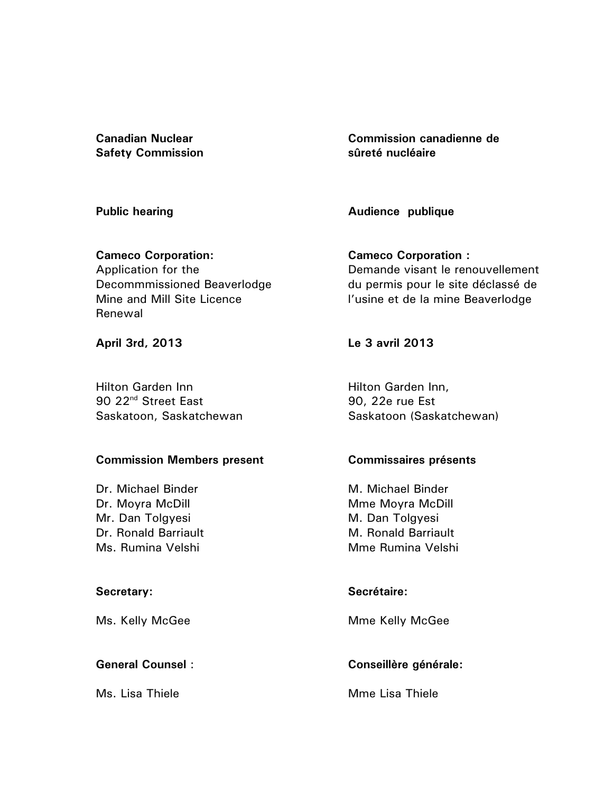**Canadian Nuclear Safety Commission** 

**Public hearing** 

**Commission canadienne de sûreté nucléaire** 

**Audience publique** 

**Cameco Corporation:**  Application for the Decommmissioned Beaverlodge Mine and Mill Site Licence Renewal

**April 3rd, 2013** 

Hilton Garden Inn 90 22<sup>nd</sup> Street East Saskatoon, Saskatchewan

# **Commission Members present**

Dr. Michael Binder Dr. Moyra McDill Mr. Dan Tolgyesi Dr. Ronald Barriault Ms. Rumina Velshi

# **Secretary:**

Ms. Kelly McGee

# **General Counsel** :

Ms. Lisa Thiele

**Cameco Corporation :**  Demande visant le renouvellement du permis pour le site déclassé de l'usine et de la mine Beaverlodge

**Le 3 avril 2013** 

Hilton Garden Inn, 90, 22e rue Est Saskatoon (Saskatchewan)

# **Commissaires présents**

M. Michael Binder Mme Moyra McDill M. Dan Tolgyesi M. Ronald Barriault Mme Rumina Velshi

# **Secrétaire:**

Mme Kelly McGee

# **Conseillère générale:**

Mme Lisa Thiele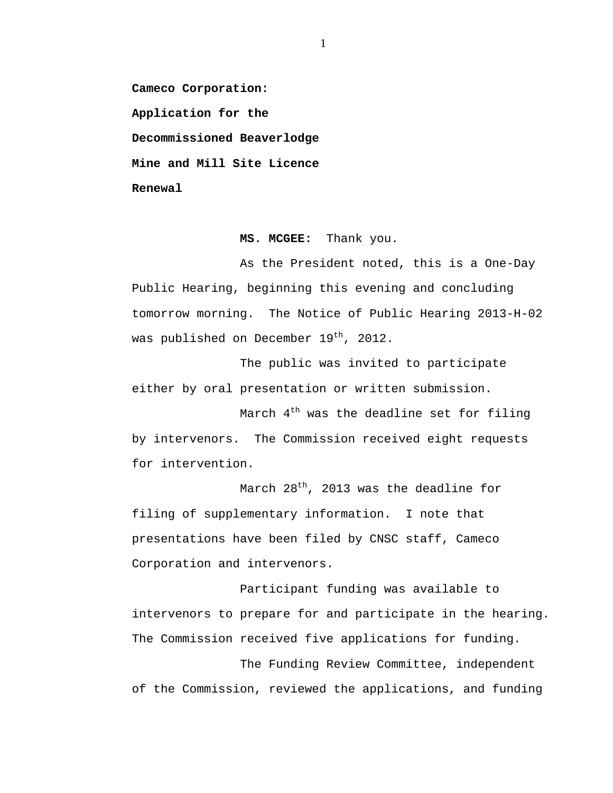**Cameco Corporation: Application for the Decommissioned Beaverlodge Mine and Mill Site Licence Renewal** 

#### **MS. MCGEE:** Thank you.

As the President noted, this is a One-Day Public Hearing, beginning this evening and concluding tomorrow morning. The Notice of Public Hearing 2013-H-02 was published on December 19<sup>th</sup>, 2012.

The public was invited to participate either by oral presentation or written submission.

March  $4<sup>th</sup>$  was the deadline set for filing by intervenors. The Commission received eight requests for intervention.

March  $28^{th}$ , 2013 was the deadline for filing of supplementary information. I note that presentations have been filed by CNSC staff, Cameco Corporation and intervenors.

Participant funding was available to intervenors to prepare for and participate in the hearing. The Commission received five applications for funding.

The Funding Review Committee, independent of the Commission, reviewed the applications, and funding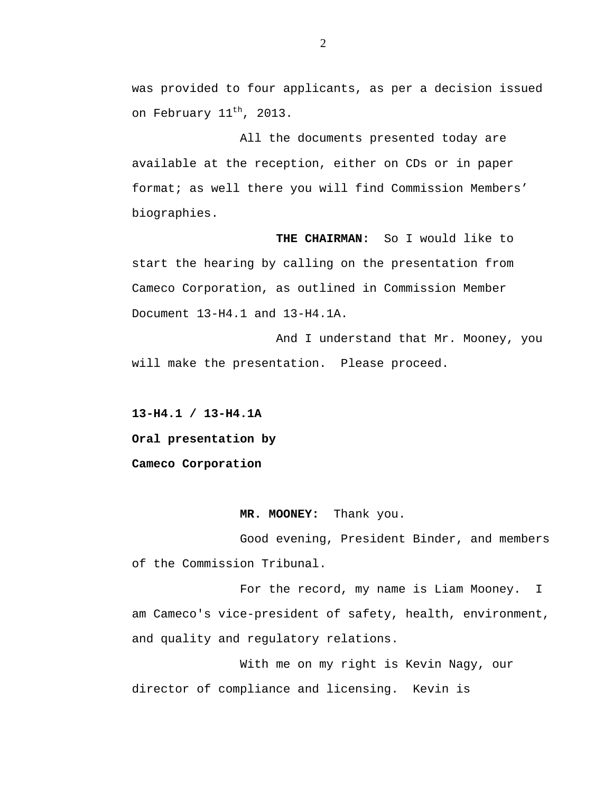was provided to four applicants, as per a decision issued on February 11<sup>th</sup>, 2013.

All the documents presented today are available at the reception, either on CDs or in paper format; as well there you will find Commission Members' biographies.

**THE CHAIRMAN:** So I would like to start the hearing by calling on the presentation from Cameco Corporation, as outlined in Commission Member Document 13-H4.1 and 13-H4.1A.

And I understand that Mr. Mooney, you will make the presentation. Please proceed.

**13-H4.1 / 13-H4.1A Oral presentation by Cameco Corporation** 

#### **MR. MOONEY:** Thank you.

Good evening, President Binder, and members of the Commission Tribunal.

For the record, my name is Liam Mooney. I am Cameco's vice-president of safety, health, environment, and quality and regulatory relations.

With me on my right is Kevin Nagy, our director of compliance and licensing. Kevin is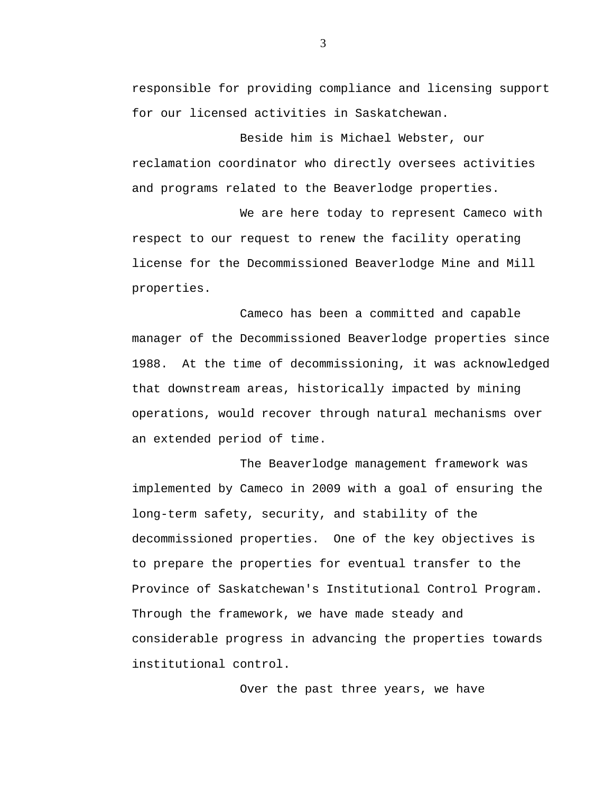responsible for providing compliance and licensing support for our licensed activities in Saskatchewan.

Beside him is Michael Webster, our reclamation coordinator who directly oversees activities and programs related to the Beaverlodge properties.

We are here today to represent Cameco with respect to our request to renew the facility operating license for the Decommissioned Beaverlodge Mine and Mill properties.

Cameco has been a committed and capable manager of the Decommissioned Beaverlodge properties since 1988. At the time of decommissioning, it was acknowledged that downstream areas, historically impacted by mining operations, would recover through natural mechanisms over an extended period of time.

The Beaverlodge management framework was implemented by Cameco in 2009 with a goal of ensuring the long-term safety, security, and stability of the decommissioned properties. One of the key objectives is to prepare the properties for eventual transfer to the Province of Saskatchewan's Institutional Control Program. Through the framework, we have made steady and considerable progress in advancing the properties towards institutional control.

Over the past three years, we have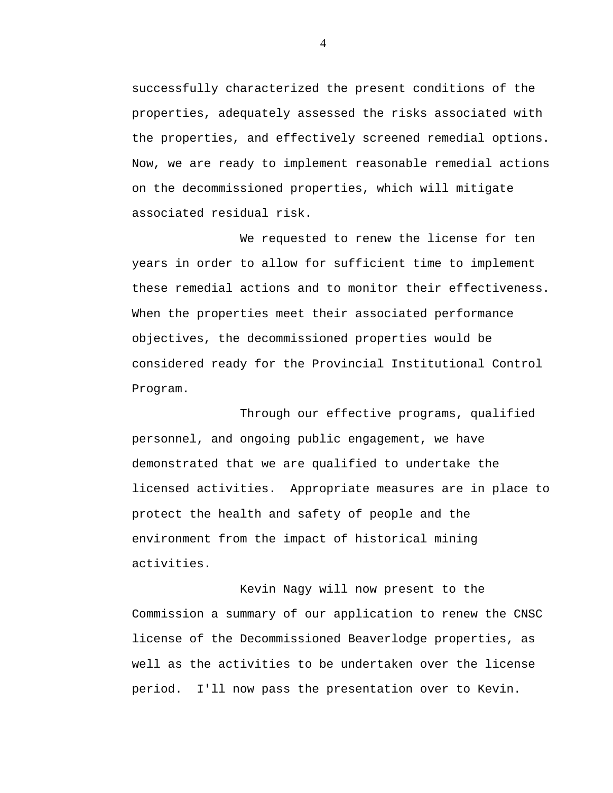successfully characterized the present conditions of the properties, adequately assessed the risks associated with the properties, and effectively screened remedial options. Now, we are ready to implement reasonable remedial actions on the decommissioned properties, which will mitigate associated residual risk.

We requested to renew the license for ten years in order to allow for sufficient time to implement these remedial actions and to monitor their effectiveness. When the properties meet their associated performance objectives, the decommissioned properties would be considered ready for the Provincial Institutional Control Program.

Through our effective programs, qualified personnel, and ongoing public engagement, we have demonstrated that we are qualified to undertake the licensed activities. Appropriate measures are in place to protect the health and safety of people and the environment from the impact of historical mining activities.

Kevin Nagy will now present to the Commission a summary of our application to renew the CNSC license of the Decommissioned Beaverlodge properties, as well as the activities to be undertaken over the license period. I'll now pass the presentation over to Kevin.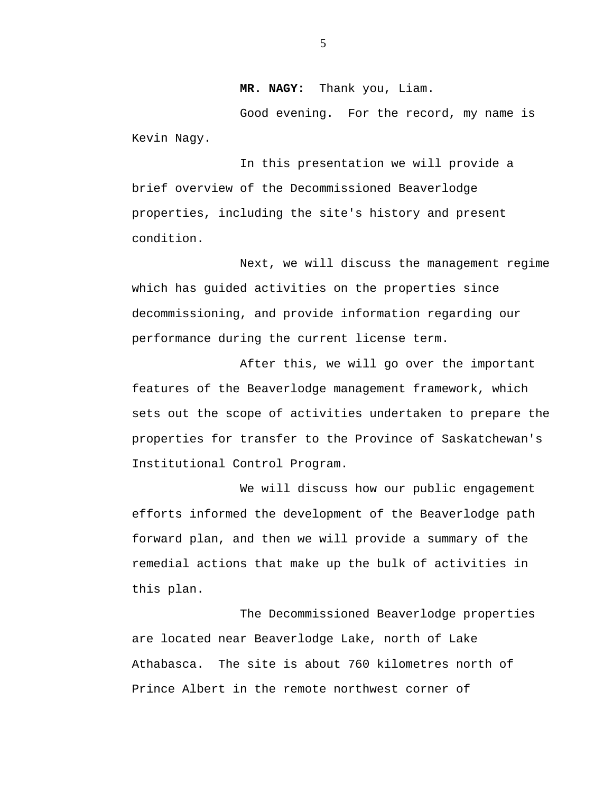#### **MR. NAGY:** Thank you, Liam.

Good evening. For the record, my name is Kevin Nagy.

In this presentation we will provide a brief overview of the Decommissioned Beaverlodge properties, including the site's history and present condition.

Next, we will discuss the management regime which has guided activities on the properties since decommissioning, and provide information regarding our performance during the current license term.

After this, we will go over the important features of the Beaverlodge management framework, which sets out the scope of activities undertaken to prepare the properties for transfer to the Province of Saskatchewan's Institutional Control Program.

We will discuss how our public engagement efforts informed the development of the Beaverlodge path forward plan, and then we will provide a summary of the remedial actions that make up the bulk of activities in this plan.

The Decommissioned Beaverlodge properties are located near Beaverlodge Lake, north of Lake Athabasca. The site is about 760 kilometres north of Prince Albert in the remote northwest corner of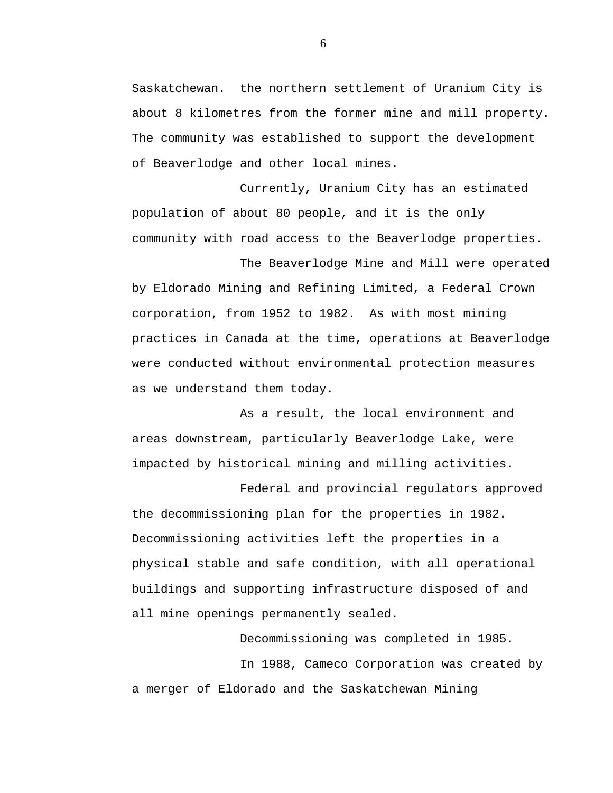Saskatchewan. the northern settlement of Uranium City is about 8 kilometres from the former mine and mill property. The community was established to support the development of Beaverlodge and other local mines.

Currently, Uranium City has an estimated population of about 80 people, and it is the only community with road access to the Beaverlodge properties.

The Beaverlodge Mine and Mill were operated by Eldorado Mining and Refining Limited, a Federal Crown corporation, from 1952 to 1982. As with most mining practices in Canada at the time, operations at Beaverlodge were conducted without environmental protection measures as we understand them today.

As a result, the local environment and areas downstream, particularly Beaverlodge Lake, were impacted by historical mining and milling activities.

Federal and provincial regulators approved the decommissioning plan for the properties in 1982. Decommissioning activities left the properties in a physical stable and safe condition, with all operational buildings and supporting infrastructure disposed of and all mine openings permanently sealed.

Decommissioning was completed in 1985. In 1988, Cameco Corporation was created by a merger of Eldorado and the Saskatchewan Mining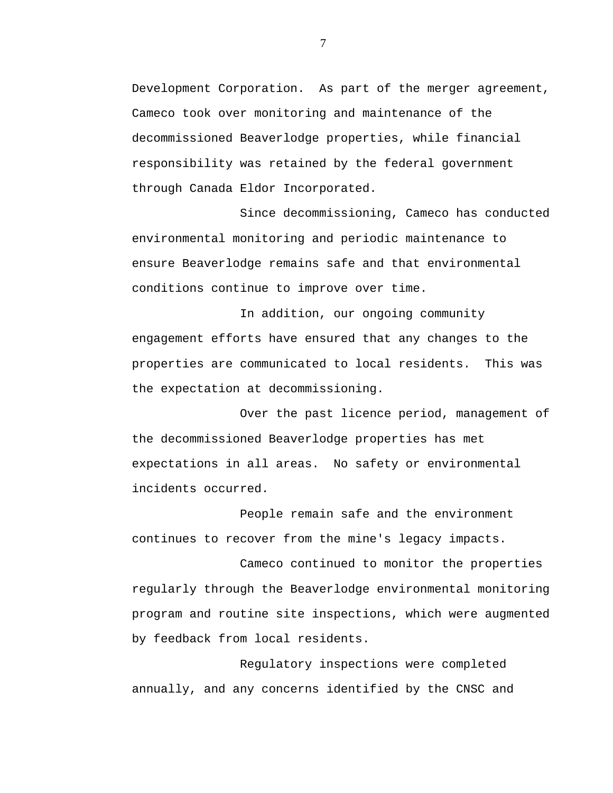Development Corporation. As part of the merger agreement, Cameco took over monitoring and maintenance of the decommissioned Beaverlodge properties, while financial responsibility was retained by the federal government through Canada Eldor Incorporated.

Since decommissioning, Cameco has conducted environmental monitoring and periodic maintenance to ensure Beaverlodge remains safe and that environmental conditions continue to improve over time.

In addition, our ongoing community engagement efforts have ensured that any changes to the properties are communicated to local residents. This was the expectation at decommissioning.

Over the past licence period, management of the decommissioned Beaverlodge properties has met expectations in all areas. No safety or environmental incidents occurred.

People remain safe and the environment continues to recover from the mine's legacy impacts.

Cameco continued to monitor the properties regularly through the Beaverlodge environmental monitoring program and routine site inspections, which were augmented by feedback from local residents.

Regulatory inspections were completed annually, and any concerns identified by the CNSC and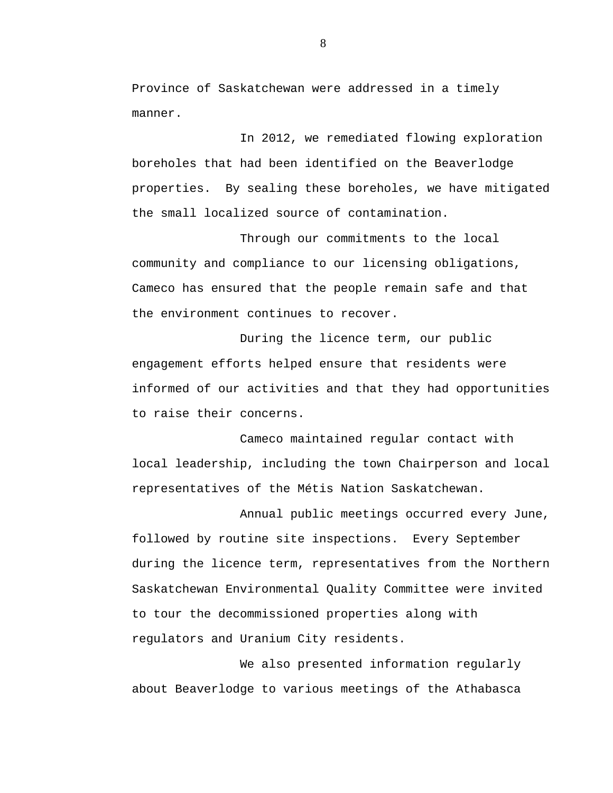Province of Saskatchewan were addressed in a timely manner.

In 2012, we remediated flowing exploration boreholes that had been identified on the Beaverlodge properties. By sealing these boreholes, we have mitigated the small localized source of contamination.

Through our commitments to the local community and compliance to our licensing obligations, Cameco has ensured that the people remain safe and that the environment continues to recover.

During the licence term, our public engagement efforts helped ensure that residents were informed of our activities and that they had opportunities to raise their concerns.

Cameco maintained regular contact with local leadership, including the town Chairperson and local representatives of the Métis Nation Saskatchewan.

Annual public meetings occurred every June, followed by routine site inspections. Every September during the licence term, representatives from the Northern Saskatchewan Environmental Quality Committee were invited to tour the decommissioned properties along with regulators and Uranium City residents.

We also presented information regularly about Beaverlodge to various meetings of the Athabasca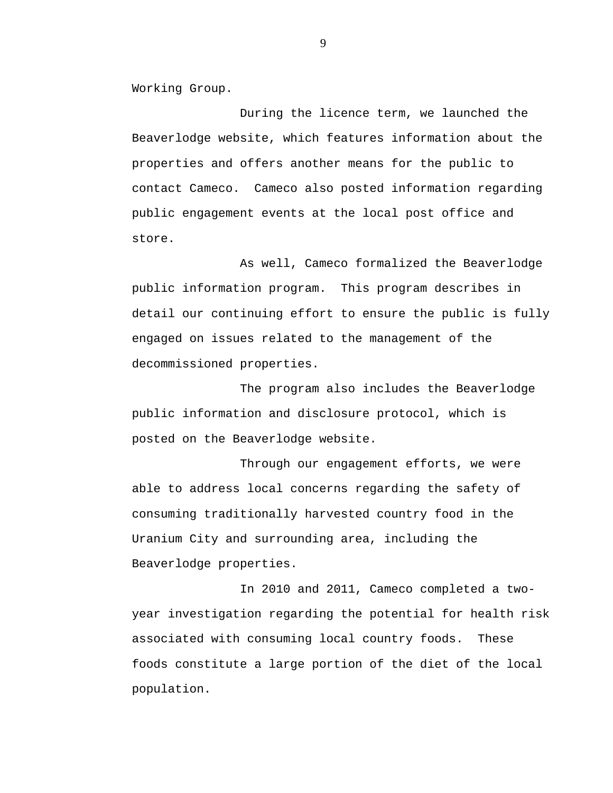Working Group.

During the licence term, we launched the Beaverlodge website, which features information about the properties and offers another means for the public to contact Cameco. Cameco also posted information regarding public engagement events at the local post office and store.

As well, Cameco formalized the Beaverlodge public information program. This program describes in detail our continuing effort to ensure the public is fully engaged on issues related to the management of the decommissioned properties.

The program also includes the Beaverlodge public information and disclosure protocol, which is posted on the Beaverlodge website.

Through our engagement efforts, we were able to address local concerns regarding the safety of consuming traditionally harvested country food in the Uranium City and surrounding area, including the Beaverlodge properties.

In 2010 and 2011, Cameco completed a twoyear investigation regarding the potential for health risk associated with consuming local country foods. These foods constitute a large portion of the diet of the local population.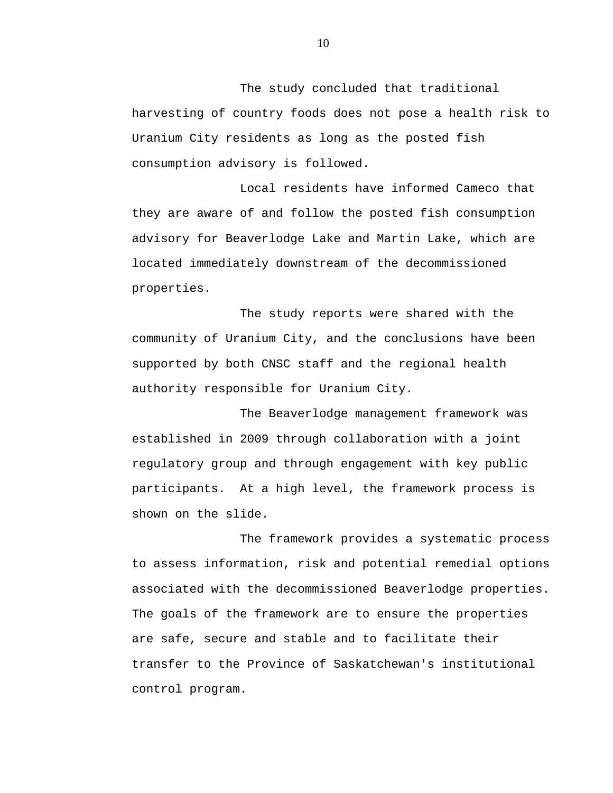The study concluded that traditional harvesting of country foods does not pose a health risk to Uranium City residents as long as the posted fish consumption advisory is followed.

Local residents have informed Cameco that they are aware of and follow the posted fish consumption advisory for Beaverlodge Lake and Martin Lake, which are located immediately downstream of the decommissioned properties.

The study reports were shared with the community of Uranium City, and the conclusions have been supported by both CNSC staff and the regional health authority responsible for Uranium City.

The Beaverlodge management framework was established in 2009 through collaboration with a joint regulatory group and through engagement with key public participants. At a high level, the framework process is shown on the slide.

The framework provides a systematic process to assess information, risk and potential remedial options associated with the decommissioned Beaverlodge properties. The goals of the framework are to ensure the properties are safe, secure and stable and to facilitate their transfer to the Province of Saskatchewan's institutional control program.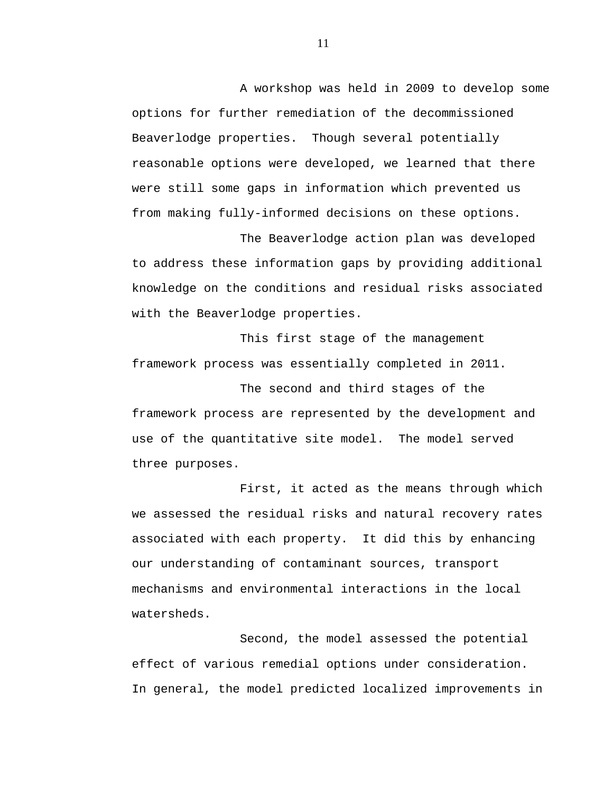A workshop was held in 2009 to develop some options for further remediation of the decommissioned Beaverlodge properties. Though several potentially reasonable options were developed, we learned that there were still some gaps in information which prevented us from making fully-informed decisions on these options.

The Beaverlodge action plan was developed to address these information gaps by providing additional knowledge on the conditions and residual risks associated with the Beaverlodge properties.

This first stage of the management framework process was essentially completed in 2011.

The second and third stages of the framework process are represented by the development and use of the quantitative site model. The model served three purposes.

First, it acted as the means through which we assessed the residual risks and natural recovery rates associated with each property. It did this by enhancing our understanding of contaminant sources, transport mechanisms and environmental interactions in the local watersheds.

Second, the model assessed the potential effect of various remedial options under consideration. In general, the model predicted localized improvements in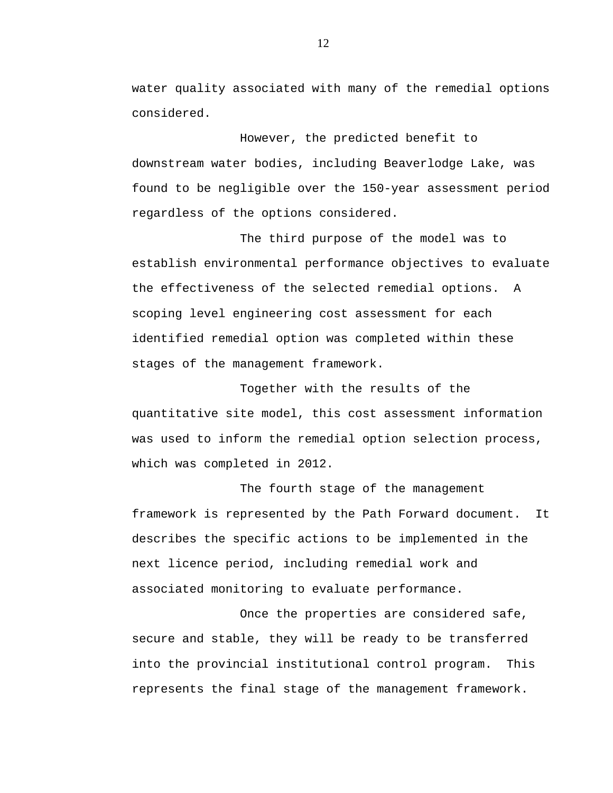water quality associated with many of the remedial options considered.

However, the predicted benefit to downstream water bodies, including Beaverlodge Lake, was found to be negligible over the 150-year assessment period regardless of the options considered.

The third purpose of the model was to establish environmental performance objectives to evaluate the effectiveness of the selected remedial options. A scoping level engineering cost assessment for each identified remedial option was completed within these stages of the management framework.

Together with the results of the quantitative site model, this cost assessment information was used to inform the remedial option selection process, which was completed in 2012.

The fourth stage of the management framework is represented by the Path Forward document. It describes the specific actions to be implemented in the next licence period, including remedial work and associated monitoring to evaluate performance.

Once the properties are considered safe, secure and stable, they will be ready to be transferred into the provincial institutional control program. This represents the final stage of the management framework.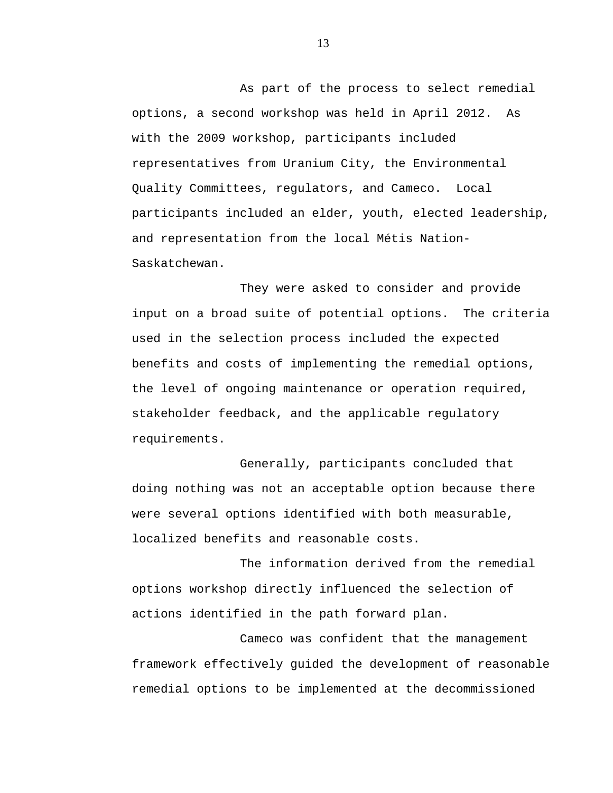As part of the process to select remedial options, a second workshop was held in April 2012. As with the 2009 workshop, participants included representatives from Uranium City, the Environmental Quality Committees, regulators, and Cameco. Local participants included an elder, youth, elected leadership, and representation from the local Métis Nation-Saskatchewan.

They were asked to consider and provide input on a broad suite of potential options. The criteria used in the selection process included the expected benefits and costs of implementing the remedial options, the level of ongoing maintenance or operation required, stakeholder feedback, and the applicable regulatory requirements.

Generally, participants concluded that doing nothing was not an acceptable option because there were several options identified with both measurable, localized benefits and reasonable costs.

The information derived from the remedial options workshop directly influenced the selection of actions identified in the path forward plan.

Cameco was confident that the management framework effectively guided the development of reasonable remedial options to be implemented at the decommissioned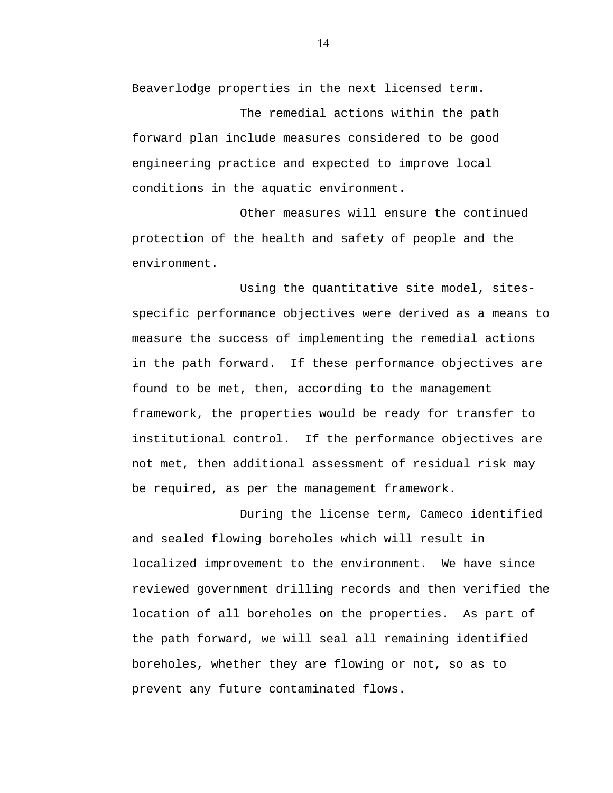Beaverlodge properties in the next licensed term.

The remedial actions within the path forward plan include measures considered to be good engineering practice and expected to improve local conditions in the aquatic environment.

Other measures will ensure the continued protection of the health and safety of people and the environment.

Using the quantitative site model, sitesspecific performance objectives were derived as a means to measure the success of implementing the remedial actions in the path forward. If these performance objectives are found to be met, then, according to the management framework, the properties would be ready for transfer to institutional control. If the performance objectives are not met, then additional assessment of residual risk may be required, as per the management framework.

During the license term, Cameco identified and sealed flowing boreholes which will result in localized improvement to the environment. We have since reviewed government drilling records and then verified the location of all boreholes on the properties. As part of the path forward, we will seal all remaining identified boreholes, whether they are flowing or not, so as to prevent any future contaminated flows.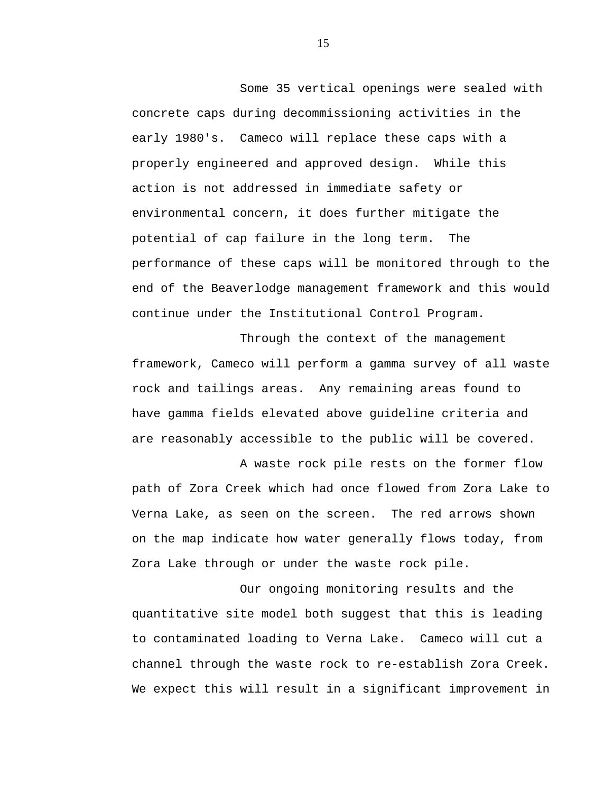Some 35 vertical openings were sealed with concrete caps during decommissioning activities in the early 1980's. Cameco will replace these caps with a properly engineered and approved design. While this action is not addressed in immediate safety or environmental concern, it does further mitigate the potential of cap failure in the long term. The performance of these caps will be monitored through to the end of the Beaverlodge management framework and this would continue under the Institutional Control Program.

Through the context of the management framework, Cameco will perform a gamma survey of all waste rock and tailings areas. Any remaining areas found to have gamma fields elevated above guideline criteria and are reasonably accessible to the public will be covered.

A waste rock pile rests on the former flow path of Zora Creek which had once flowed from Zora Lake to Verna Lake, as seen on the screen. The red arrows shown on the map indicate how water generally flows today, from Zora Lake through or under the waste rock pile.

Our ongoing monitoring results and the quantitative site model both suggest that this is leading to contaminated loading to Verna Lake. Cameco will cut a channel through the waste rock to re-establish Zora Creek. We expect this will result in a significant improvement in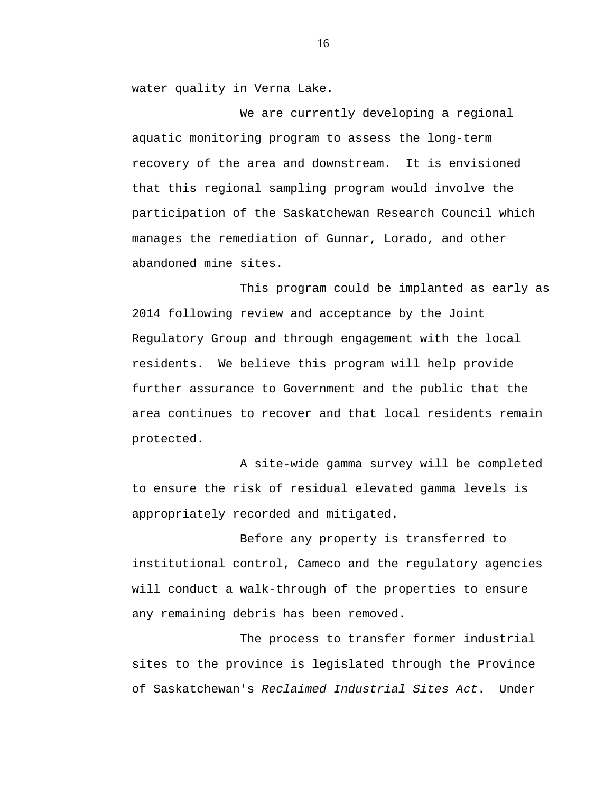water quality in Verna Lake.

We are currently developing a regional aquatic monitoring program to assess the long-term recovery of the area and downstream. It is envisioned that this regional sampling program would involve the participation of the Saskatchewan Research Council which manages the remediation of Gunnar, Lorado, and other abandoned mine sites.

This program could be implanted as early as 2014 following review and acceptance by the Joint Regulatory Group and through engagement with the local residents. We believe this program will help provide further assurance to Government and the public that the area continues to recover and that local residents remain protected.

A site-wide gamma survey will be completed to ensure the risk of residual elevated gamma levels is appropriately recorded and mitigated.

Before any property is transferred to institutional control, Cameco and the regulatory agencies will conduct a walk-through of the properties to ensure any remaining debris has been removed.

The process to transfer former industrial sites to the province is legislated through the Province of Saskatchewan's *Reclaimed Industrial Sites Act*. Under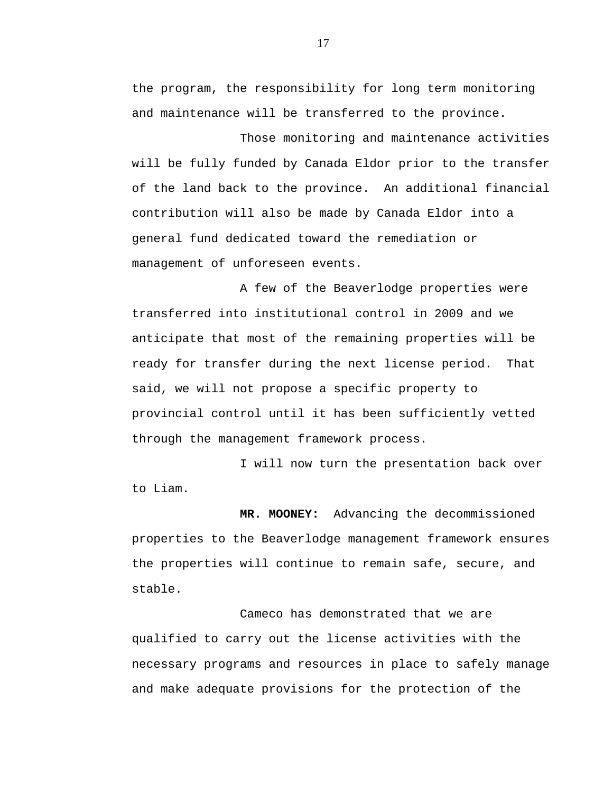the program, the responsibility for long term monitoring and maintenance will be transferred to the province.

Those monitoring and maintenance activities will be fully funded by Canada Eldor prior to the transfer of the land back to the province. An additional financial contribution will also be made by Canada Eldor into a general fund dedicated toward the remediation or management of unforeseen events.

A few of the Beaverlodge properties were transferred into institutional control in 2009 and we anticipate that most of the remaining properties will be ready for transfer during the next license period. That said, we will not propose a specific property to provincial control until it has been sufficiently vetted through the management framework process.

I will now turn the presentation back over to Liam.

 **MR. MOONEY:** Advancing the decommissioned properties to the Beaverlodge management framework ensures the properties will continue to remain safe, secure, and stable.

Cameco has demonstrated that we are qualified to carry out the license activities with the necessary programs and resources in place to safely manage and make adequate provisions for the protection of the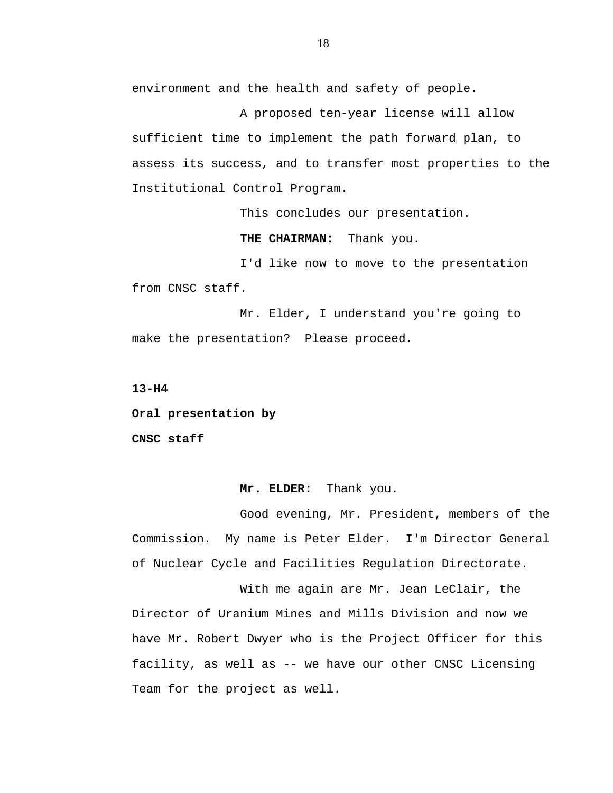environment and the health and safety of people.

A proposed ten-year license will allow sufficient time to implement the path forward plan, to assess its success, and to transfer most properties to the Institutional Control Program.

This concludes our presentation.

**THE CHAIRMAN:** Thank you.

I'd like now to move to the presentation from CNSC staff.

Mr. Elder, I understand you're going to make the presentation? Please proceed.

**13-H4** 

**Oral presentation by** 

**CNSC staff** 

#### **Mr. ELDER:** Thank you.

Good evening, Mr. President, members of the Commission. My name is Peter Elder. I'm Director General of Nuclear Cycle and Facilities Regulation Directorate.

With me again are Mr. Jean LeClair, the Director of Uranium Mines and Mills Division and now we have Mr. Robert Dwyer who is the Project Officer for this facility, as well as -- we have our other CNSC Licensing Team for the project as well.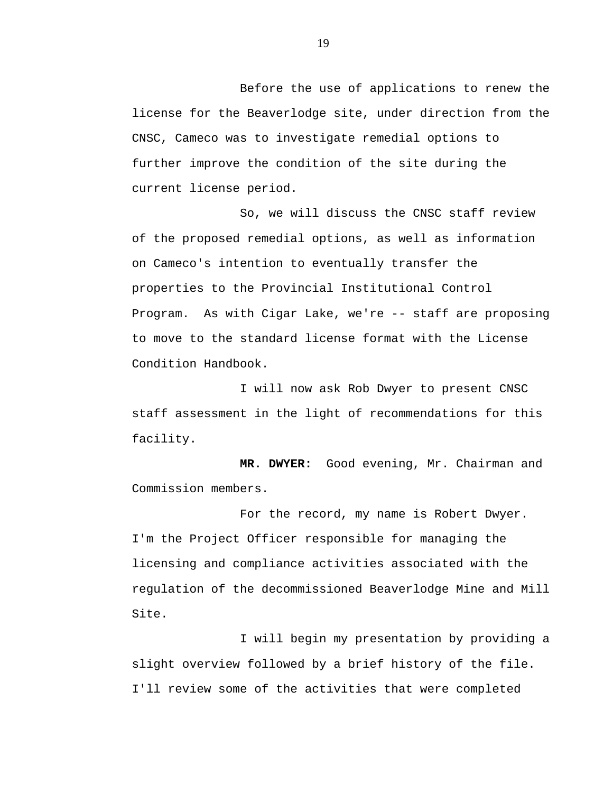Before the use of applications to renew the license for the Beaverlodge site, under direction from the CNSC, Cameco was to investigate remedial options to further improve the condition of the site during the current license period.

So, we will discuss the CNSC staff review of the proposed remedial options, as well as information on Cameco's intention to eventually transfer the properties to the Provincial Institutional Control Program. As with Cigar Lake, we're -- staff are proposing to move to the standard license format with the License Condition Handbook.

I will now ask Rob Dwyer to present CNSC staff assessment in the light of recommendations for this facility.

**MR. DWYER:** Good evening, Mr. Chairman and Commission members.

For the record, my name is Robert Dwyer. I'm the Project Officer responsible for managing the licensing and compliance activities associated with the regulation of the decommissioned Beaverlodge Mine and Mill Site.

I will begin my presentation by providing a slight overview followed by a brief history of the file. I'll review some of the activities that were completed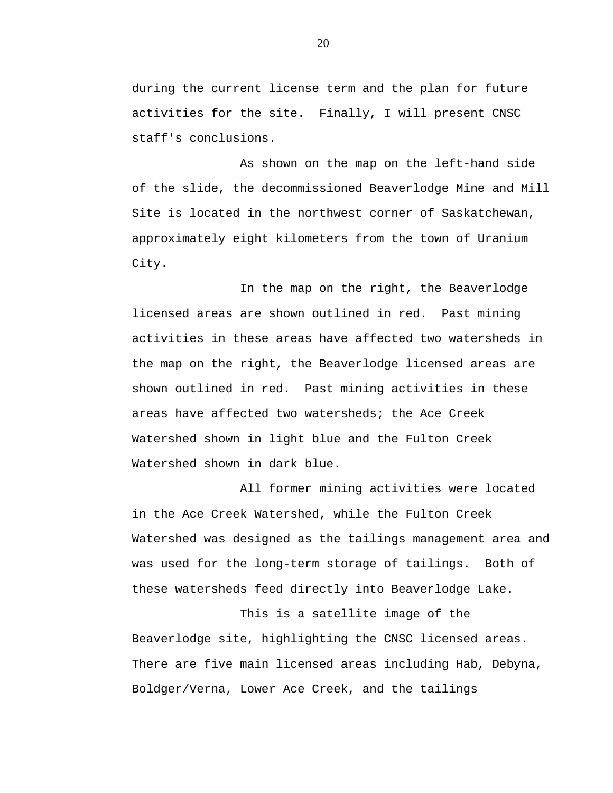during the current license term and the plan for future activities for the site. Finally, I will present CNSC staff's conclusions.

As shown on the map on the left-hand side of the slide, the decommissioned Beaverlodge Mine and Mill Site is located in the northwest corner of Saskatchewan, approximately eight kilometers from the town of Uranium City.

In the map on the right, the Beaverlodge licensed areas are shown outlined in red. Past mining activities in these areas have affected two watersheds in the map on the right, the Beaverlodge licensed areas are shown outlined in red. Past mining activities in these areas have affected two watersheds; the Ace Creek Watershed shown in light blue and the Fulton Creek Watershed shown in dark blue.

All former mining activities were located in the Ace Creek Watershed, while the Fulton Creek Watershed was designed as the tailings management area and was used for the long-term storage of tailings. Both of these watersheds feed directly into Beaverlodge Lake.

This is a satellite image of the Beaverlodge site, highlighting the CNSC licensed areas. There are five main licensed areas including Hab, Debyna, Boldger/Verna, Lower Ace Creek, and the tailings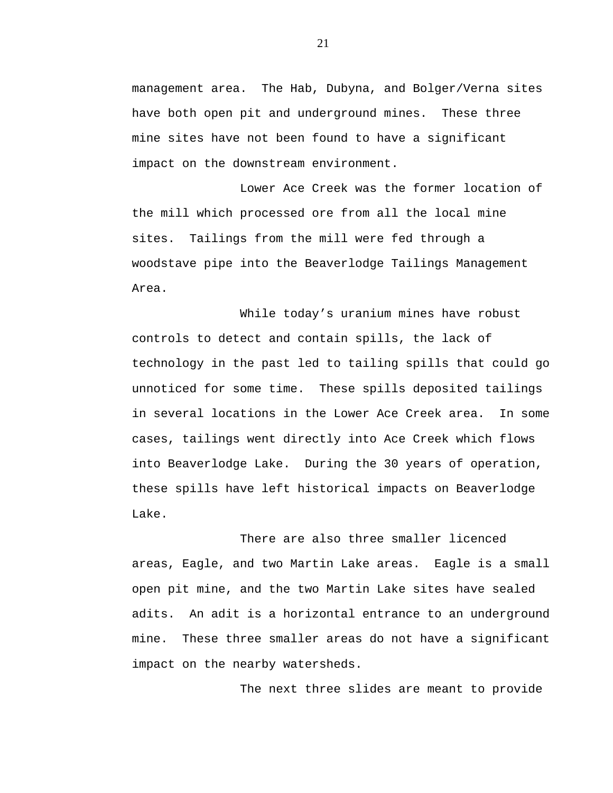management area. The Hab, Dubyna, and Bolger/Verna sites have both open pit and underground mines. These three mine sites have not been found to have a significant impact on the downstream environment.

Lower Ace Creek was the former location of the mill which processed ore from all the local mine sites. Tailings from the mill were fed through a woodstave pipe into the Beaverlodge Tailings Management Area.

While today's uranium mines have robust controls to detect and contain spills, the lack of technology in the past led to tailing spills that could go unnoticed for some time. These spills deposited tailings in several locations in the Lower Ace Creek area. In some cases, tailings went directly into Ace Creek which flows into Beaverlodge Lake. During the 30 years of operation, these spills have left historical impacts on Beaverlodge Lake.

There are also three smaller licenced areas, Eagle, and two Martin Lake areas. Eagle is a small open pit mine, and the two Martin Lake sites have sealed adits. An adit is a horizontal entrance to an underground mine. These three smaller areas do not have a significant impact on the nearby watersheds.

The next three slides are meant to provide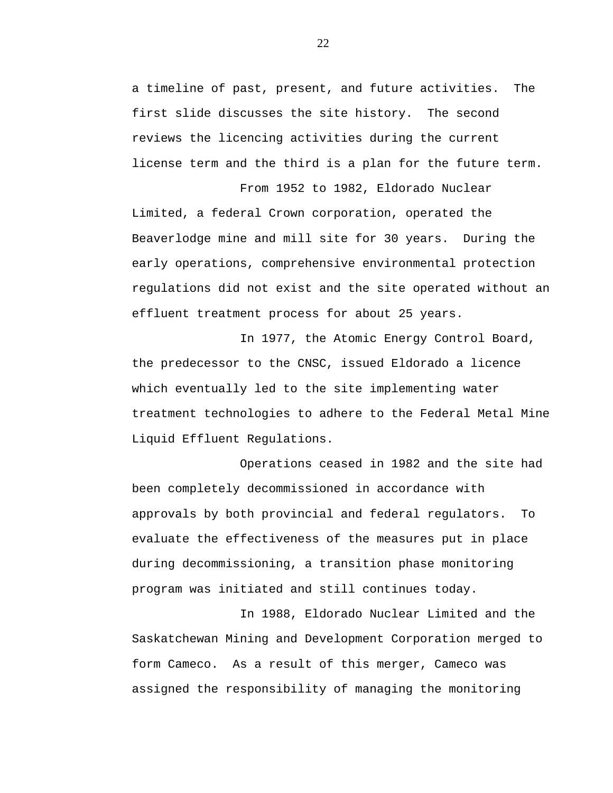a timeline of past, present, and future activities. The first slide discusses the site history. The second reviews the licencing activities during the current license term and the third is a plan for the future term.

From 1952 to 1982, Eldorado Nuclear Limited, a federal Crown corporation, operated the Beaverlodge mine and mill site for 30 years. During the early operations, comprehensive environmental protection regulations did not exist and the site operated without an effluent treatment process for about 25 years.

In 1977, the Atomic Energy Control Board, the predecessor to the CNSC, issued Eldorado a licence which eventually led to the site implementing water treatment technologies to adhere to the Federal Metal Mine Liquid Effluent Regulations.

Operations ceased in 1982 and the site had been completely decommissioned in accordance with approvals by both provincial and federal regulators. To evaluate the effectiveness of the measures put in place during decommissioning, a transition phase monitoring program was initiated and still continues today.

In 1988, Eldorado Nuclear Limited and the Saskatchewan Mining and Development Corporation merged to form Cameco. As a result of this merger, Cameco was assigned the responsibility of managing the monitoring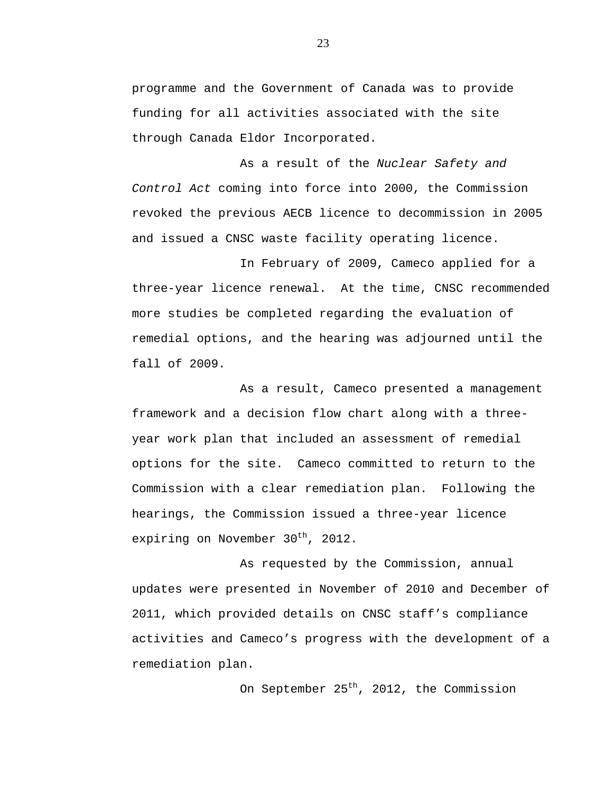programme and the Government of Canada was to provide funding for all activities associated with the site through Canada Eldor Incorporated.

As a result of the *Nuclear Safety and Control Act* coming into force into 2000, the Commission revoked the previous AECB licence to decommission in 2005 and issued a CNSC waste facility operating licence.

In February of 2009, Cameco applied for a three-year licence renewal. At the time, CNSC recommended more studies be completed regarding the evaluation of remedial options, and the hearing was adjourned until the fall of 2009.

As a result, Cameco presented a management framework and a decision flow chart along with a threeyear work plan that included an assessment of remedial options for the site. Cameco committed to return to the Commission with a clear remediation plan. Following the hearings, the Commission issued a three-year licence expiring on November  $30<sup>th</sup>$ , 2012.

As requested by the Commission, annual updates were presented in November of 2010 and December of 2011, which provided details on CNSC staff's compliance activities and Cameco's progress with the development of a remediation plan.

On September 25<sup>th</sup>, 2012, the Commission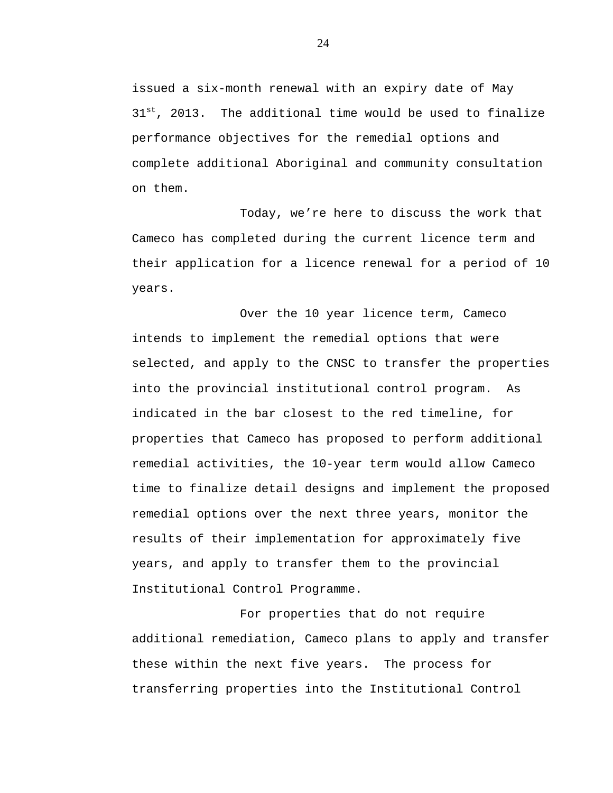issued a six-month renewal with an expiry date of May  $31^{st}$ . 2013. The additional time would be used to finalize performance objectives for the remedial options and complete additional Aboriginal and community consultation on them.

Today, we're here to discuss the work that Cameco has completed during the current licence term and their application for a licence renewal for a period of 10 years.

Over the 10 year licence term, Cameco intends to implement the remedial options that were selected, and apply to the CNSC to transfer the properties into the provincial institutional control program. As indicated in the bar closest to the red timeline, for properties that Cameco has proposed to perform additional remedial activities, the 10-year term would allow Cameco time to finalize detail designs and implement the proposed remedial options over the next three years, monitor the results of their implementation for approximately five years, and apply to transfer them to the provincial Institutional Control Programme.

For properties that do not require additional remediation, Cameco plans to apply and transfer these within the next five years. The process for transferring properties into the Institutional Control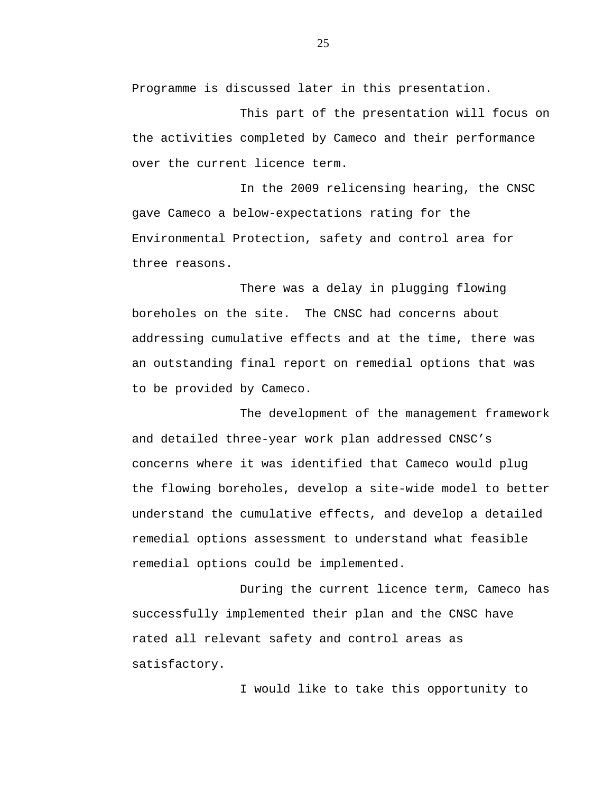Programme is discussed later in this presentation.

This part of the presentation will focus on the activities completed by Cameco and their performance over the current licence term.

In the 2009 relicensing hearing, the CNSC gave Cameco a below-expectations rating for the Environmental Protection, safety and control area for three reasons.

There was a delay in plugging flowing boreholes on the site. The CNSC had concerns about addressing cumulative effects and at the time, there was an outstanding final report on remedial options that was to be provided by Cameco.

The development of the management framework and detailed three-year work plan addressed CNSC's concerns where it was identified that Cameco would plug the flowing boreholes, develop a site-wide model to better understand the cumulative effects, and develop a detailed remedial options assessment to understand what feasible remedial options could be implemented.

During the current licence term, Cameco has successfully implemented their plan and the CNSC have rated all relevant safety and control areas as satisfactory.

I would like to take this opportunity to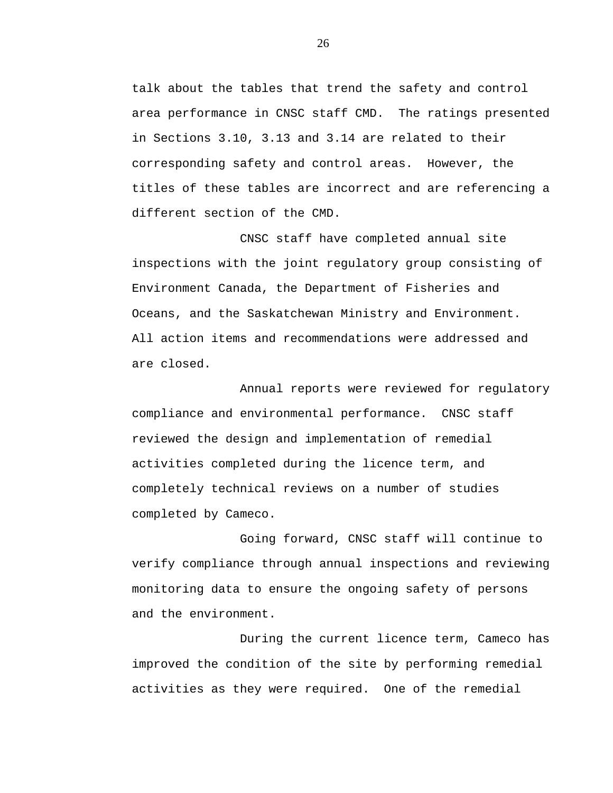talk about the tables that trend the safety and control area performance in CNSC staff CMD. The ratings presented in Sections 3.10, 3.13 and 3.14 are related to their corresponding safety and control areas. However, the titles of these tables are incorrect and are referencing a different section of the CMD.

CNSC staff have completed annual site inspections with the joint regulatory group consisting of Environment Canada, the Department of Fisheries and Oceans, and the Saskatchewan Ministry and Environment. All action items and recommendations were addressed and are closed.

Annual reports were reviewed for regulatory compliance and environmental performance. CNSC staff reviewed the design and implementation of remedial activities completed during the licence term, and completely technical reviews on a number of studies completed by Cameco.

Going forward, CNSC staff will continue to verify compliance through annual inspections and reviewing monitoring data to ensure the ongoing safety of persons and the environment.

During the current licence term, Cameco has improved the condition of the site by performing remedial activities as they were required. One of the remedial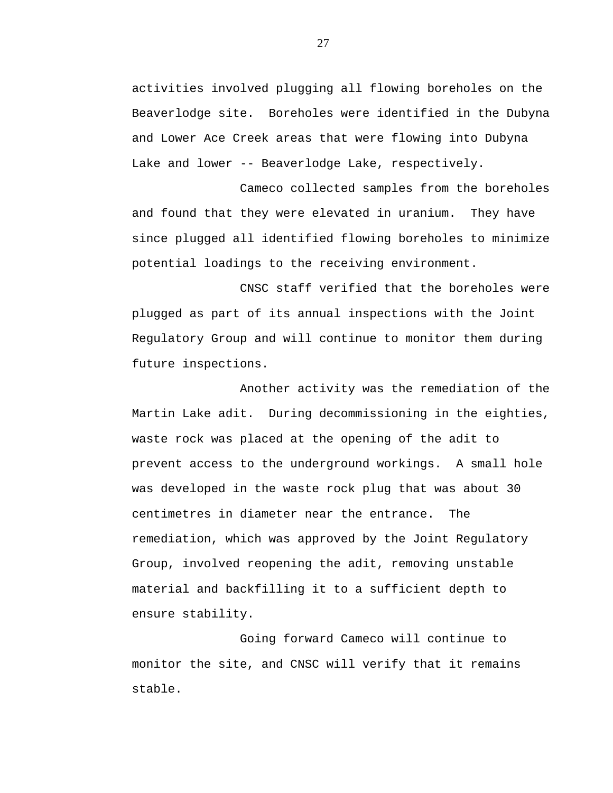activities involved plugging all flowing boreholes on the Beaverlodge site. Boreholes were identified in the Dubyna and Lower Ace Creek areas that were flowing into Dubyna Lake and lower -- Beaverlodge Lake, respectively.

Cameco collected samples from the boreholes and found that they were elevated in uranium. They have since plugged all identified flowing boreholes to minimize potential loadings to the receiving environment.

CNSC staff verified that the boreholes were plugged as part of its annual inspections with the Joint Regulatory Group and will continue to monitor them during future inspections.

Another activity was the remediation of the Martin Lake adit. During decommissioning in the eighties, waste rock was placed at the opening of the adit to prevent access to the underground workings. A small hole was developed in the waste rock plug that was about 30 centimetres in diameter near the entrance. The remediation, which was approved by the Joint Regulatory Group, involved reopening the adit, removing unstable material and backfilling it to a sufficient depth to ensure stability.

Going forward Cameco will continue to monitor the site, and CNSC will verify that it remains stable.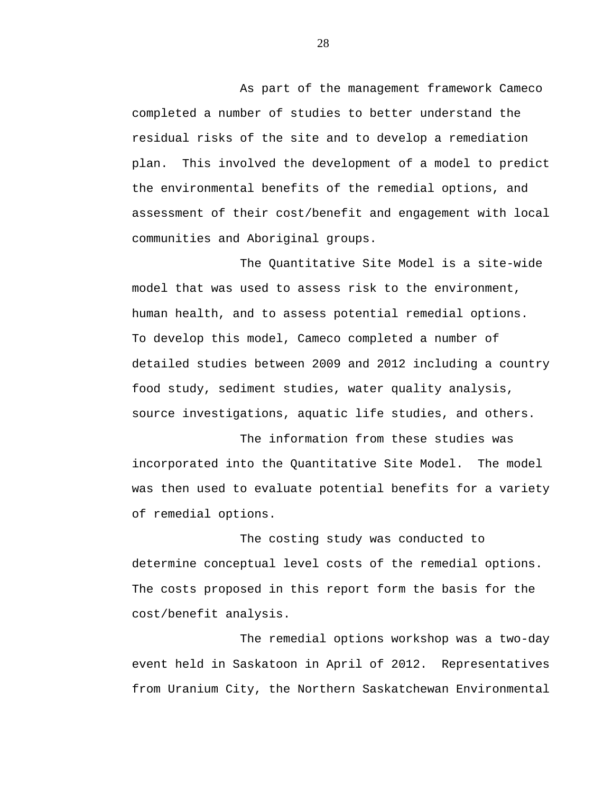As part of the management framework Cameco completed a number of studies to better understand the residual risks of the site and to develop a remediation plan. This involved the development of a model to predict the environmental benefits of the remedial options, and assessment of their cost/benefit and engagement with local communities and Aboriginal groups.

The Quantitative Site Model is a site-wide model that was used to assess risk to the environment, human health, and to assess potential remedial options. To develop this model, Cameco completed a number of detailed studies between 2009 and 2012 including a country food study, sediment studies, water quality analysis, source investigations, aquatic life studies, and others.

The information from these studies was incorporated into the Quantitative Site Model. The model was then used to evaluate potential benefits for a variety of remedial options.

The costing study was conducted to determine conceptual level costs of the remedial options. The costs proposed in this report form the basis for the cost/benefit analysis.

The remedial options workshop was a two-day event held in Saskatoon in April of 2012. Representatives from Uranium City, the Northern Saskatchewan Environmental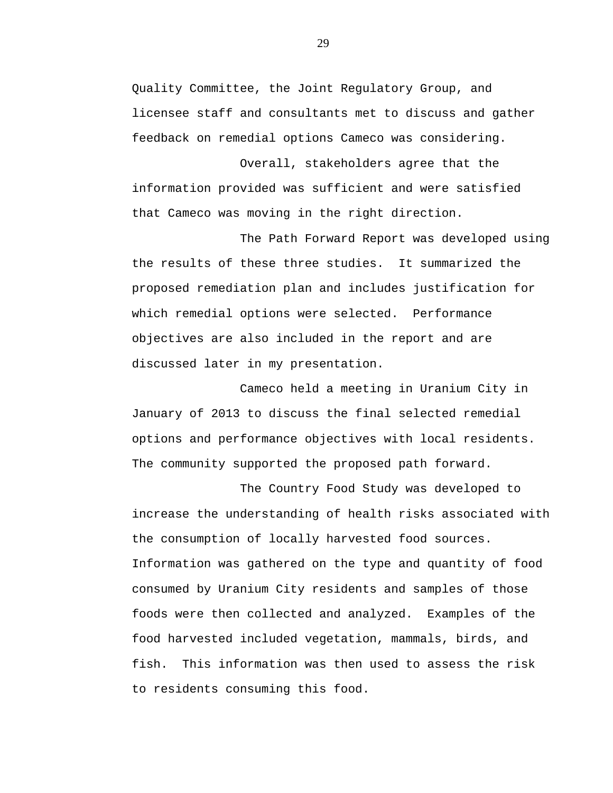Quality Committee, the Joint Regulatory Group, and licensee staff and consultants met to discuss and gather feedback on remedial options Cameco was considering.

Overall, stakeholders agree that the information provided was sufficient and were satisfied that Cameco was moving in the right direction.

The Path Forward Report was developed using the results of these three studies. It summarized the proposed remediation plan and includes justification for which remedial options were selected. Performance objectives are also included in the report and are discussed later in my presentation.

Cameco held a meeting in Uranium City in January of 2013 to discuss the final selected remedial options and performance objectives with local residents. The community supported the proposed path forward.

The Country Food Study was developed to increase the understanding of health risks associated with the consumption of locally harvested food sources. Information was gathered on the type and quantity of food consumed by Uranium City residents and samples of those foods were then collected and analyzed. Examples of the food harvested included vegetation, mammals, birds, and fish. This information was then used to assess the risk to residents consuming this food.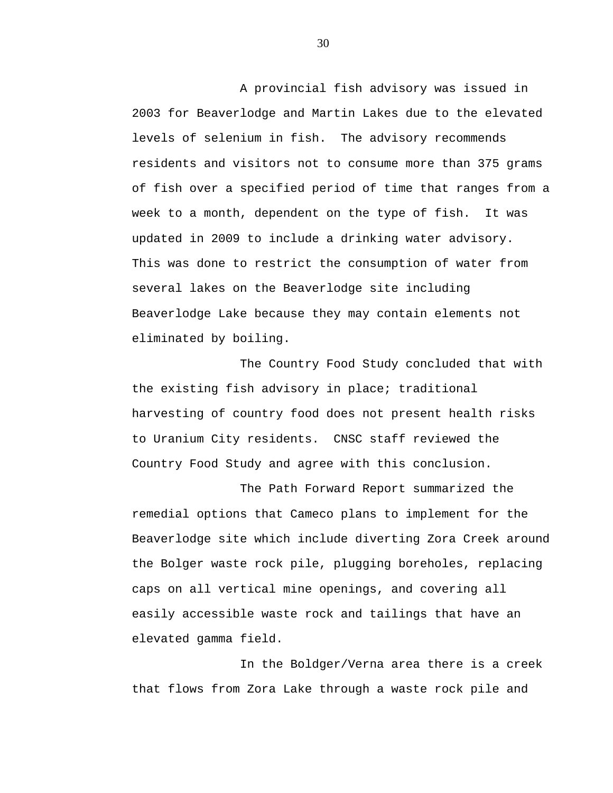A provincial fish advisory was issued in 2003 for Beaverlodge and Martin Lakes due to the elevated levels of selenium in fish. The advisory recommends residents and visitors not to consume more than 375 grams of fish over a specified period of time that ranges from a week to a month, dependent on the type of fish. It was updated in 2009 to include a drinking water advisory. This was done to restrict the consumption of water from several lakes on the Beaverlodge site including Beaverlodge Lake because they may contain elements not eliminated by boiling.

The Country Food Study concluded that with the existing fish advisory in place; traditional harvesting of country food does not present health risks to Uranium City residents. CNSC staff reviewed the Country Food Study and agree with this conclusion.

The Path Forward Report summarized the remedial options that Cameco plans to implement for the Beaverlodge site which include diverting Zora Creek around the Bolger waste rock pile, plugging boreholes, replacing caps on all vertical mine openings, and covering all easily accessible waste rock and tailings that have an elevated gamma field.

In the Boldger/Verna area there is a creek that flows from Zora Lake through a waste rock pile and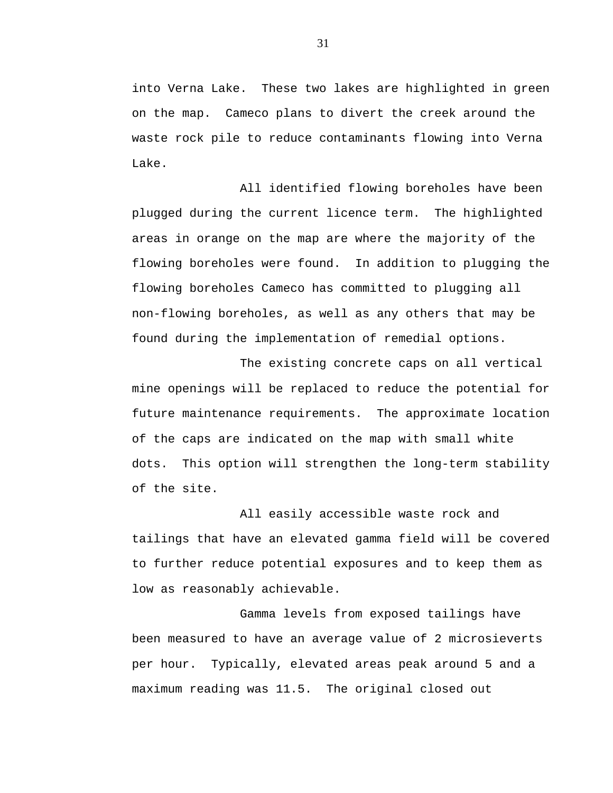into Verna Lake. These two lakes are highlighted in green on the map. Cameco plans to divert the creek around the waste rock pile to reduce contaminants flowing into Verna Lake.

All identified flowing boreholes have been plugged during the current licence term. The highlighted areas in orange on the map are where the majority of the flowing boreholes were found. In addition to plugging the flowing boreholes Cameco has committed to plugging all non-flowing boreholes, as well as any others that may be found during the implementation of remedial options.

The existing concrete caps on all vertical mine openings will be replaced to reduce the potential for future maintenance requirements. The approximate location of the caps are indicated on the map with small white dots. This option will strengthen the long-term stability of the site.

All easily accessible waste rock and tailings that have an elevated gamma field will be covered to further reduce potential exposures and to keep them as low as reasonably achievable.

Gamma levels from exposed tailings have been measured to have an average value of 2 microsieverts per hour. Typically, elevated areas peak around 5 and a maximum reading was 11.5. The original closed out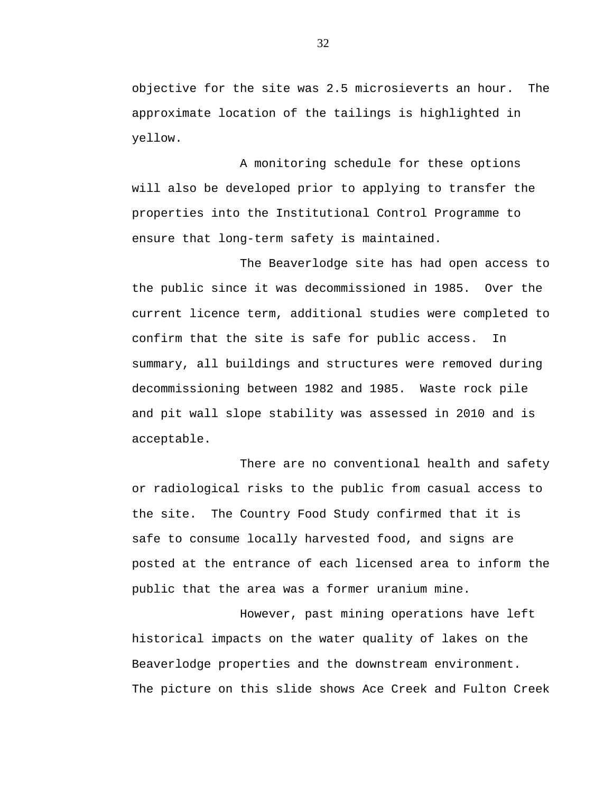objective for the site was 2.5 microsieverts an hour. The approximate location of the tailings is highlighted in yellow.

A monitoring schedule for these options will also be developed prior to applying to transfer the properties into the Institutional Control Programme to ensure that long-term safety is maintained.

The Beaverlodge site has had open access to the public since it was decommissioned in 1985. Over the current licence term, additional studies were completed to confirm that the site is safe for public access. In summary, all buildings and structures were removed during decommissioning between 1982 and 1985. Waste rock pile and pit wall slope stability was assessed in 2010 and is acceptable.

There are no conventional health and safety or radiological risks to the public from casual access to the site. The Country Food Study confirmed that it is safe to consume locally harvested food, and signs are posted at the entrance of each licensed area to inform the public that the area was a former uranium mine.

However, past mining operations have left historical impacts on the water quality of lakes on the Beaverlodge properties and the downstream environment. The picture on this slide shows Ace Creek and Fulton Creek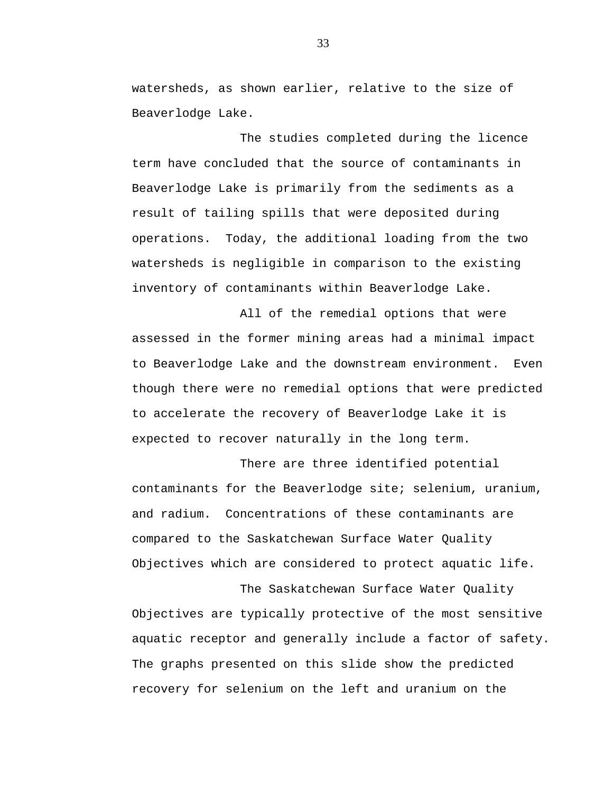watersheds, as shown earlier, relative to the size of Beaverlodge Lake.

The studies completed during the licence term have concluded that the source of contaminants in Beaverlodge Lake is primarily from the sediments as a result of tailing spills that were deposited during operations. Today, the additional loading from the two watersheds is negligible in comparison to the existing inventory of contaminants within Beaverlodge Lake.

All of the remedial options that were assessed in the former mining areas had a minimal impact to Beaverlodge Lake and the downstream environment. Even though there were no remedial options that were predicted to accelerate the recovery of Beaverlodge Lake it is expected to recover naturally in the long term.

There are three identified potential contaminants for the Beaverlodge site; selenium, uranium, and radium. Concentrations of these contaminants are compared to the Saskatchewan Surface Water Quality Objectives which are considered to protect aquatic life.

The Saskatchewan Surface Water Quality Objectives are typically protective of the most sensitive aquatic receptor and generally include a factor of safety. The graphs presented on this slide show the predicted recovery for selenium on the left and uranium on the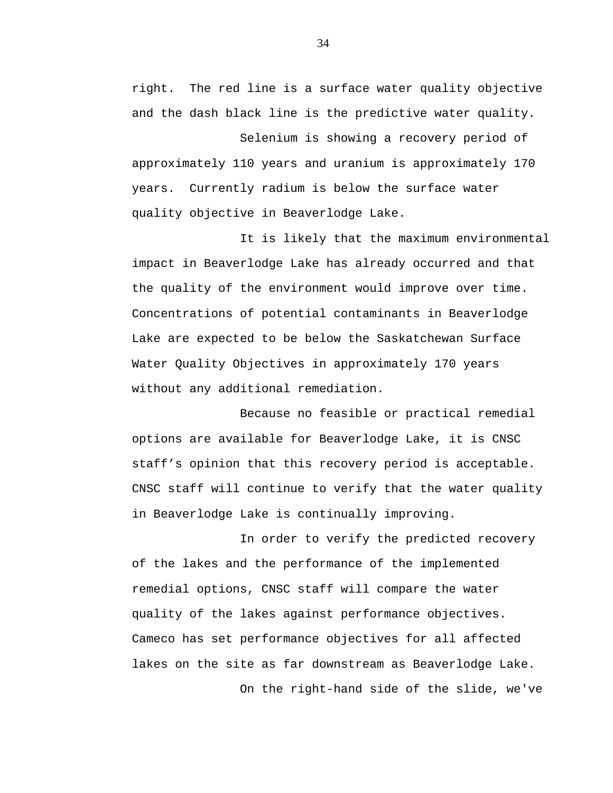right. The red line is a surface water quality objective and the dash black line is the predictive water quality.

Selenium is showing a recovery period of approximately 110 years and uranium is approximately 170 years. Currently radium is below the surface water quality objective in Beaverlodge Lake.

It is likely that the maximum environmental impact in Beaverlodge Lake has already occurred and that the quality of the environment would improve over time. Concentrations of potential contaminants in Beaverlodge Lake are expected to be below the Saskatchewan Surface Water Quality Objectives in approximately 170 years without any additional remediation.

Because no feasible or practical remedial options are available for Beaverlodge Lake, it is CNSC staff's opinion that this recovery period is acceptable. CNSC staff will continue to verify that the water quality in Beaverlodge Lake is continually improving.

In order to verify the predicted recovery of the lakes and the performance of the implemented remedial options, CNSC staff will compare the water quality of the lakes against performance objectives. Cameco has set performance objectives for all affected lakes on the site as far downstream as Beaverlodge Lake.

On the right-hand side of the slide, we've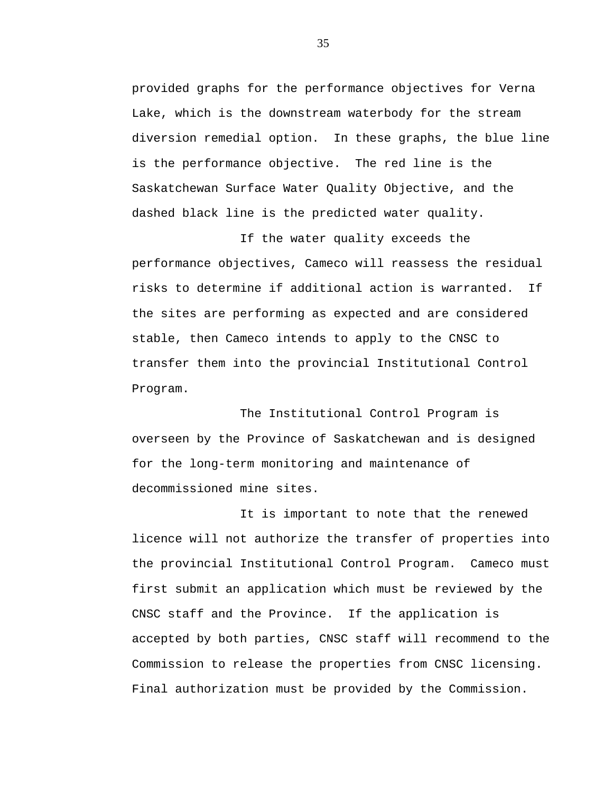provided graphs for the performance objectives for Verna Lake, which is the downstream waterbody for the stream diversion remedial option. In these graphs, the blue line is the performance objective. The red line is the Saskatchewan Surface Water Quality Objective, and the dashed black line is the predicted water quality.

If the water quality exceeds the performance objectives, Cameco will reassess the residual risks to determine if additional action is warranted. If the sites are performing as expected and are considered stable, then Cameco intends to apply to the CNSC to transfer them into the provincial Institutional Control Program.

The Institutional Control Program is overseen by the Province of Saskatchewan and is designed for the long-term monitoring and maintenance of decommissioned mine sites.

It is important to note that the renewed licence will not authorize the transfer of properties into the provincial Institutional Control Program. Cameco must first submit an application which must be reviewed by the CNSC staff and the Province. If the application is accepted by both parties, CNSC staff will recommend to the Commission to release the properties from CNSC licensing. Final authorization must be provided by the Commission.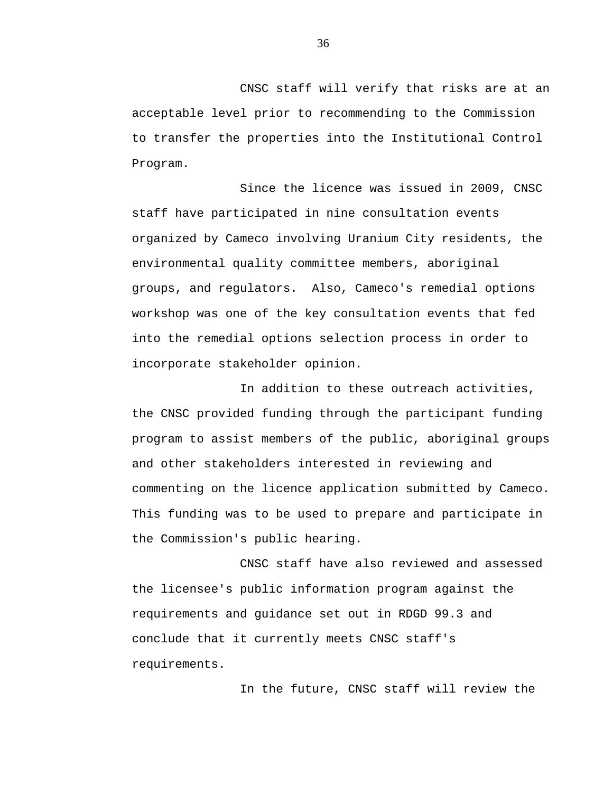CNSC staff will verify that risks are at an acceptable level prior to recommending to the Commission to transfer the properties into the Institutional Control Program.

Since the licence was issued in 2009, CNSC staff have participated in nine consultation events organized by Cameco involving Uranium City residents, the environmental quality committee members, aboriginal groups, and regulators. Also, Cameco's remedial options workshop was one of the key consultation events that fed into the remedial options selection process in order to incorporate stakeholder opinion.

In addition to these outreach activities, the CNSC provided funding through the participant funding program to assist members of the public, aboriginal groups and other stakeholders interested in reviewing and commenting on the licence application submitted by Cameco. This funding was to be used to prepare and participate in the Commission's public hearing.

CNSC staff have also reviewed and assessed the licensee's public information program against the requirements and guidance set out in RDGD 99.3 and conclude that it currently meets CNSC staff's requirements.

In the future, CNSC staff will review the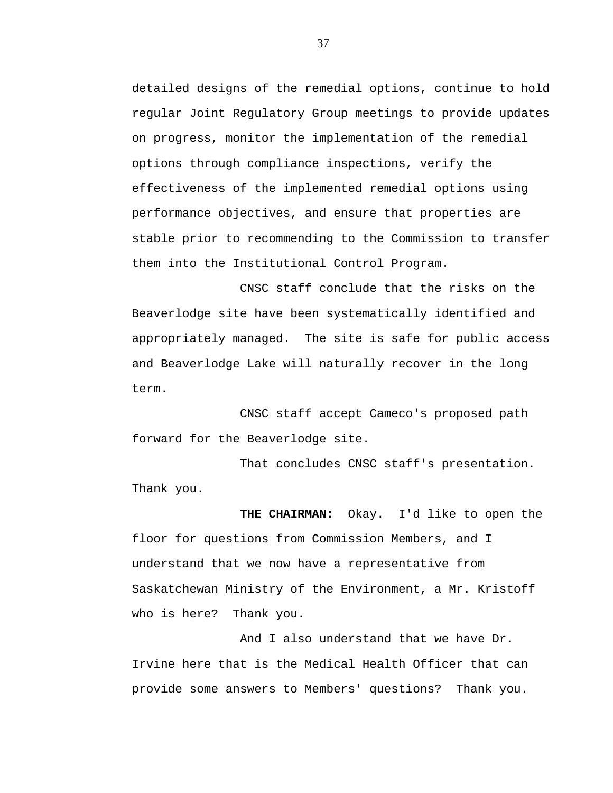detailed designs of the remedial options, continue to hold regular Joint Regulatory Group meetings to provide updates on progress, monitor the implementation of the remedial options through compliance inspections, verify the effectiveness of the implemented remedial options using performance objectives, and ensure that properties are stable prior to recommending to the Commission to transfer them into the Institutional Control Program.

CNSC staff conclude that the risks on the Beaverlodge site have been systematically identified and appropriately managed. The site is safe for public access and Beaverlodge Lake will naturally recover in the long term.

CNSC staff accept Cameco's proposed path forward for the Beaverlodge site.

That concludes CNSC staff's presentation. Thank you.

**THE CHAIRMAN:** Okay. I'd like to open the floor for questions from Commission Members, and I understand that we now have a representative from Saskatchewan Ministry of the Environment, a Mr. Kristoff who is here? Thank you.

And I also understand that we have Dr. Irvine here that is the Medical Health Officer that can provide some answers to Members' questions? Thank you.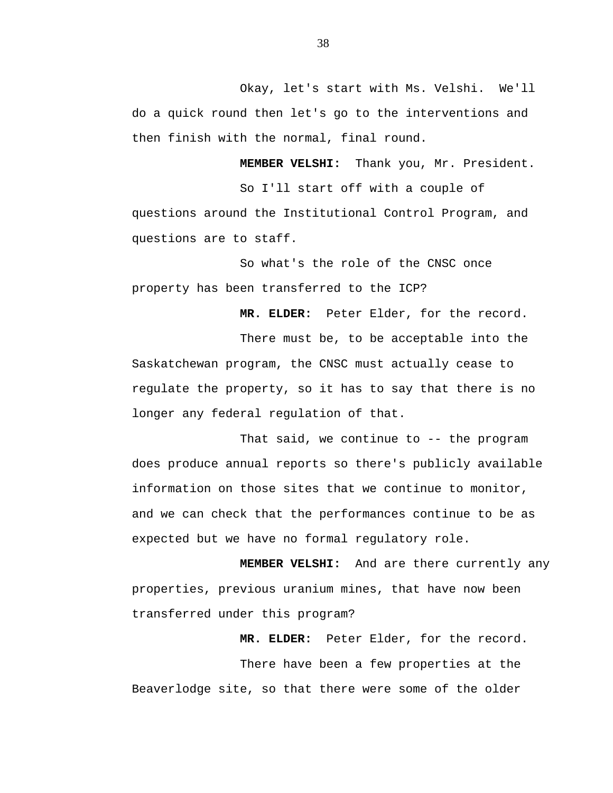Okay, let's start with Ms. Velshi. We'll do a quick round then let's go to the interventions and then finish with the normal, final round.

**MEMBER VELSHI:** Thank you, Mr. President.

So I'll start off with a couple of questions around the Institutional Control Program, and questions are to staff.

So what's the role of the CNSC once property has been transferred to the ICP?

**MR. ELDER:** Peter Elder, for the record.

There must be, to be acceptable into the Saskatchewan program, the CNSC must actually cease to regulate the property, so it has to say that there is no longer any federal regulation of that.

That said, we continue to -- the program does produce annual reports so there's publicly available information on those sites that we continue to monitor, and we can check that the performances continue to be as expected but we have no formal regulatory role.

**MEMBER VELSHI:** And are there currently any properties, previous uranium mines, that have now been transferred under this program?

**MR. ELDER:** Peter Elder, for the record. There have been a few properties at the Beaverlodge site, so that there were some of the older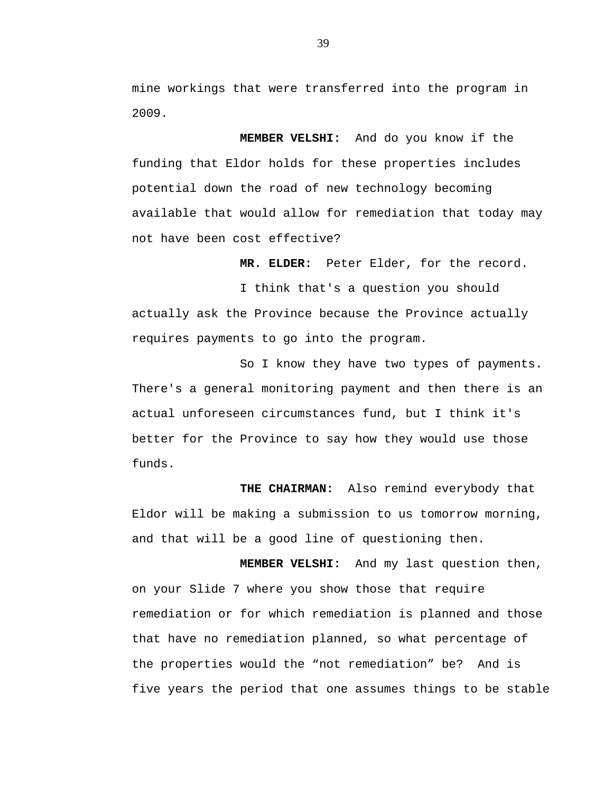mine workings that were transferred into the program in 2009.

**MEMBER VELSHI:** And do you know if the funding that Eldor holds for these properties includes potential down the road of new technology becoming available that would allow for remediation that today may not have been cost effective?

**MR. ELDER:** Peter Elder, for the record.

I think that's a question you should actually ask the Province because the Province actually requires payments to go into the program.

So I know they have two types of payments. There's a general monitoring payment and then there is an actual unforeseen circumstances fund, but I think it's better for the Province to say how they would use those funds.

**THE CHAIRMAN:** Also remind everybody that Eldor will be making a submission to us tomorrow morning, and that will be a good line of questioning then.

**MEMBER VELSHI:** And my last question then, on your Slide 7 where you show those that require remediation or for which remediation is planned and those that have no remediation planned, so what percentage of the properties would the "not remediation" be? And is five years the period that one assumes things to be stable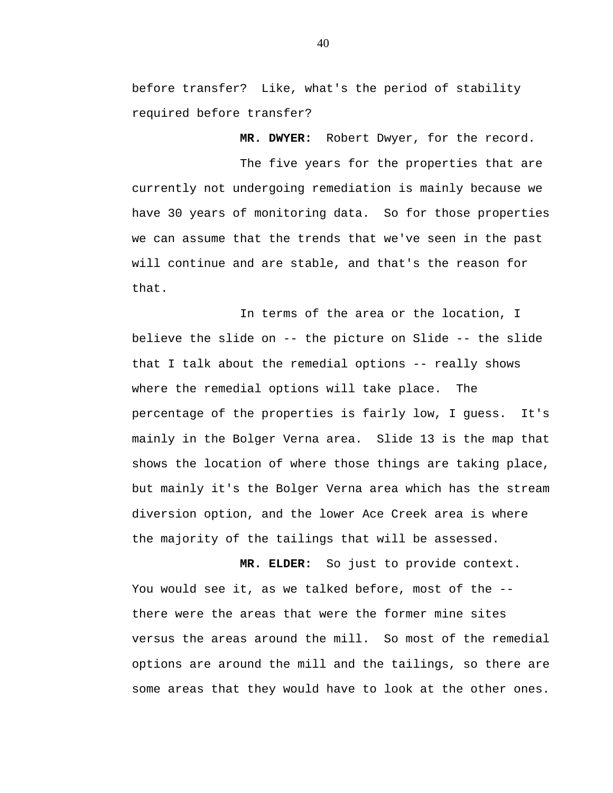before transfer? Like, what's the period of stability required before transfer?

**MR. DWYER:** Robert Dwyer, for the record.

The five years for the properties that are currently not undergoing remediation is mainly because we have 30 years of monitoring data. So for those properties we can assume that the trends that we've seen in the past will continue and are stable, and that's the reason for that.

In terms of the area or the location, I believe the slide on -- the picture on Slide -- the slide that I talk about the remedial options -- really shows where the remedial options will take place. The percentage of the properties is fairly low, I guess. It's mainly in the Bolger Verna area. Slide 13 is the map that shows the location of where those things are taking place, but mainly it's the Bolger Verna area which has the stream diversion option, and the lower Ace Creek area is where the majority of the tailings that will be assessed.

**MR. ELDER:** So just to provide context. You would see it, as we talked before, most of the -there were the areas that were the former mine sites versus the areas around the mill. So most of the remedial options are around the mill and the tailings, so there are some areas that they would have to look at the other ones.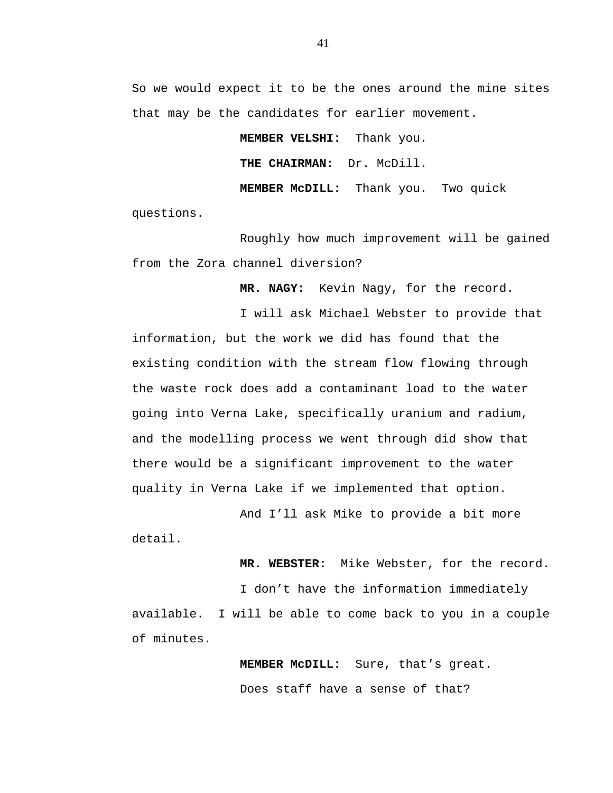So we would expect it to be the ones around the mine sites that may be the candidates for earlier movement.

> **MEMBER VELSHI:** Thank you. **THE CHAIRMAN:** Dr. McDill. **MEMBER McDILL:** Thank you. Two quick

questions.

Roughly how much improvement will be gained from the Zora channel diversion?

**MR. NAGY:** Kevin Nagy, for the record.

I will ask Michael Webster to provide that information, but the work we did has found that the existing condition with the stream flow flowing through the waste rock does add a contaminant load to the water going into Verna Lake, specifically uranium and radium, and the modelling process we went through did show that there would be a significant improvement to the water quality in Verna Lake if we implemented that option.

And I'll ask Mike to provide a bit more detail.

**MR. WEBSTER:** Mike Webster, for the record.

I don't have the information immediately available. I will be able to come back to you in a couple of minutes.

> **MEMBER McDILL:** Sure, that's great. Does staff have a sense of that?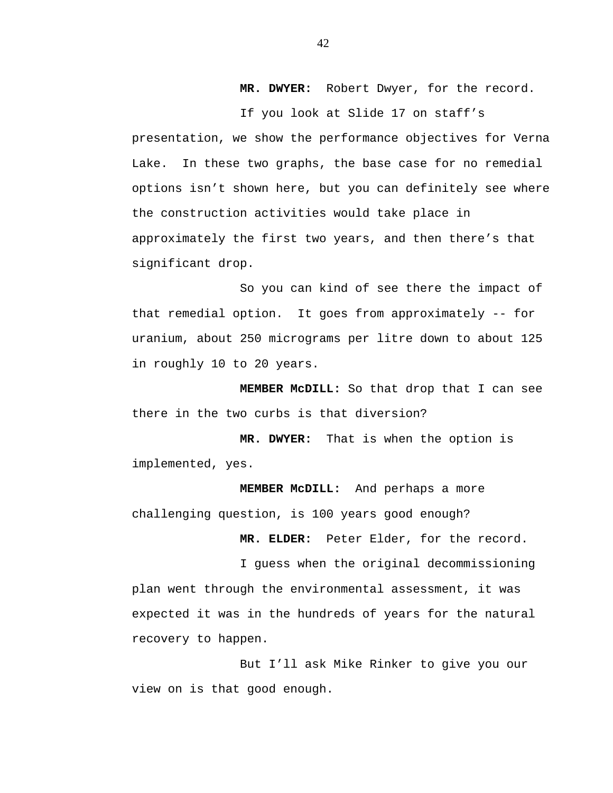**MR. DWYER:** Robert Dwyer, for the record.

If you look at Slide 17 on staff's presentation, we show the performance objectives for Verna Lake. In these two graphs, the base case for no remedial options isn't shown here, but you can definitely see where the construction activities would take place in approximately the first two years, and then there's that significant drop.

So you can kind of see there the impact of that remedial option. It goes from approximately -- for uranium, about 250 micrograms per litre down to about 125 in roughly 10 to 20 years.

**MEMBER McDILL:** So that drop that I can see there in the two curbs is that diversion?

**MR. DWYER:** That is when the option is implemented, yes.

**MEMBER McDILL:** And perhaps a more challenging question, is 100 years good enough?

**MR. ELDER:** Peter Elder, for the record.

I guess when the original decommissioning plan went through the environmental assessment, it was expected it was in the hundreds of years for the natural recovery to happen.

But I'll ask Mike Rinker to give you our view on is that good enough.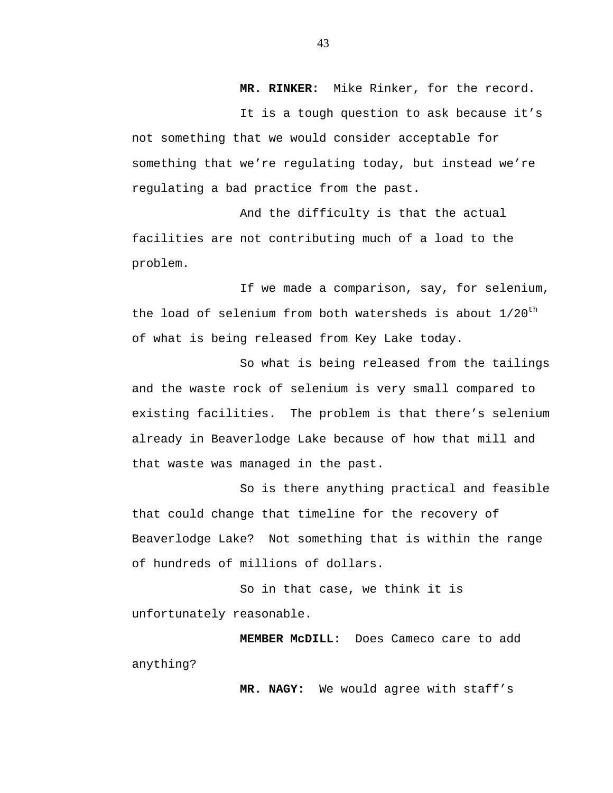**MR. RINKER:** Mike Rinker, for the record.

It is a tough question to ask because it's not something that we would consider acceptable for something that we're regulating today, but instead we're regulating a bad practice from the past.

And the difficulty is that the actual facilities are not contributing much of a load to the problem.

If we made a comparison, say, for selenium, the load of selenium from both watersheds is about  $1/20^{th}$ of what is being released from Key Lake today.

So what is being released from the tailings and the waste rock of selenium is very small compared to existing facilities. The problem is that there's selenium already in Beaverlodge Lake because of how that mill and that waste was managed in the past.

So is there anything practical and feasible that could change that timeline for the recovery of Beaverlodge Lake? Not something that is within the range of hundreds of millions of dollars.

So in that case, we think it is unfortunately reasonable.

**MEMBER McDILL:** Does Cameco care to add anything?

**MR. NAGY:** We would agree with staff's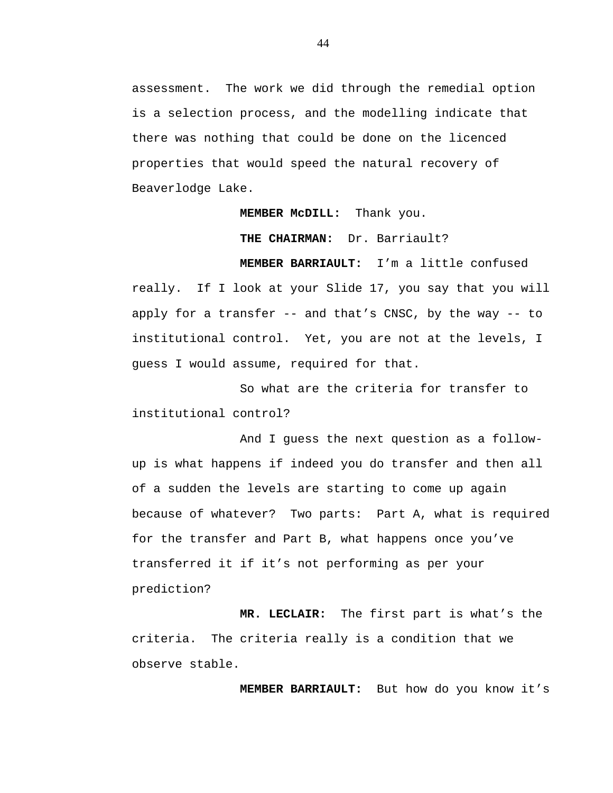assessment. The work we did through the remedial option is a selection process, and the modelling indicate that there was nothing that could be done on the licenced properties that would speed the natural recovery of Beaverlodge Lake.

#### **MEMBER McDILL:** Thank you.

**THE CHAIRMAN:** Dr. Barriault?

**MEMBER BARRIAULT:** I'm a little confused really. If I look at your Slide 17, you say that you will apply for a transfer -- and that's CNSC, by the way -- to institutional control. Yet, you are not at the levels, I guess I would assume, required for that.

So what are the criteria for transfer to institutional control?

And I guess the next question as a followup is what happens if indeed you do transfer and then all of a sudden the levels are starting to come up again because of whatever? Two parts: Part A, what is required for the transfer and Part B, what happens once you've transferred it if it's not performing as per your prediction?

**MR. LECLAIR:** The first part is what's the criteria. The criteria really is a condition that we observe stable.

**MEMBER BARRIAULT:** But how do you know it's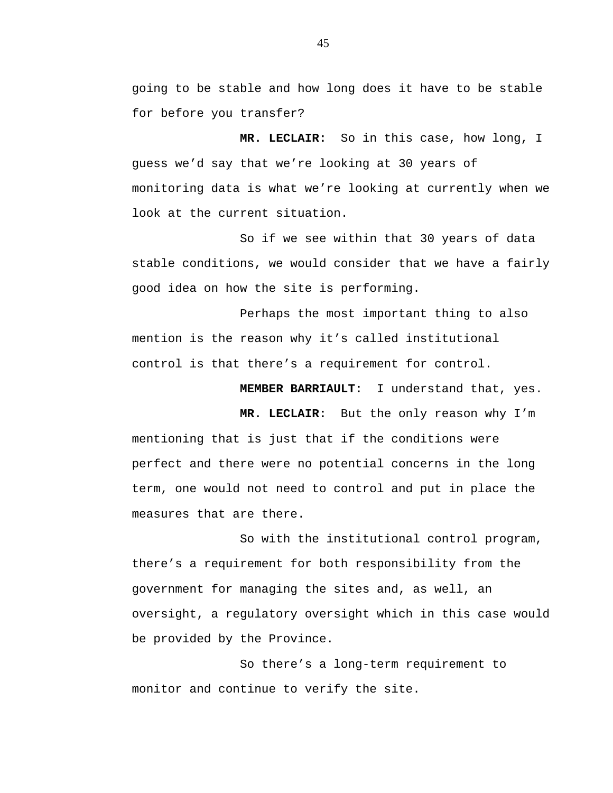going to be stable and how long does it have to be stable for before you transfer?

**MR. LECLAIR:** So in this case, how long, I guess we'd say that we're looking at 30 years of monitoring data is what we're looking at currently when we look at the current situation.

So if we see within that 30 years of data stable conditions, we would consider that we have a fairly good idea on how the site is performing.

Perhaps the most important thing to also mention is the reason why it's called institutional control is that there's a requirement for control.

**MEMBER BARRIAULT:** I understand that, yes.

**MR. LECLAIR:** But the only reason why I'm mentioning that is just that if the conditions were perfect and there were no potential concerns in the long term, one would not need to control and put in place the measures that are there.

So with the institutional control program, there's a requirement for both responsibility from the government for managing the sites and, as well, an oversight, a regulatory oversight which in this case would be provided by the Province.

So there's a long-term requirement to monitor and continue to verify the site.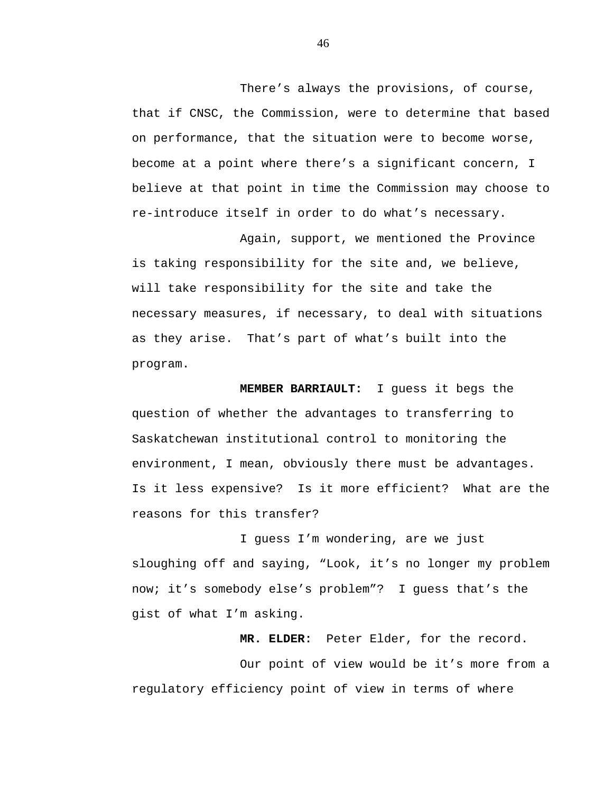There's always the provisions, of course, that if CNSC, the Commission, were to determine that based on performance, that the situation were to become worse, become at a point where there's a significant concern, I believe at that point in time the Commission may choose to re-introduce itself in order to do what's necessary.

Again, support, we mentioned the Province is taking responsibility for the site and, we believe, will take responsibility for the site and take the necessary measures, if necessary, to deal with situations as they arise. That's part of what's built into the program.

**MEMBER BARRIAULT:** I guess it begs the question of whether the advantages to transferring to Saskatchewan institutional control to monitoring the environment, I mean, obviously there must be advantages. Is it less expensive? Is it more efficient? What are the reasons for this transfer?

I guess I'm wondering, are we just sloughing off and saying, "Look, it's no longer my problem now; it's somebody else's problem"? I guess that's the gist of what I'm asking.

**MR. ELDER:** Peter Elder, for the record.

Our point of view would be it's more from a regulatory efficiency point of view in terms of where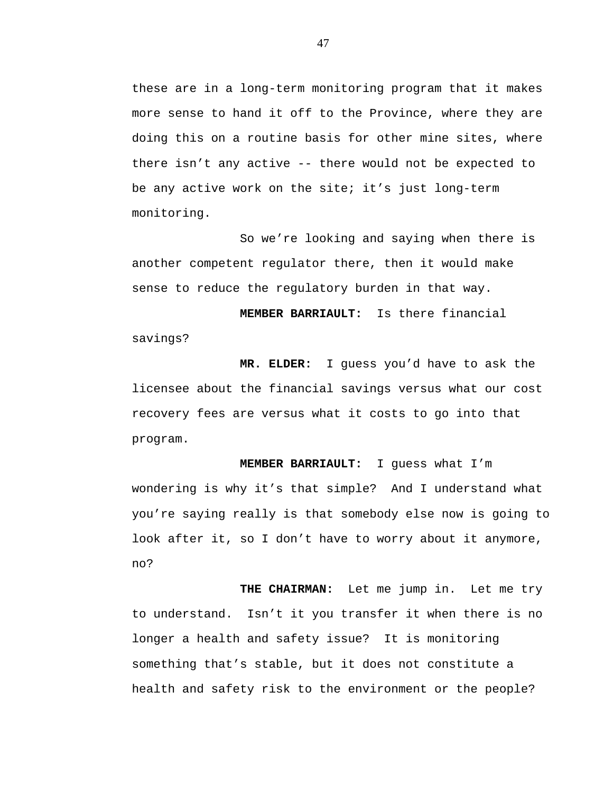these are in a long-term monitoring program that it makes more sense to hand it off to the Province, where they are doing this on a routine basis for other mine sites, where there isn't any active -- there would not be expected to be any active work on the site; it's just long-term monitoring.

So we're looking and saying when there is another competent regulator there, then it would make sense to reduce the regulatory burden in that way.

**MEMBER BARRIAULT:** Is there financial savings?

**MR. ELDER:** I guess you'd have to ask the licensee about the financial savings versus what our cost recovery fees are versus what it costs to go into that program.

**MEMBER BARRIAULT:** I guess what I'm wondering is why it's that simple? And I understand what you're saying really is that somebody else now is going to look after it, so I don't have to worry about it anymore, no?

THE CHAIRMAN: Let me jump in. Let me try to understand. Isn't it you transfer it when there is no longer a health and safety issue? It is monitoring something that's stable, but it does not constitute a health and safety risk to the environment or the people?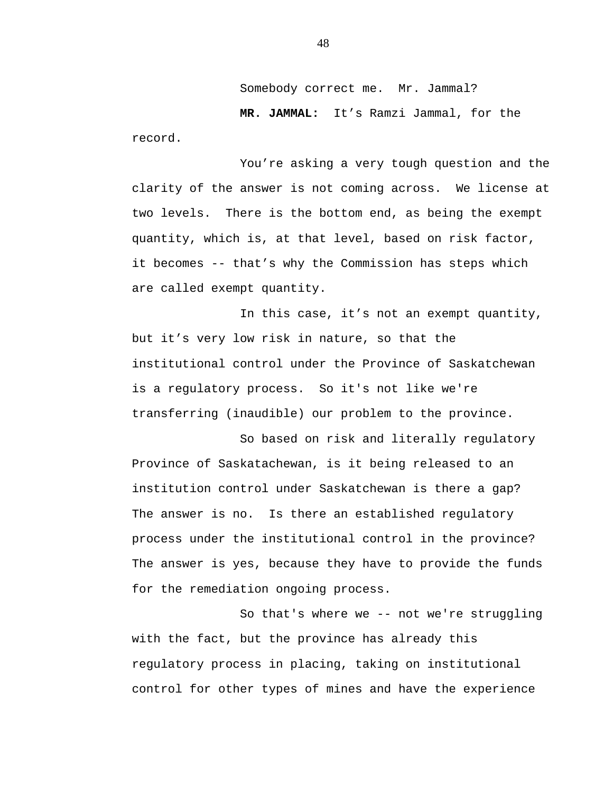Somebody correct me. Mr. Jammal?

**MR. JAMMAL:** It's Ramzi Jammal, for the record.

You're asking a very tough question and the clarity of the answer is not coming across. We license at two levels. There is the bottom end, as being the exempt quantity, which is, at that level, based on risk factor, it becomes -- that's why the Commission has steps which are called exempt quantity.

In this case, it's not an exempt quantity, but it's very low risk in nature, so that the institutional control under the Province of Saskatchewan is a regulatory process. So it's not like we're transferring (inaudible) our problem to the province.

So based on risk and literally regulatory Province of Saskatachewan, is it being released to an institution control under Saskatchewan is there a gap? The answer is no. Is there an established regulatory process under the institutional control in the province? The answer is yes, because they have to provide the funds for the remediation ongoing process.

So that's where we -- not we're struggling with the fact, but the province has already this regulatory process in placing, taking on institutional control for other types of mines and have the experience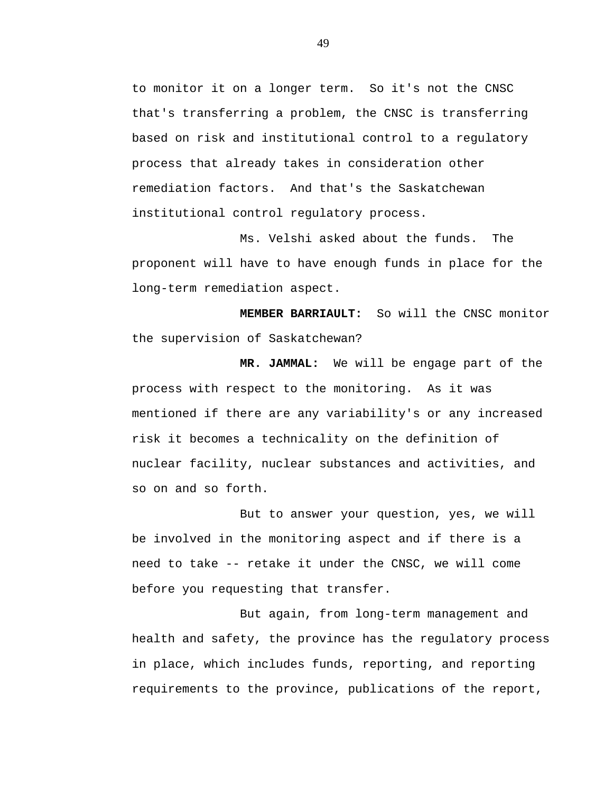to monitor it on a longer term. So it's not the CNSC that's transferring a problem, the CNSC is transferring based on risk and institutional control to a regulatory process that already takes in consideration other remediation factors. And that's the Saskatchewan institutional control regulatory process.

Ms. Velshi asked about the funds. The proponent will have to have enough funds in place for the long-term remediation aspect.

**MEMBER BARRIAULT:** So will the CNSC monitor the supervision of Saskatchewan?

**MR. JAMMAL:** We will be engage part of the process with respect to the monitoring. As it was mentioned if there are any variability's or any increased risk it becomes a technicality on the definition of nuclear facility, nuclear substances and activities, and so on and so forth.

But to answer your question, yes, we will be involved in the monitoring aspect and if there is a need to take -- retake it under the CNSC, we will come before you requesting that transfer.

But again, from long-term management and health and safety, the province has the regulatory process in place, which includes funds, reporting, and reporting requirements to the province, publications of the report,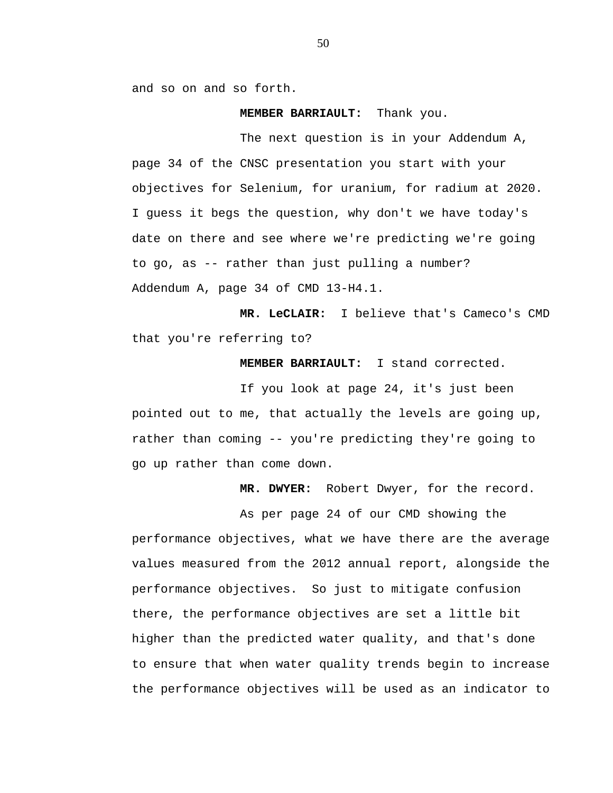and so on and so forth.

**MEMBER BARRIAULT:** Thank you.

The next question is in your Addendum A, page 34 of the CNSC presentation you start with your objectives for Selenium, for uranium, for radium at 2020. I guess it begs the question, why don't we have today's date on there and see where we're predicting we're going to go, as -- rather than just pulling a number? Addendum A, page 34 of CMD 13-H4.1.

**MR. LeCLAIR:** I believe that's Cameco's CMD that you're referring to?

**MEMBER BARRIAULT:** I stand corrected.

If you look at page 24, it's just been pointed out to me, that actually the levels are going up, rather than coming -- you're predicting they're going to go up rather than come down.

**MR. DWYER:** Robert Dwyer, for the record.

As per page 24 of our CMD showing the performance objectives, what we have there are the average values measured from the 2012 annual report, alongside the performance objectives. So just to mitigate confusion there, the performance objectives are set a little bit higher than the predicted water quality, and that's done to ensure that when water quality trends begin to increase the performance objectives will be used as an indicator to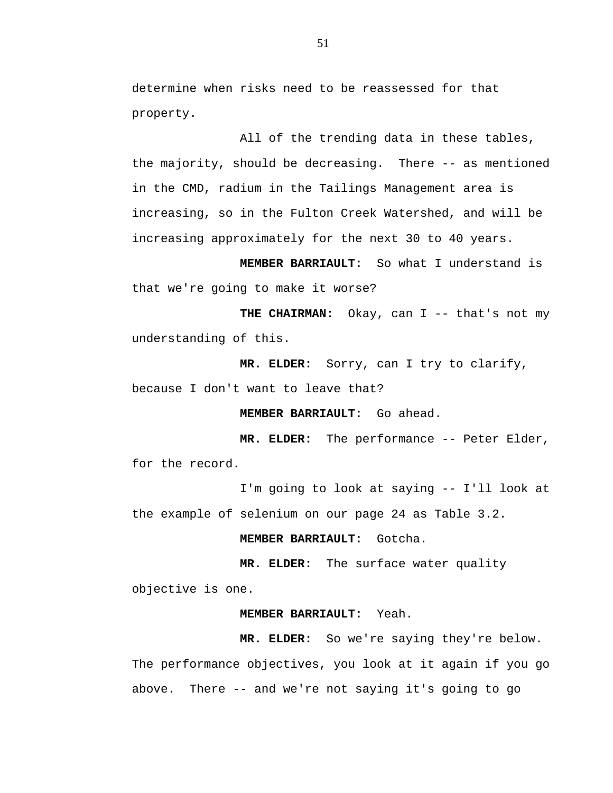determine when risks need to be reassessed for that property.

All of the trending data in these tables, the majority, should be decreasing. There -- as mentioned in the CMD, radium in the Tailings Management area is increasing, so in the Fulton Creek Watershed, and will be increasing approximately for the next 30 to 40 years.

**MEMBER BARRIAULT:** So what I understand is that we're going to make it worse?

**THE CHAIRMAN:** Okay, can I -- that's not my understanding of this.

**MR. ELDER:** Sorry, can I try to clarify,

because I don't want to leave that?

**MEMBER BARRIAULT:** Go ahead.

**MR. ELDER:** The performance -- Peter Elder, for the record.

I'm going to look at saying -- I'll look at the example of selenium on our page 24 as Table 3.2.

**MEMBER BARRIAULT:** Gotcha.

**MR. ELDER:** The surface water quality objective is one.

# **MEMBER BARRIAULT:** Yeah.

**MR. ELDER:** So we're saying they're below. The performance objectives, you look at it again if you go above. There -- and we're not saying it's going to go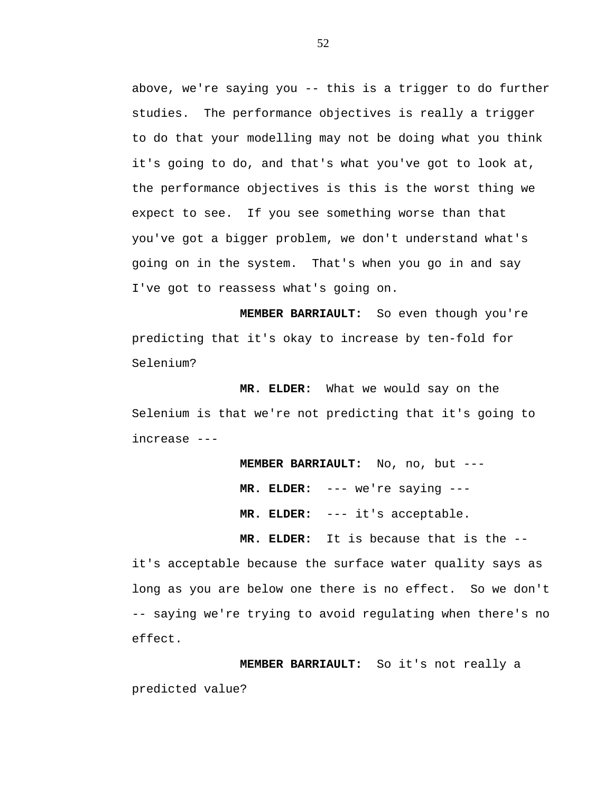above, we're saying you -- this is a trigger to do further studies. The performance objectives is really a trigger to do that your modelling may not be doing what you think it's going to do, and that's what you've got to look at, the performance objectives is this is the worst thing we expect to see. If you see something worse than that you've got a bigger problem, we don't understand what's going on in the system. That's when you go in and say I've got to reassess what's going on.

**MEMBER BARRIAULT:** So even though you're predicting that it's okay to increase by ten-fold for Selenium?

**MR. ELDER:** What we would say on the Selenium is that we're not predicting that it's going to increase ---

> **MEMBER BARRIAULT:** No, no, but --- **MR. ELDER:** --- we're saying --- **MR. ELDER:** --- it's acceptable.

**MR. ELDER:** It is because that is the --

it's acceptable because the surface water quality says as long as you are below one there is no effect. So we don't -- saying we're trying to avoid regulating when there's no effect.

**MEMBER BARRIAULT:** So it's not really a predicted value?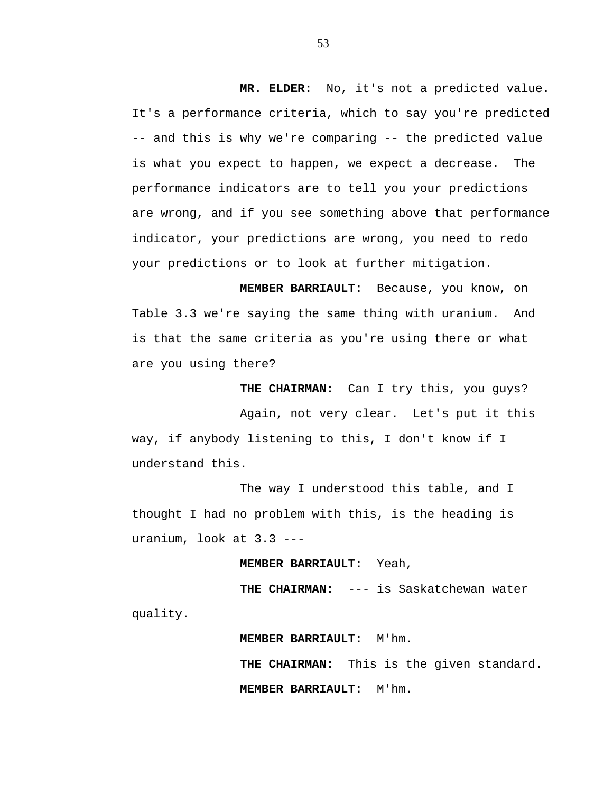**MR. ELDER:** No, it's not a predicted value. It's a performance criteria, which to say you're predicted -- and this is why we're comparing -- the predicted value is what you expect to happen, we expect a decrease. The performance indicators are to tell you your predictions are wrong, and if you see something above that performance indicator, your predictions are wrong, you need to redo your predictions or to look at further mitigation.

**MEMBER BARRIAULT:** Because, you know, on Table 3.3 we're saying the same thing with uranium. And is that the same criteria as you're using there or what are you using there?

**THE CHAIRMAN:** Can I try this, you guys? Again, not very clear. Let's put it this way, if anybody listening to this, I don't know if I understand this.

The way I understood this table, and I thought I had no problem with this, is the heading is uranium, look at 3.3 ---

**MEMBER BARRIAULT:** Yeah,

**THE CHAIRMAN:** --- is Saskatchewan water

quality.

**MEMBER BARRIAULT:** M'hm. **THE CHAIRMAN:** This is the given standard. **MEMBER BARRIAULT:** M'hm.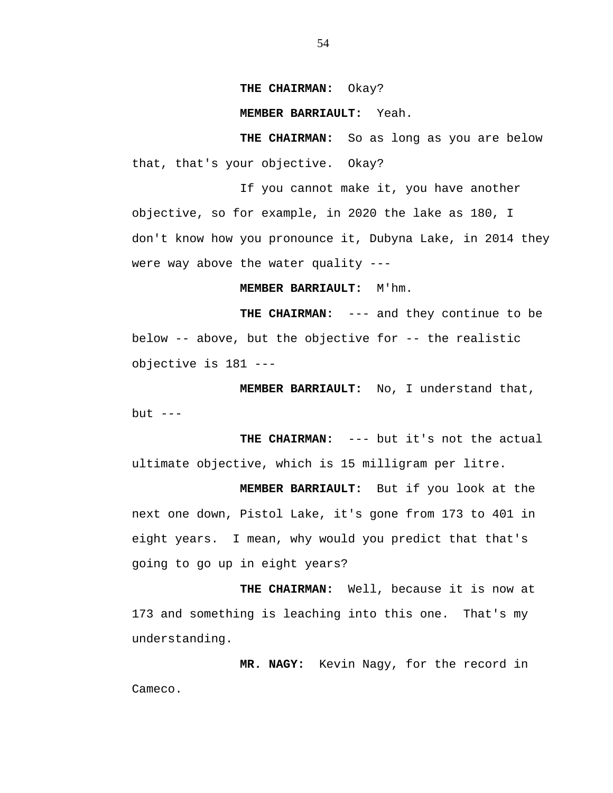## **THE CHAIRMAN:** Okay?

#### **MEMBER BARRIAULT:** Yeah.

**THE CHAIRMAN:** So as long as you are below that, that's your objective. Okay?

If you cannot make it, you have another objective, so for example, in 2020 the lake as 180, I don't know how you pronounce it, Dubyna Lake, in 2014 they were way above the water quality ---

**MEMBER BARRIAULT:** M'hm.

**THE CHAIRMAN:** --- and they continue to be below  $-$ - above, but the objective for  $-$ - the realistic objective is 181 ---

**MEMBER BARRIAULT:** No, I understand that, but  $---$ 

**THE CHAIRMAN:** --- but it's not the actual ultimate objective, which is 15 milligram per litre.

**MEMBER BARRIAULT:** But if you look at the next one down, Pistol Lake, it's gone from 173 to 401 in eight years. I mean, why would you predict that that's going to go up in eight years?

**THE CHAIRMAN:** Well, because it is now at 173 and something is leaching into this one. That's my understanding.

**MR. NAGY:** Kevin Nagy, for the record in Cameco.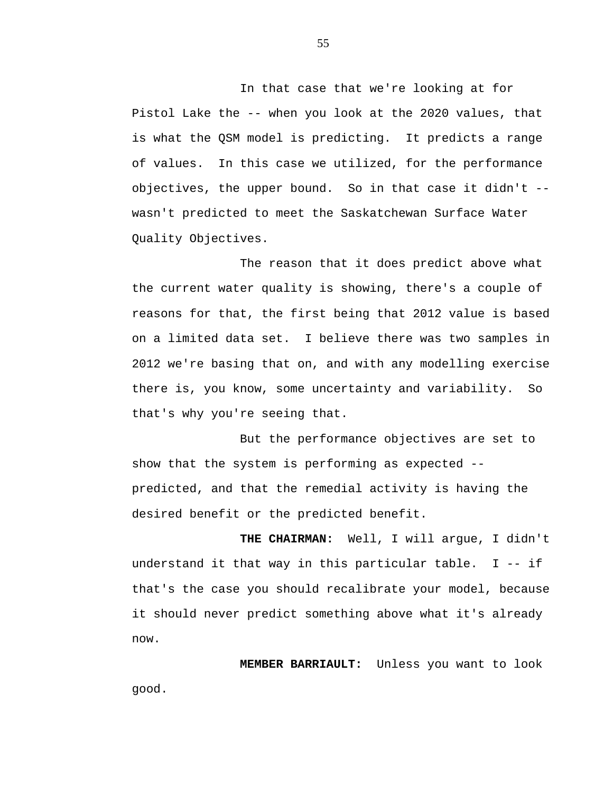In that case that we're looking at for Pistol Lake the -- when you look at the 2020 values, that is what the QSM model is predicting. It predicts a range of values. In this case we utilized, for the performance objectives, the upper bound. So in that case it didn't - wasn't predicted to meet the Saskatchewan Surface Water Quality Objectives.

The reason that it does predict above what the current water quality is showing, there's a couple of reasons for that, the first being that 2012 value is based on a limited data set. I believe there was two samples in 2012 we're basing that on, and with any modelling exercise there is, you know, some uncertainty and variability. So that's why you're seeing that.

But the performance objectives are set to show that the system is performing as expected - predicted, and that the remedial activity is having the desired benefit or the predicted benefit.

**THE CHAIRMAN:** Well, I will argue, I didn't understand it that way in this particular table. I -- if that's the case you should recalibrate your model, because it should never predict something above what it's already now.

**MEMBER BARRIAULT:** Unless you want to look good.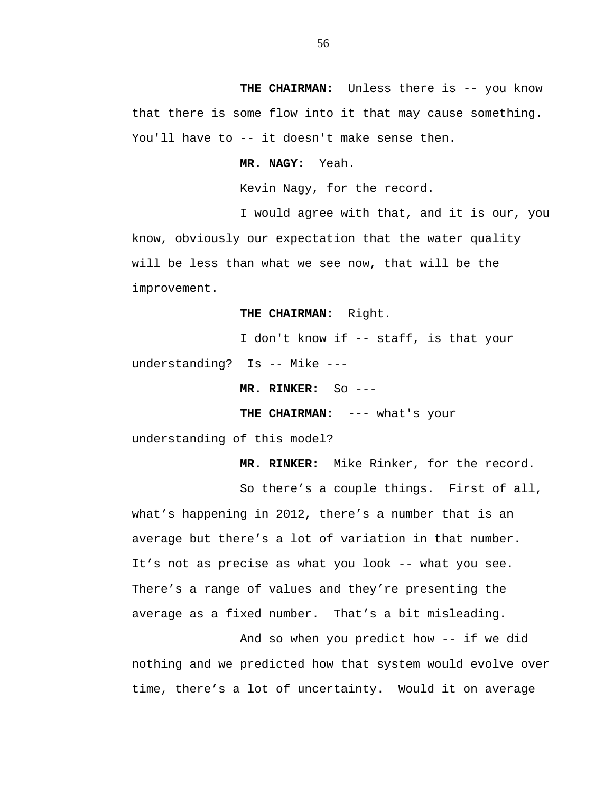THE CHAIRMAN: Unless there is -- you know that there is some flow into it that may cause something. You'll have to -- it doesn't make sense then.

**MR. NAGY:** Yeah.

Kevin Nagy, for the record.

I would agree with that, and it is our, you know, obviously our expectation that the water quality will be less than what we see now, that will be the improvement.

**THE CHAIRMAN:** Right.

I don't know if -- staff, is that your understanding? Is -- Mike ---

**MR. RINKER:** So ---

**THE CHAIRMAN:** --- what's your

understanding of this model?

 **MR. RINKER:** Mike Rinker, for the record.

So there's a couple things. First of all, what's happening in 2012, there's a number that is an average but there's a lot of variation in that number. It's not as precise as what you look -- what you see. There's a range of values and they're presenting the average as a fixed number. That's a bit misleading.

And so when you predict how -- if we did nothing and we predicted how that system would evolve over time, there's a lot of uncertainty. Would it on average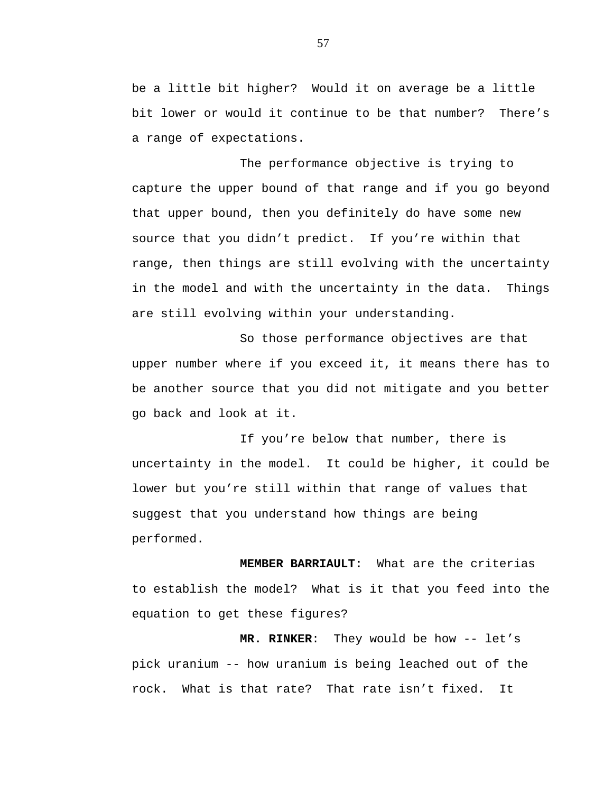be a little bit higher? Would it on average be a little bit lower or would it continue to be that number? There's a range of expectations.

The performance objective is trying to capture the upper bound of that range and if you go beyond that upper bound, then you definitely do have some new source that you didn't predict. If you're within that range, then things are still evolving with the uncertainty in the model and with the uncertainty in the data. Things are still evolving within your understanding.

So those performance objectives are that upper number where if you exceed it, it means there has to be another source that you did not mitigate and you better go back and look at it.

If you're below that number, there is uncertainty in the model. It could be higher, it could be lower but you're still within that range of values that suggest that you understand how things are being performed.

**MEMBER BARRIAULT:** What are the criterias to establish the model? What is it that you feed into the equation to get these figures?

**MR. RINKER**: They would be how -- let's pick uranium -- how uranium is being leached out of the rock. What is that rate? That rate isn't fixed. It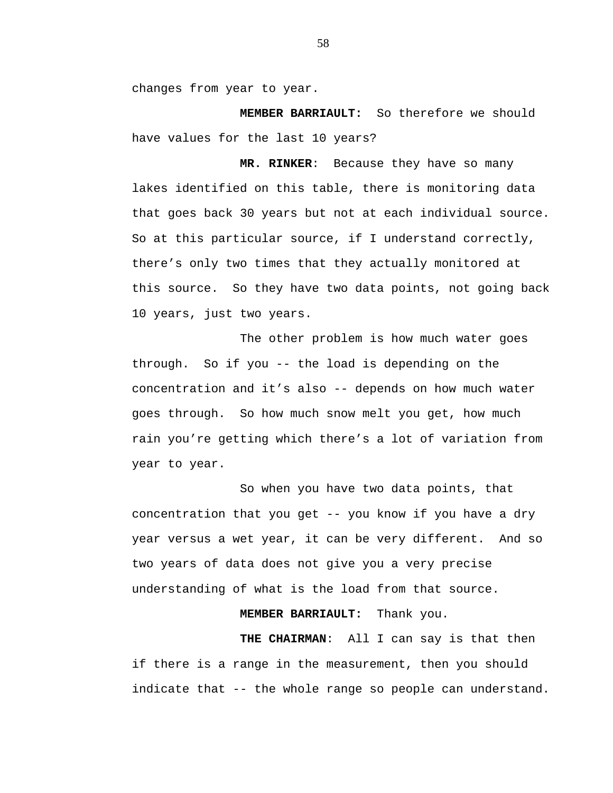changes from year to year.

**MEMBER BARRIAULT:** So therefore we should have values for the last 10 years?

**MR. RINKER**: Because they have so many lakes identified on this table, there is monitoring data that goes back 30 years but not at each individual source. So at this particular source, if I understand correctly, there's only two times that they actually monitored at this source. So they have two data points, not going back 10 years, just two years.

The other problem is how much water goes through. So if you -- the load is depending on the concentration and it's also -- depends on how much water goes through. So how much snow melt you get, how much rain you're getting which there's a lot of variation from year to year.

So when you have two data points, that concentration that you get -- you know if you have a dry year versus a wet year, it can be very different. And so two years of data does not give you a very precise understanding of what is the load from that source.

# **MEMBER BARRIAULT:** Thank you.

**THE CHAIRMAN**: All I can say is that then if there is a range in the measurement, then you should indicate that -- the whole range so people can understand.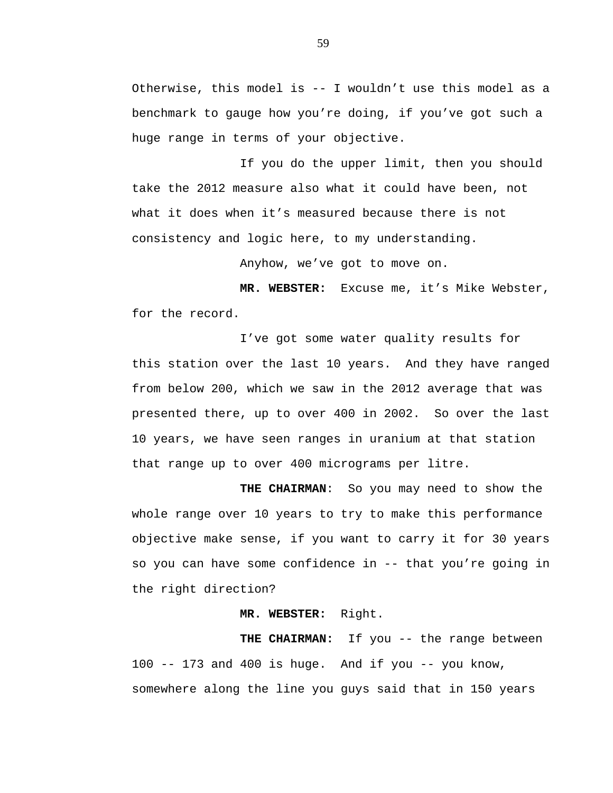Otherwise, this model is -- I wouldn't use this model as a benchmark to gauge how you're doing, if you've got such a huge range in terms of your objective.

If you do the upper limit, then you should take the 2012 measure also what it could have been, not what it does when it's measured because there is not consistency and logic here, to my understanding.

Anyhow, we've got to move on.

**MR. WEBSTER:** Excuse me, it's Mike Webster, for the record.

I've got some water quality results for this station over the last 10 years. And they have ranged from below 200, which we saw in the 2012 average that was presented there, up to over 400 in 2002. So over the last 10 years, we have seen ranges in uranium at that station that range up to over 400 micrograms per litre.

**THE CHAIRMAN**: So you may need to show the whole range over 10 years to try to make this performance objective make sense, if you want to carry it for 30 years so you can have some confidence in -- that you're going in the right direction?

## **MR. WEBSTER:** Right.

THE CHAIRMAN: If you -- the range between 100  $-$  173 and 400 is huge. And if you  $-$  you know, somewhere along the line you guys said that in 150 years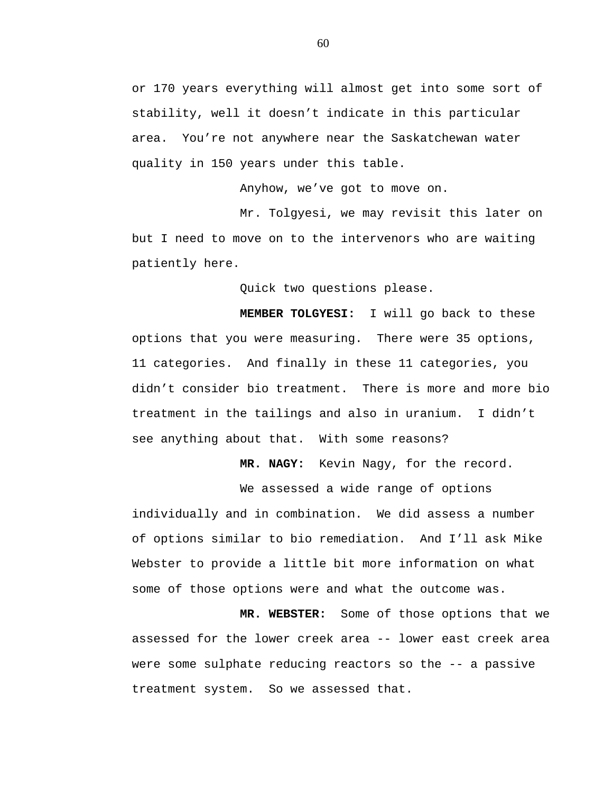or 170 years everything will almost get into some sort of stability, well it doesn't indicate in this particular area. You're not anywhere near the Saskatchewan water quality in 150 years under this table.

Anyhow, we've got to move on.

Mr. Tolgyesi, we may revisit this later on but I need to move on to the intervenors who are waiting patiently here.

Quick two questions please.

**MEMBER TOLGYESI:** I will go back to these options that you were measuring. There were 35 options, 11 categories. And finally in these 11 categories, you didn't consider bio treatment. There is more and more bio treatment in the tailings and also in uranium. I didn't see anything about that. With some reasons?

**MR. NAGY:** Kevin Nagy, for the record.

We assessed a wide range of options individually and in combination. We did assess a number of options similar to bio remediation. And I'll ask Mike Webster to provide a little bit more information on what some of those options were and what the outcome was.

**MR. WEBSTER:** Some of those options that we assessed for the lower creek area -- lower east creek area were some sulphate reducing reactors so the -- a passive treatment system. So we assessed that.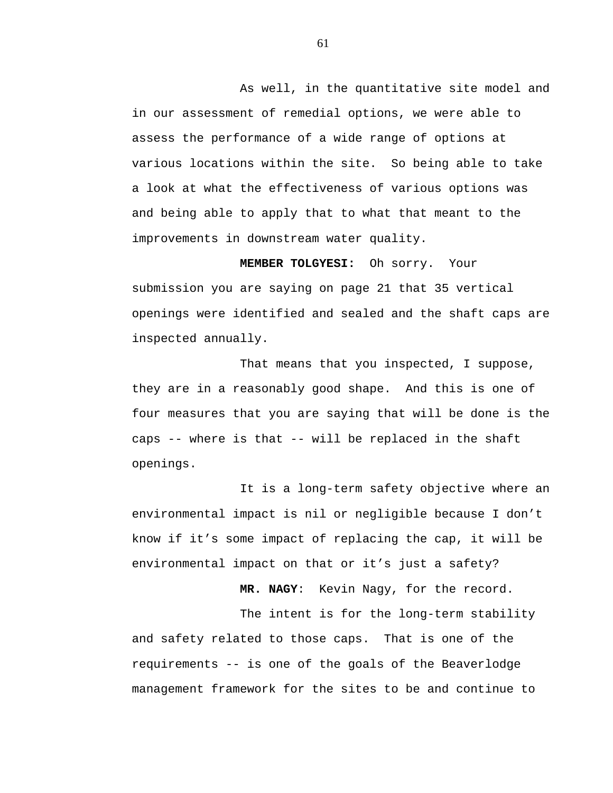As well, in the quantitative site model and in our assessment of remedial options, we were able to assess the performance of a wide range of options at various locations within the site. So being able to take a look at what the effectiveness of various options was and being able to apply that to what that meant to the improvements in downstream water quality.

**MEMBER TOLGYESI:** Oh sorry. Your submission you are saying on page 21 that 35 vertical openings were identified and sealed and the shaft caps are inspected annually.

That means that you inspected, I suppose, they are in a reasonably good shape. And this is one of four measures that you are saying that will be done is the caps -- where is that -- will be replaced in the shaft openings.

It is a long-term safety objective where an environmental impact is nil or negligible because I don't know if it's some impact of replacing the cap, it will be environmental impact on that or it's just a safety?

**MR. NAGY**: Kevin Nagy, for the record.

The intent is for the long-term stability and safety related to those caps. That is one of the requirements -- is one of the goals of the Beaverlodge management framework for the sites to be and continue to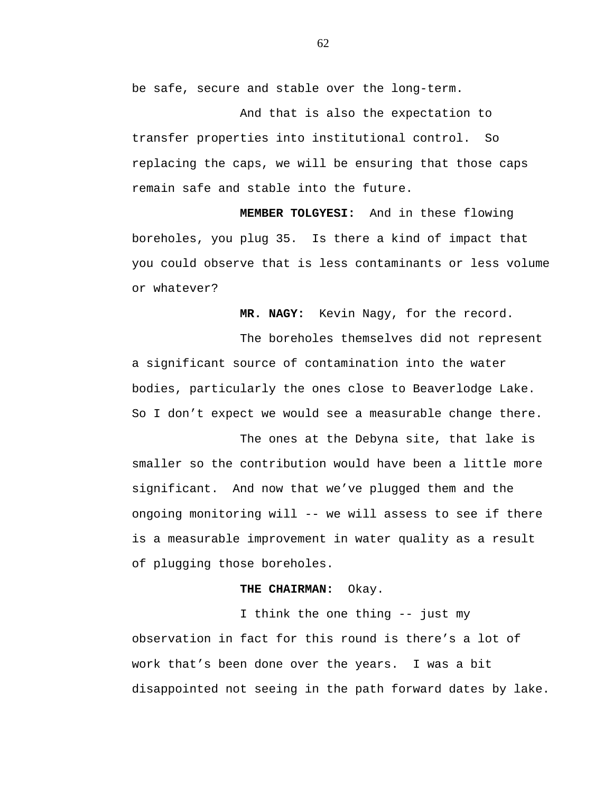be safe, secure and stable over the long-term.

And that is also the expectation to transfer properties into institutional control. So replacing the caps, we will be ensuring that those caps remain safe and stable into the future.

**MEMBER TOLGYESI:** And in these flowing boreholes, you plug 35. Is there a kind of impact that you could observe that is less contaminants or less volume or whatever?

**MR. NAGY:** Kevin Nagy, for the record.

The boreholes themselves did not represent a significant source of contamination into the water bodies, particularly the ones close to Beaverlodge Lake. So I don't expect we would see a measurable change there.

The ones at the Debyna site, that lake is smaller so the contribution would have been a little more significant. And now that we've plugged them and the ongoing monitoring will -- we will assess to see if there is a measurable improvement in water quality as a result of plugging those boreholes.

# **THE CHAIRMAN:** Okay.

I think the one thing -- just my observation in fact for this round is there's a lot of work that's been done over the years. I was a bit disappointed not seeing in the path forward dates by lake.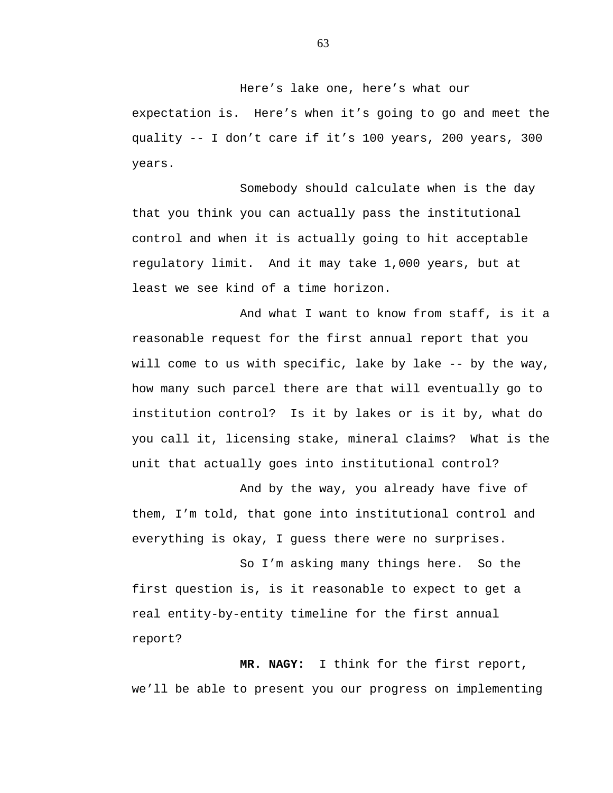Here's lake one, here's what our expectation is. Here's when it's going to go and meet the quality -- I don't care if it's 100 years, 200 years, 300 years.

Somebody should calculate when is the day that you think you can actually pass the institutional control and when it is actually going to hit acceptable regulatory limit. And it may take 1,000 years, but at least we see kind of a time horizon.

And what I want to know from staff, is it a reasonable request for the first annual report that you will come to us with specific, lake by lake -- by the way, how many such parcel there are that will eventually go to institution control? Is it by lakes or is it by, what do you call it, licensing stake, mineral claims? What is the unit that actually goes into institutional control?

And by the way, you already have five of them, I'm told, that gone into institutional control and everything is okay, I guess there were no surprises.

So I'm asking many things here. So the first question is, is it reasonable to expect to get a real entity-by-entity timeline for the first annual report?

**MR. NAGY:** I think for the first report, we'll be able to present you our progress on implementing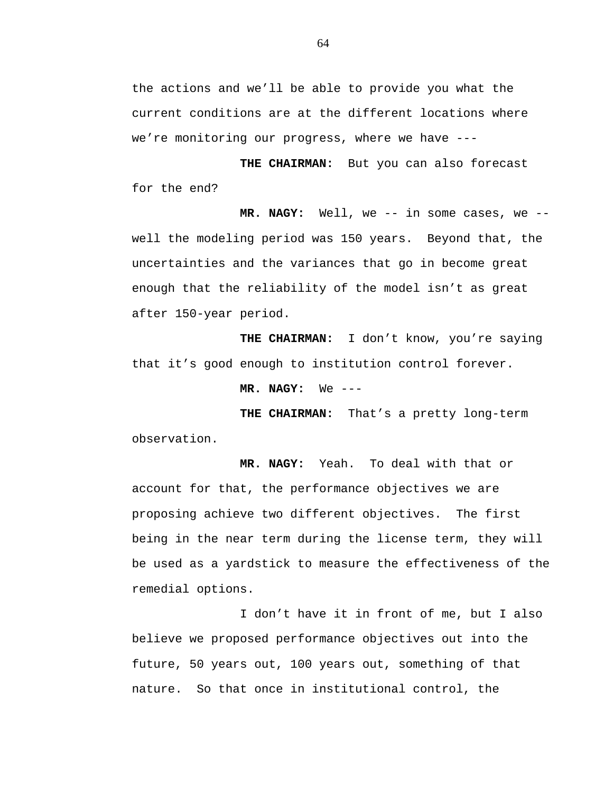the actions and we'll be able to provide you what the current conditions are at the different locations where we're monitoring our progress, where we have ---

**THE CHAIRMAN:** But you can also forecast for the end?

**MR. NAGY:** Well, we -- in some cases, we - well the modeling period was 150 years. Beyond that, the uncertainties and the variances that go in become great enough that the reliability of the model isn't as great after 150-year period.

**THE CHAIRMAN:** I don't know, you're saying that it's good enough to institution control forever.

**MR. NAGY:** We ---

**THE CHAIRMAN:** That's a pretty long-term observation.

**MR. NAGY:** Yeah. To deal with that or account for that, the performance objectives we are proposing achieve two different objectives. The first being in the near term during the license term, they will be used as a yardstick to measure the effectiveness of the remedial options.

I don't have it in front of me, but I also believe we proposed performance objectives out into the future, 50 years out, 100 years out, something of that nature. So that once in institutional control, the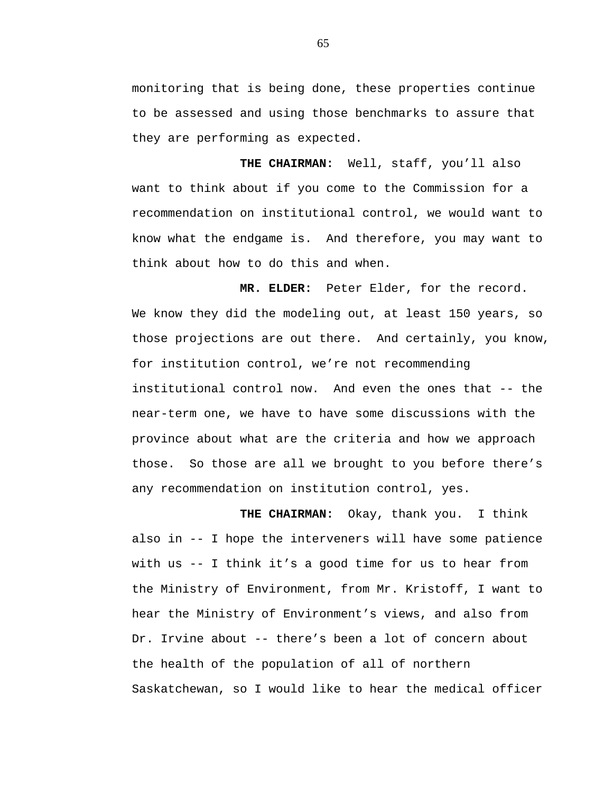monitoring that is being done, these properties continue to be assessed and using those benchmarks to assure that they are performing as expected.

**THE CHAIRMAN:** Well, staff, you'll also want to think about if you come to the Commission for a recommendation on institutional control, we would want to know what the endgame is. And therefore, you may want to think about how to do this and when.

**MR. ELDER:** Peter Elder, for the record. We know they did the modeling out, at least 150 years, so those projections are out there. And certainly, you know, for institution control, we're not recommending institutional control now. And even the ones that -- the near-term one, we have to have some discussions with the province about what are the criteria and how we approach those. So those are all we brought to you before there's any recommendation on institution control, yes.

**THE CHAIRMAN:** Okay, thank you. I think also in -- I hope the interveners will have some patience with us -- I think it's a good time for us to hear from the Ministry of Environment, from Mr. Kristoff, I want to hear the Ministry of Environment's views, and also from Dr. Irvine about -- there's been a lot of concern about the health of the population of all of northern Saskatchewan, so I would like to hear the medical officer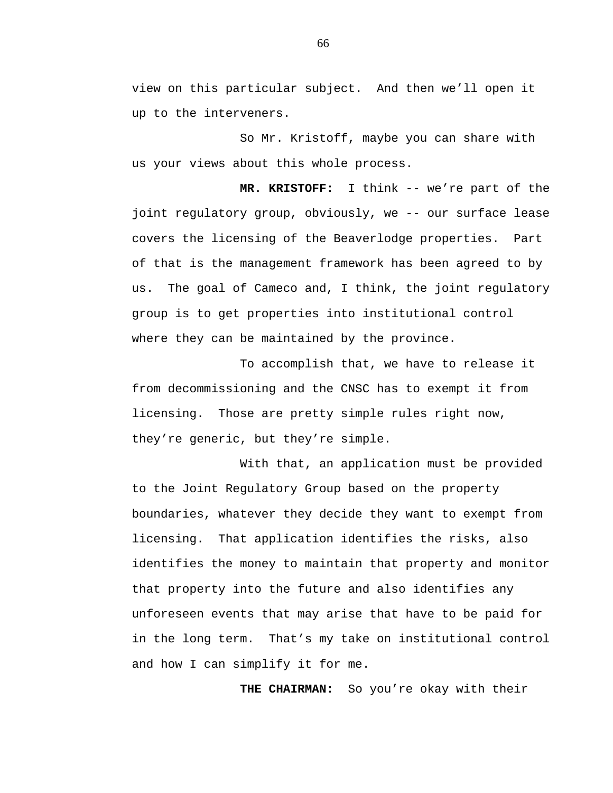view on this particular subject. And then we'll open it up to the interveners.

So Mr. Kristoff, maybe you can share with us your views about this whole process.

**MR. KRISTOFF:** I think -- we're part of the joint regulatory group, obviously, we -- our surface lease covers the licensing of the Beaverlodge properties. Part of that is the management framework has been agreed to by us. The goal of Cameco and, I think, the joint regulatory group is to get properties into institutional control where they can be maintained by the province.

To accomplish that, we have to release it from decommissioning and the CNSC has to exempt it from licensing. Those are pretty simple rules right now, they're generic, but they're simple.

With that, an application must be provided to the Joint Regulatory Group based on the property boundaries, whatever they decide they want to exempt from licensing. That application identifies the risks, also identifies the money to maintain that property and monitor that property into the future and also identifies any unforeseen events that may arise that have to be paid for in the long term. That's my take on institutional control and how I can simplify it for me.

**THE CHAIRMAN:** So you're okay with their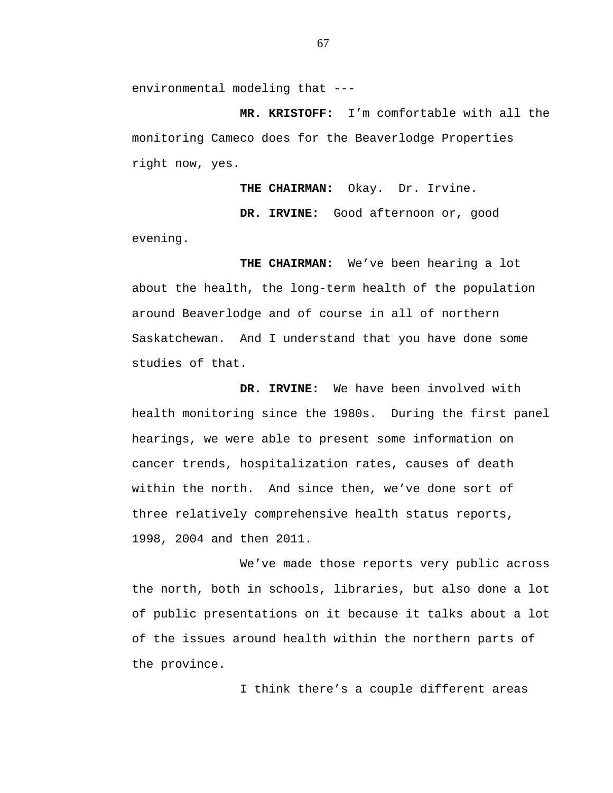environmental modeling that ---

**MR. KRISTOFF:** I'm comfortable with all the monitoring Cameco does for the Beaverlodge Properties right now, yes.

**THE CHAIRMAN:** Okay. Dr. Irvine.

**DR. IRVINE:** Good afternoon or, good evening.

**THE CHAIRMAN:** We've been hearing a lot about the health, the long-term health of the population around Beaverlodge and of course in all of northern Saskatchewan. And I understand that you have done some studies of that.

**DR. IRVINE:** We have been involved with health monitoring since the 1980s. During the first panel hearings, we were able to present some information on cancer trends, hospitalization rates, causes of death within the north. And since then, we've done sort of three relatively comprehensive health status reports, 1998, 2004 and then 2011.

We've made those reports very public across the north, both in schools, libraries, but also done a lot of public presentations on it because it talks about a lot of the issues around health within the northern parts of the province.

I think there's a couple different areas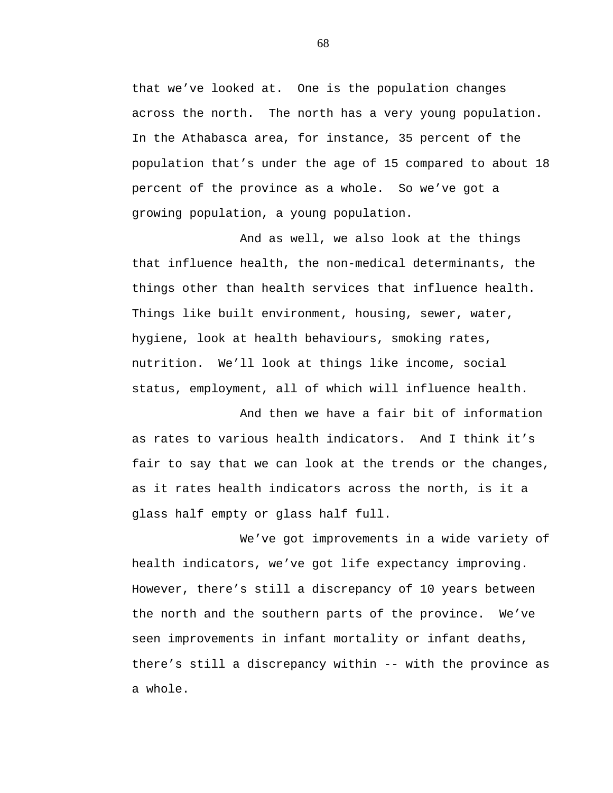that we've looked at. One is the population changes across the north. The north has a very young population. In the Athabasca area, for instance, 35 percent of the population that's under the age of 15 compared to about 18 percent of the province as a whole. So we've got a growing population, a young population.

And as well, we also look at the things that influence health, the non-medical determinants, the things other than health services that influence health. Things like built environment, housing, sewer, water, hygiene, look at health behaviours, smoking rates, nutrition. We'll look at things like income, social status, employment, all of which will influence health.

And then we have a fair bit of information as rates to various health indicators. And I think it's fair to say that we can look at the trends or the changes, as it rates health indicators across the north, is it a glass half empty or glass half full.

We've got improvements in a wide variety of health indicators, we've got life expectancy improving. However, there's still a discrepancy of 10 years between the north and the southern parts of the province. We've seen improvements in infant mortality or infant deaths, there's still a discrepancy within -- with the province as a whole.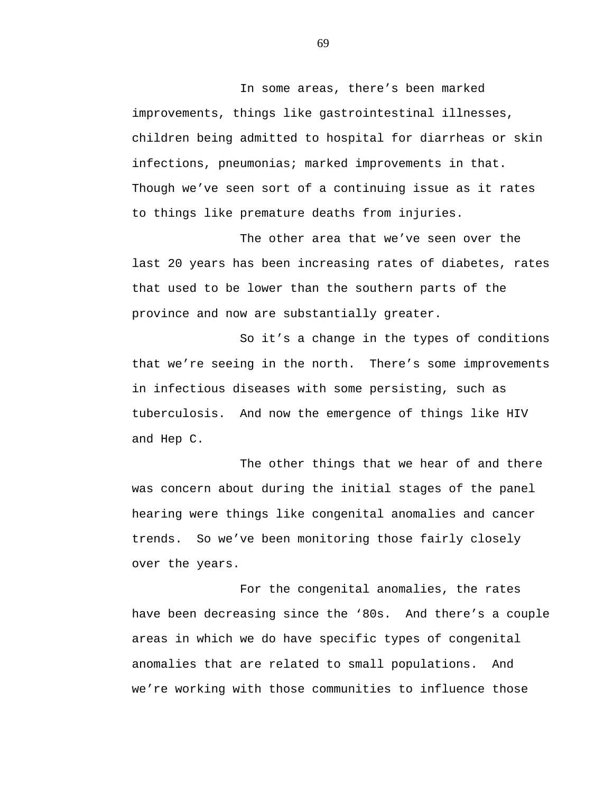In some areas, there's been marked improvements, things like gastrointestinal illnesses, children being admitted to hospital for diarrheas or skin infections, pneumonias; marked improvements in that. Though we've seen sort of a continuing issue as it rates to things like premature deaths from injuries.

The other area that we've seen over the last 20 years has been increasing rates of diabetes, rates that used to be lower than the southern parts of the province and now are substantially greater.

So it's a change in the types of conditions that we're seeing in the north. There's some improvements in infectious diseases with some persisting, such as tuberculosis. And now the emergence of things like HIV and Hep C.

The other things that we hear of and there was concern about during the initial stages of the panel hearing were things like congenital anomalies and cancer trends. So we've been monitoring those fairly closely over the years.

For the congenital anomalies, the rates have been decreasing since the '80s. And there's a couple areas in which we do have specific types of congenital anomalies that are related to small populations. And we're working with those communities to influence those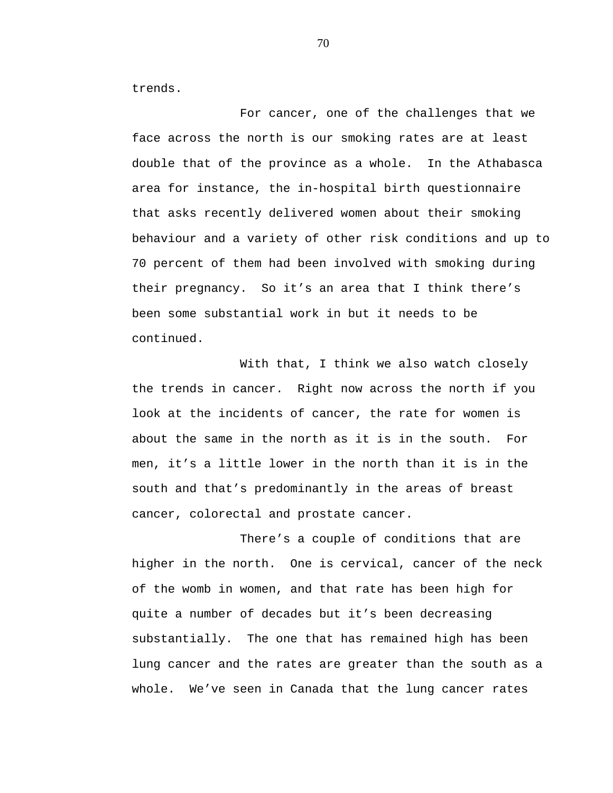trends.

For cancer, one of the challenges that we face across the north is our smoking rates are at least double that of the province as a whole. In the Athabasca area for instance, the in-hospital birth questionnaire that asks recently delivered women about their smoking behaviour and a variety of other risk conditions and up to 70 percent of them had been involved with smoking during their pregnancy. So it's an area that I think there's been some substantial work in but it needs to be continued.

With that, I think we also watch closely the trends in cancer. Right now across the north if you look at the incidents of cancer, the rate for women is about the same in the north as it is in the south. For men, it's a little lower in the north than it is in the south and that's predominantly in the areas of breast cancer, colorectal and prostate cancer.

There's a couple of conditions that are higher in the north. One is cervical, cancer of the neck of the womb in women, and that rate has been high for quite a number of decades but it's been decreasing substantially. The one that has remained high has been lung cancer and the rates are greater than the south as a whole. We've seen in Canada that the lung cancer rates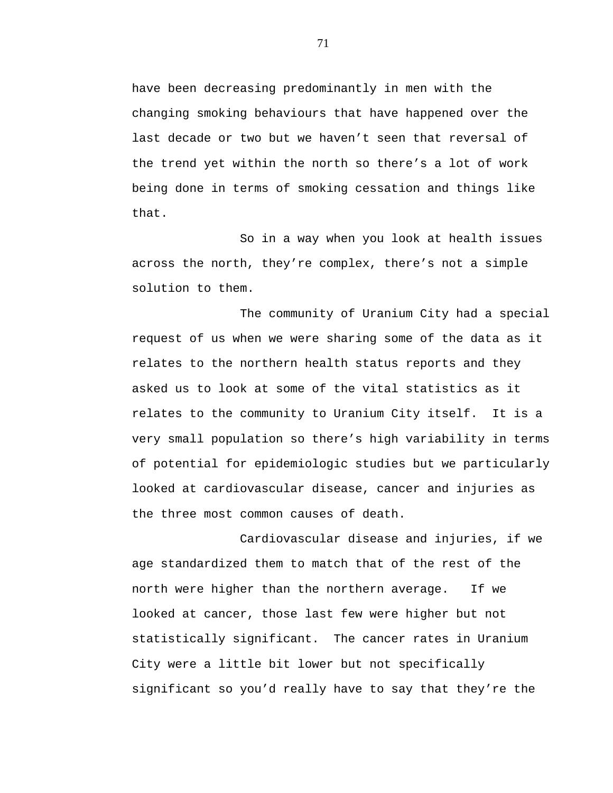have been decreasing predominantly in men with the changing smoking behaviours that have happened over the last decade or two but we haven't seen that reversal of the trend yet within the north so there's a lot of work being done in terms of smoking cessation and things like that.

So in a way when you look at health issues across the north, they're complex, there's not a simple solution to them.

The community of Uranium City had a special request of us when we were sharing some of the data as it relates to the northern health status reports and they asked us to look at some of the vital statistics as it relates to the community to Uranium City itself. It is a very small population so there's high variability in terms of potential for epidemiologic studies but we particularly looked at cardiovascular disease, cancer and injuries as the three most common causes of death.

Cardiovascular disease and injuries, if we age standardized them to match that of the rest of the north were higher than the northern average. If we looked at cancer, those last few were higher but not statistically significant. The cancer rates in Uranium City were a little bit lower but not specifically significant so you'd really have to say that they're the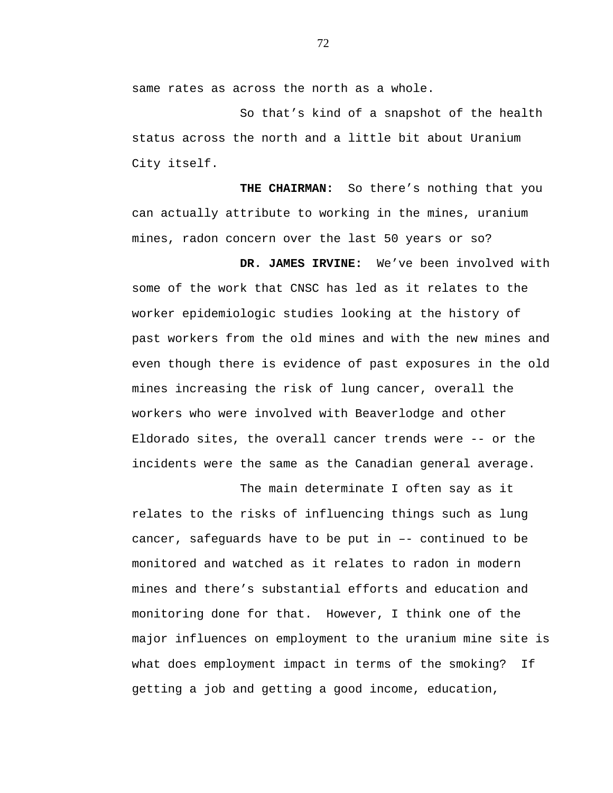same rates as across the north as a whole.

So that's kind of a snapshot of the health status across the north and a little bit about Uranium City itself.

**THE CHAIRMAN:** So there's nothing that you can actually attribute to working in the mines, uranium mines, radon concern over the last 50 years or so?

**DR. JAMES IRVINE:** We've been involved with some of the work that CNSC has led as it relates to the worker epidemiologic studies looking at the history of past workers from the old mines and with the new mines and even though there is evidence of past exposures in the old mines increasing the risk of lung cancer, overall the workers who were involved with Beaverlodge and other Eldorado sites, the overall cancer trends were -- or the incidents were the same as the Canadian general average.

The main determinate I often say as it relates to the risks of influencing things such as lung cancer, safeguards have to be put in –- continued to be monitored and watched as it relates to radon in modern mines and there's substantial efforts and education and monitoring done for that. However, I think one of the major influences on employment to the uranium mine site is what does employment impact in terms of the smoking? If getting a job and getting a good income, education,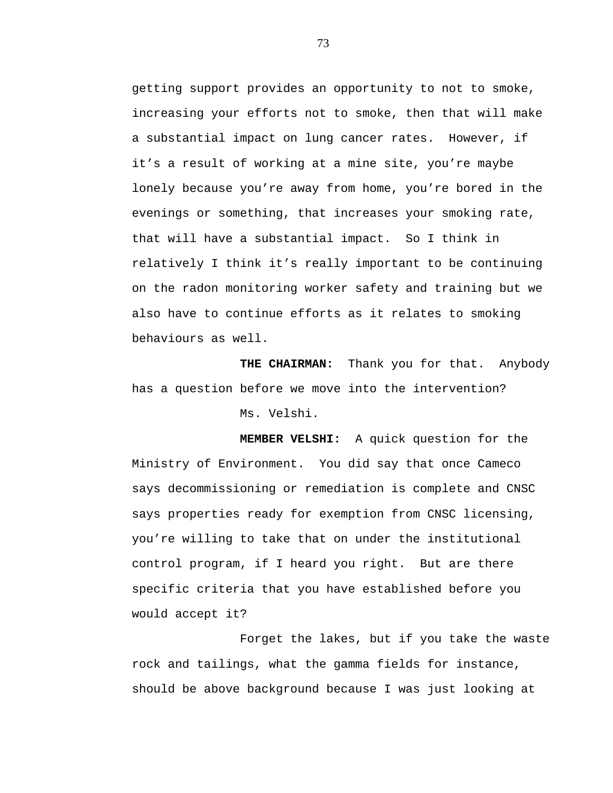getting support provides an opportunity to not to smoke, increasing your efforts not to smoke, then that will make a substantial impact on lung cancer rates. However, if it's a result of working at a mine site, you're maybe lonely because you're away from home, you're bored in the evenings or something, that increases your smoking rate, that will have a substantial impact. So I think in relatively I think it's really important to be continuing on the radon monitoring worker safety and training but we also have to continue efforts as it relates to smoking behaviours as well.

**THE CHAIRMAN:** Thank you for that. Anybody has a question before we move into the intervention? Ms. Velshi.

**MEMBER VELSHI:** A quick question for the Ministry of Environment. You did say that once Cameco says decommissioning or remediation is complete and CNSC says properties ready for exemption from CNSC licensing, you're willing to take that on under the institutional control program, if I heard you right. But are there specific criteria that you have established before you would accept it?

Forget the lakes, but if you take the waste rock and tailings, what the gamma fields for instance, should be above background because I was just looking at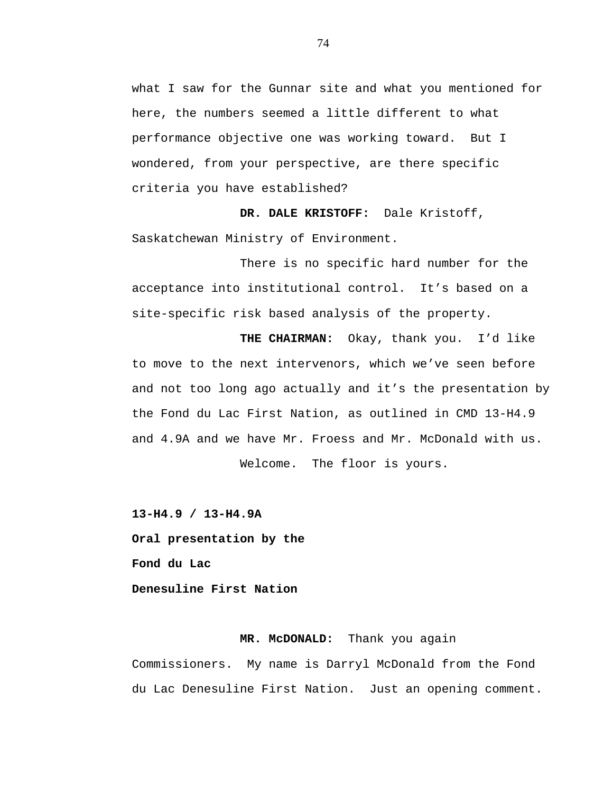what I saw for the Gunnar site and what you mentioned for here, the numbers seemed a little different to what performance objective one was working toward. But I wondered, from your perspective, are there specific criteria you have established?

**DR. DALE KRISTOFF:** Dale Kristoff, Saskatchewan Ministry of Environment.

There is no specific hard number for the acceptance into institutional control. It's based on a site-specific risk based analysis of the property.

**THE CHAIRMAN:** Okay, thank you. I'd like to move to the next intervenors, which we've seen before and not too long ago actually and it's the presentation by the Fond du Lac First Nation, as outlined in CMD 13-H4.9 and 4.9A and we have Mr. Froess and Mr. McDonald with us. Welcome. The floor is yours.

**13-H4.9 / 13-H4.9A** 

**Oral presentation by the Fond du Lac** 

**Denesuline First Nation** 

# **MR. McDONALD:** Thank you again

Commissioners. My name is Darryl McDonald from the Fond du Lac Denesuline First Nation. Just an opening comment.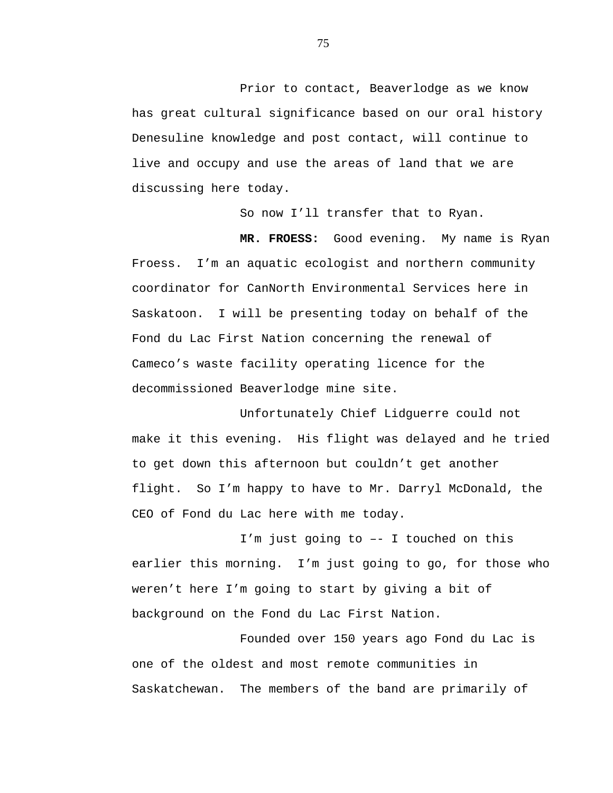Prior to contact, Beaverlodge as we know has great cultural significance based on our oral history Denesuline knowledge and post contact, will continue to live and occupy and use the areas of land that we are discussing here today.

So now I'll transfer that to Ryan.

**MR. FROESS:** Good evening. My name is Ryan Froess. I'm an aquatic ecologist and northern community coordinator for CanNorth Environmental Services here in Saskatoon. I will be presenting today on behalf of the Fond du Lac First Nation concerning the renewal of Cameco's waste facility operating licence for the decommissioned Beaverlodge mine site.

Unfortunately Chief Lidguerre could not make it this evening. His flight was delayed and he tried to get down this afternoon but couldn't get another flight. So I'm happy to have to Mr. Darryl McDonald, the CEO of Fond du Lac here with me today.

I'm just going to –- I touched on this earlier this morning. I'm just going to go, for those who weren't here I'm going to start by giving a bit of background on the Fond du Lac First Nation.

Founded over 150 years ago Fond du Lac is one of the oldest and most remote communities in Saskatchewan. The members of the band are primarily of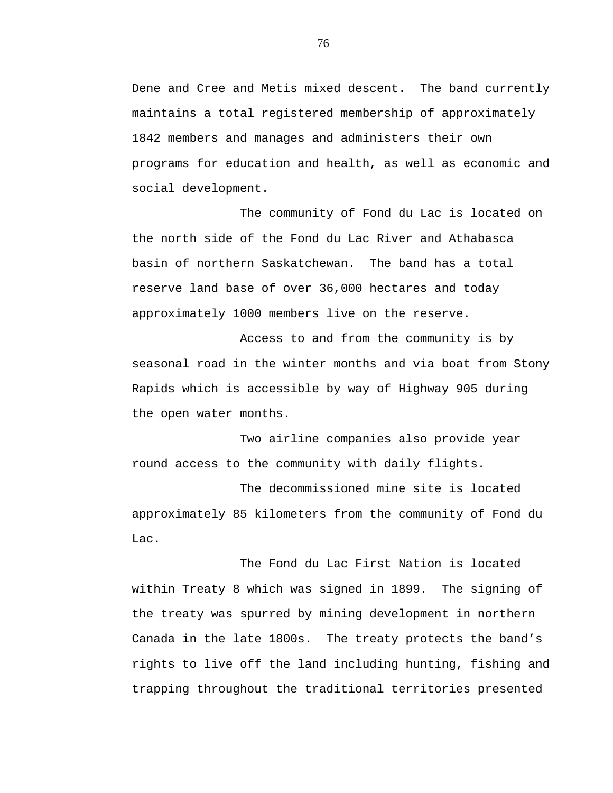Dene and Cree and Metis mixed descent. The band currently maintains a total registered membership of approximately 1842 members and manages and administers their own programs for education and health, as well as economic and social development.

The community of Fond du Lac is located on the north side of the Fond du Lac River and Athabasca basin of northern Saskatchewan. The band has a total reserve land base of over 36,000 hectares and today approximately 1000 members live on the reserve.

Access to and from the community is by seasonal road in the winter months and via boat from Stony Rapids which is accessible by way of Highway 905 during the open water months.

Two airline companies also provide year round access to the community with daily flights.

The decommissioned mine site is located approximately 85 kilometers from the community of Fond du Lac.

The Fond du Lac First Nation is located within Treaty 8 which was signed in 1899. The signing of the treaty was spurred by mining development in northern Canada in the late 1800s. The treaty protects the band's rights to live off the land including hunting, fishing and trapping throughout the traditional territories presented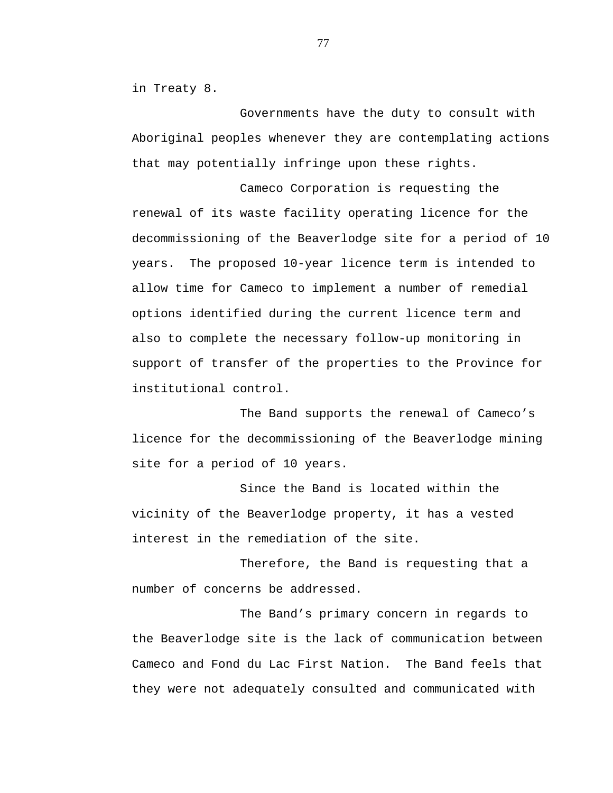in Treaty 8.

Governments have the duty to consult with Aboriginal peoples whenever they are contemplating actions that may potentially infringe upon these rights.

Cameco Corporation is requesting the renewal of its waste facility operating licence for the decommissioning of the Beaverlodge site for a period of 10 years. The proposed 10-year licence term is intended to allow time for Cameco to implement a number of remedial options identified during the current licence term and also to complete the necessary follow-up monitoring in support of transfer of the properties to the Province for institutional control.

The Band supports the renewal of Cameco's licence for the decommissioning of the Beaverlodge mining site for a period of 10 years.

Since the Band is located within the vicinity of the Beaverlodge property, it has a vested interest in the remediation of the site.

Therefore, the Band is requesting that a number of concerns be addressed.

The Band's primary concern in regards to the Beaverlodge site is the lack of communication between Cameco and Fond du Lac First Nation. The Band feels that they were not adequately consulted and communicated with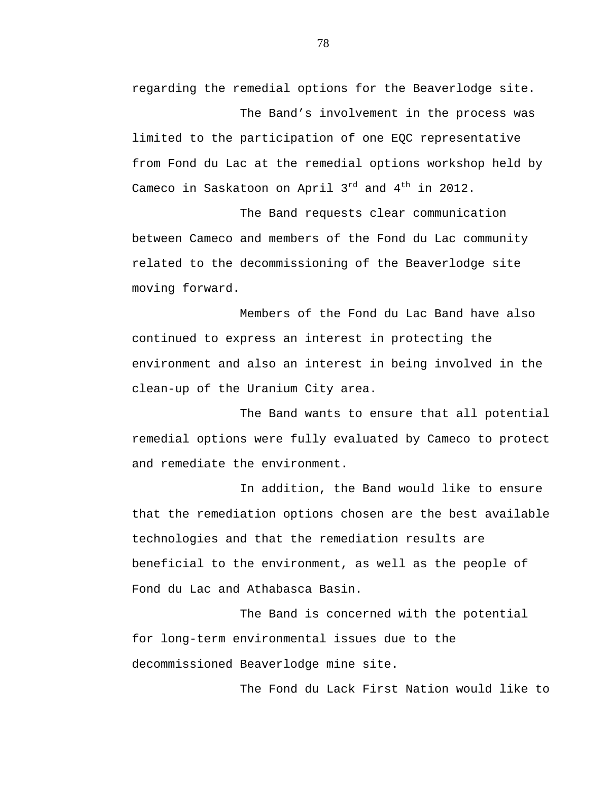regarding the remedial options for the Beaverlodge site. The Band's involvement in the process was

limited to the participation of one EQC representative from Fond du Lac at the remedial options workshop held by Cameco in Saskatoon on April  $3^{rd}$  and  $4^{th}$  in 2012.

The Band requests clear communication between Cameco and members of the Fond du Lac community related to the decommissioning of the Beaverlodge site moving forward.

Members of the Fond du Lac Band have also continued to express an interest in protecting the environment and also an interest in being involved in the clean-up of the Uranium City area.

The Band wants to ensure that all potential remedial options were fully evaluated by Cameco to protect and remediate the environment.

In addition, the Band would like to ensure that the remediation options chosen are the best available technologies and that the remediation results are beneficial to the environment, as well as the people of Fond du Lac and Athabasca Basin.

The Band is concerned with the potential for long-term environmental issues due to the decommissioned Beaverlodge mine site.

The Fond du Lack First Nation would like to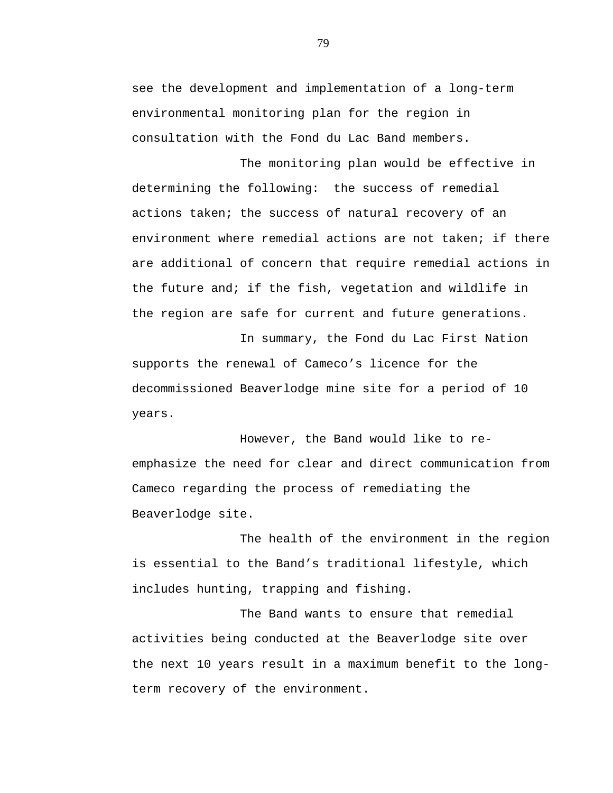see the development and implementation of a long-term environmental monitoring plan for the region in consultation with the Fond du Lac Band members.

The monitoring plan would be effective in determining the following: the success of remedial actions taken; the success of natural recovery of an environment where remedial actions are not taken; if there are additional of concern that require remedial actions in the future and; if the fish, vegetation and wildlife in the region are safe for current and future generations.

In summary, the Fond du Lac First Nation supports the renewal of Cameco's licence for the decommissioned Beaverlodge mine site for a period of 10 years.

However, the Band would like to reemphasize the need for clear and direct communication from Cameco regarding the process of remediating the Beaverlodge site.

The health of the environment in the region is essential to the Band's traditional lifestyle, which includes hunting, trapping and fishing.

The Band wants to ensure that remedial activities being conducted at the Beaverlodge site over the next 10 years result in a maximum benefit to the longterm recovery of the environment.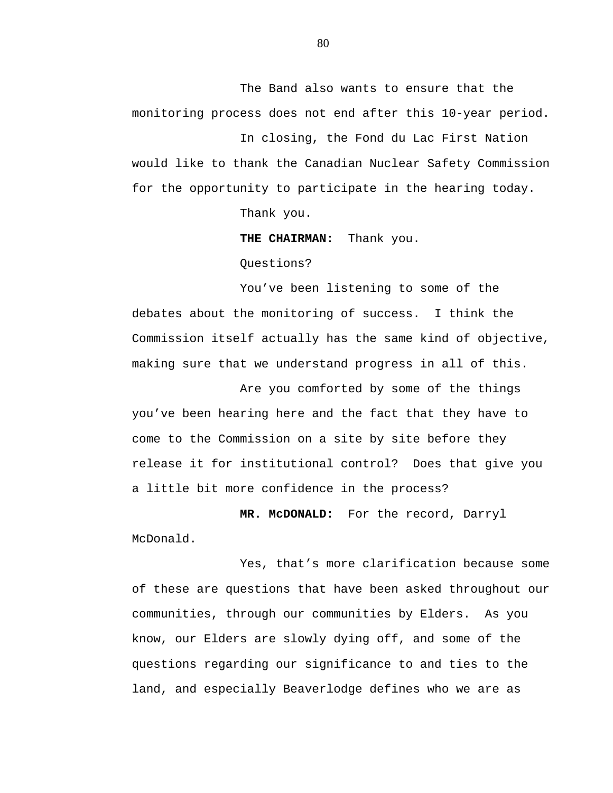The Band also wants to ensure that the monitoring process does not end after this 10-year period.

In closing, the Fond du Lac First Nation would like to thank the Canadian Nuclear Safety Commission for the opportunity to participate in the hearing today.

Thank you.

**THE CHAIRMAN:** Thank you.

Questions?

You've been listening to some of the debates about the monitoring of success. I think the Commission itself actually has the same kind of objective, making sure that we understand progress in all of this.

Are you comforted by some of the things you've been hearing here and the fact that they have to come to the Commission on a site by site before they release it for institutional control? Does that give you a little bit more confidence in the process?

**MR. McDONALD:** For the record, Darryl McDonald.

Yes, that's more clarification because some of these are questions that have been asked throughout our communities, through our communities by Elders. As you know, our Elders are slowly dying off, and some of the questions regarding our significance to and ties to the land, and especially Beaverlodge defines who we are as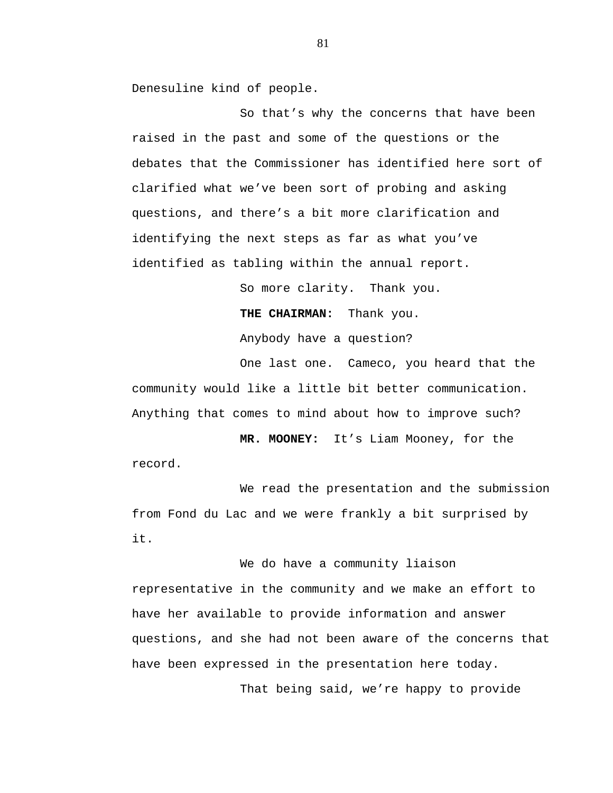Denesuline kind of people.

So that's why the concerns that have been raised in the past and some of the questions or the debates that the Commissioner has identified here sort of clarified what we've been sort of probing and asking questions, and there's a bit more clarification and identifying the next steps as far as what you've identified as tabling within the annual report.

So more clarity. Thank you.

**THE CHAIRMAN:** Thank you.

Anybody have a question?

One last one. Cameco, you heard that the community would like a little bit better communication. Anything that comes to mind about how to improve such?

**MR. MOONEY:** It's Liam Mooney, for the record.

We read the presentation and the submission from Fond du Lac and we were frankly a bit surprised by it.

We do have a community liaison representative in the community and we make an effort to have her available to provide information and answer questions, and she had not been aware of the concerns that have been expressed in the presentation here today.

That being said, we're happy to provide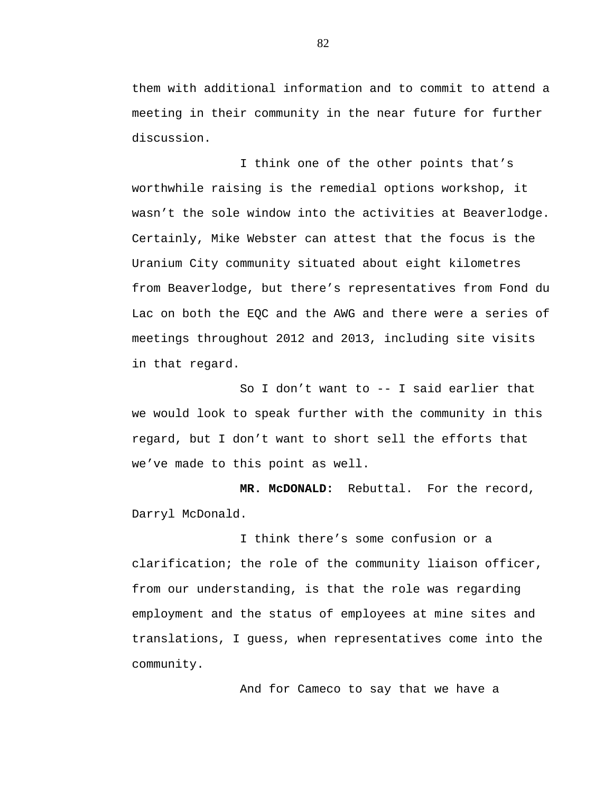them with additional information and to commit to attend a meeting in their community in the near future for further discussion.

I think one of the other points that's worthwhile raising is the remedial options workshop, it wasn't the sole window into the activities at Beaverlodge. Certainly, Mike Webster can attest that the focus is the Uranium City community situated about eight kilometres from Beaverlodge, but there's representatives from Fond du Lac on both the EQC and the AWG and there were a series of meetings throughout 2012 and 2013, including site visits in that regard.

So I don't want to -- I said earlier that we would look to speak further with the community in this regard, but I don't want to short sell the efforts that we've made to this point as well.

**MR. McDONALD:** Rebuttal. For the record, Darryl McDonald.

I think there's some confusion or a clarification; the role of the community liaison officer, from our understanding, is that the role was regarding employment and the status of employees at mine sites and translations, I guess, when representatives come into the community.

And for Cameco to say that we have a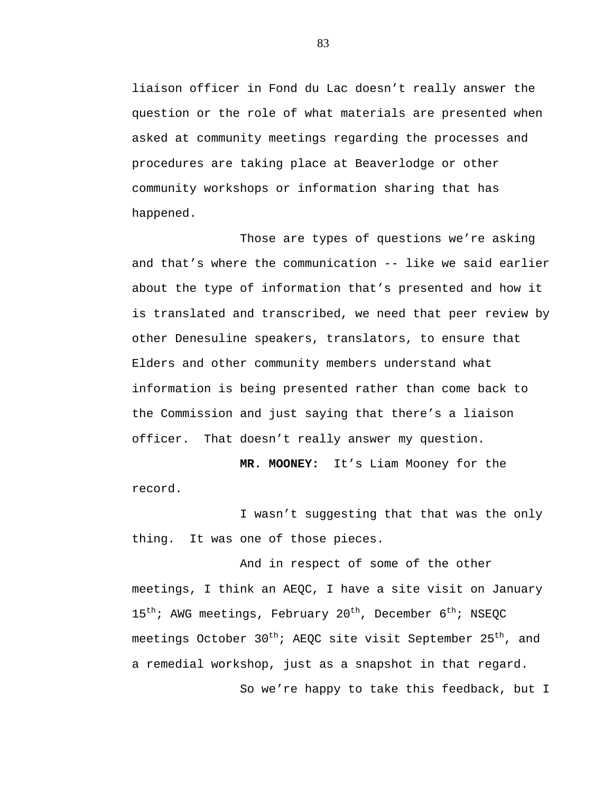liaison officer in Fond du Lac doesn't really answer the question or the role of what materials are presented when asked at community meetings regarding the processes and procedures are taking place at Beaverlodge or other community workshops or information sharing that has happened.

Those are types of questions we're asking and that's where the communication -- like we said earlier about the type of information that's presented and how it is translated and transcribed, we need that peer review by other Denesuline speakers, translators, to ensure that Elders and other community members understand what information is being presented rather than come back to the Commission and just saying that there's a liaison officer. That doesn't really answer my question.

**MR. MOONEY:** It's Liam Mooney for the record.

I wasn't suggesting that that was the only thing. It was one of those pieces.

And in respect of some of the other meetings, I think an AEQC, I have a site visit on January 15<sup>th</sup>; AWG meetings, February 20<sup>th</sup>, December 6<sup>th</sup>; NSEQC meetings October  $30^{th}$ ; AEQC site visit September 25<sup>th</sup>, and a remedial workshop, just as a snapshot in that regard.

So we're happy to take this feedback, but I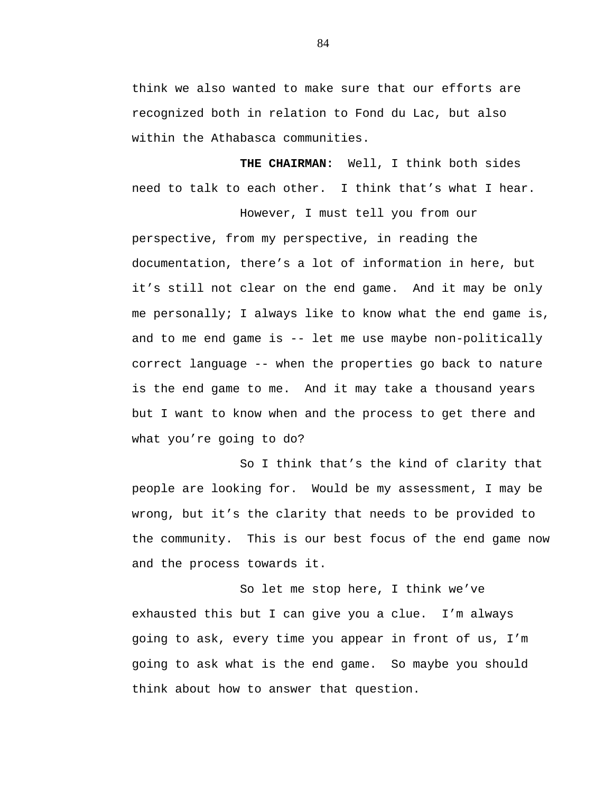think we also wanted to make sure that our efforts are recognized both in relation to Fond du Lac, but also within the Athabasca communities.

**THE CHAIRMAN:** Well, I think both sides need to talk to each other. I think that's what I hear.

However, I must tell you from our

perspective, from my perspective, in reading the documentation, there's a lot of information in here, but it's still not clear on the end game. And it may be only me personally; I always like to know what the end game is, and to me end game is -- let me use maybe non-politically correct language -- when the properties go back to nature is the end game to me. And it may take a thousand years but I want to know when and the process to get there and what you're going to do?

So I think that's the kind of clarity that people are looking for. Would be my assessment, I may be wrong, but it's the clarity that needs to be provided to the community. This is our best focus of the end game now and the process towards it.

So let me stop here, I think we've exhausted this but I can give you a clue. I'm always going to ask, every time you appear in front of us, I'm going to ask what is the end game. So maybe you should think about how to answer that question.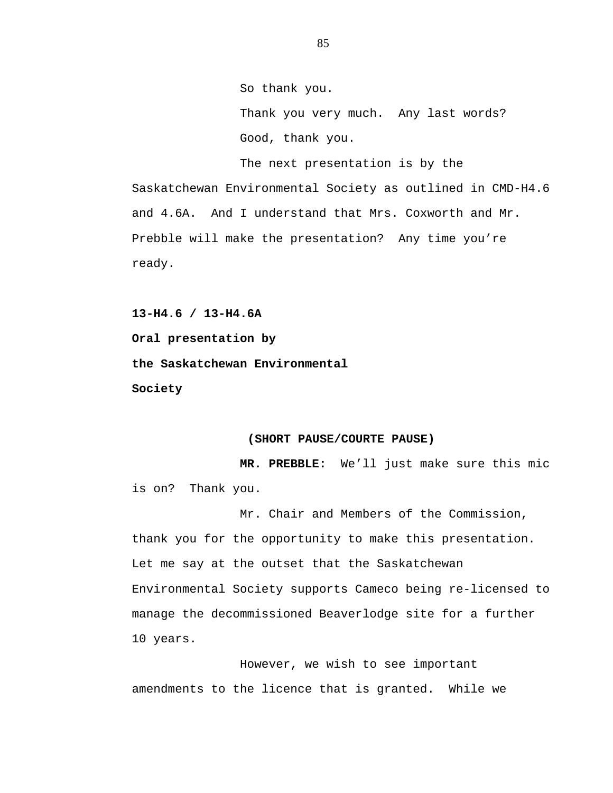So thank you. Thank you very much. Any last words? Good, thank you.

The next presentation is by the Saskatchewan Environmental Society as outlined in CMD-H4.6 and 4.6A. And I understand that Mrs. Coxworth and Mr. Prebble will make the presentation? Any time you're ready.

**13-H4.6 / 13-H4.6A Oral presentation by the Saskatchewan Environmental Society** 

#### **(SHORT PAUSE/COURTE PAUSE)**

**MR. PREBBLE:** We'll just make sure this mic is on? Thank you.

Mr. Chair and Members of the Commission, thank you for the opportunity to make this presentation. Let me say at the outset that the Saskatchewan Environmental Society supports Cameco being re-licensed to manage the decommissioned Beaverlodge site for a further 10 years.

However, we wish to see important amendments to the licence that is granted. While we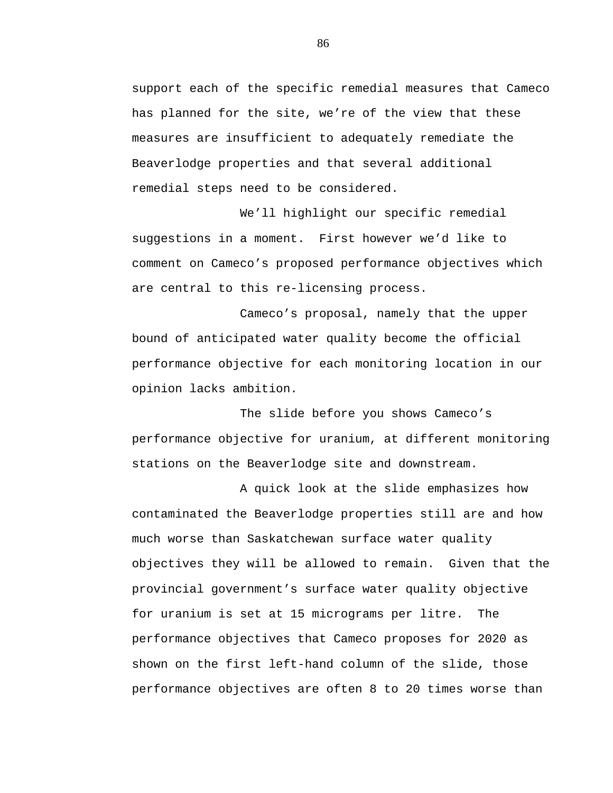support each of the specific remedial measures that Cameco has planned for the site, we're of the view that these measures are insufficient to adequately remediate the Beaverlodge properties and that several additional remedial steps need to be considered.

We'll highlight our specific remedial suggestions in a moment. First however we'd like to comment on Cameco's proposed performance objectives which are central to this re-licensing process.

Cameco's proposal, namely that the upper bound of anticipated water quality become the official performance objective for each monitoring location in our opinion lacks ambition.

The slide before you shows Cameco's performance objective for uranium, at different monitoring stations on the Beaverlodge site and downstream.

A quick look at the slide emphasizes how contaminated the Beaverlodge properties still are and how much worse than Saskatchewan surface water quality objectives they will be allowed to remain. Given that the provincial government's surface water quality objective for uranium is set at 15 micrograms per litre. The performance objectives that Cameco proposes for 2020 as shown on the first left-hand column of the slide, those performance objectives are often 8 to 20 times worse than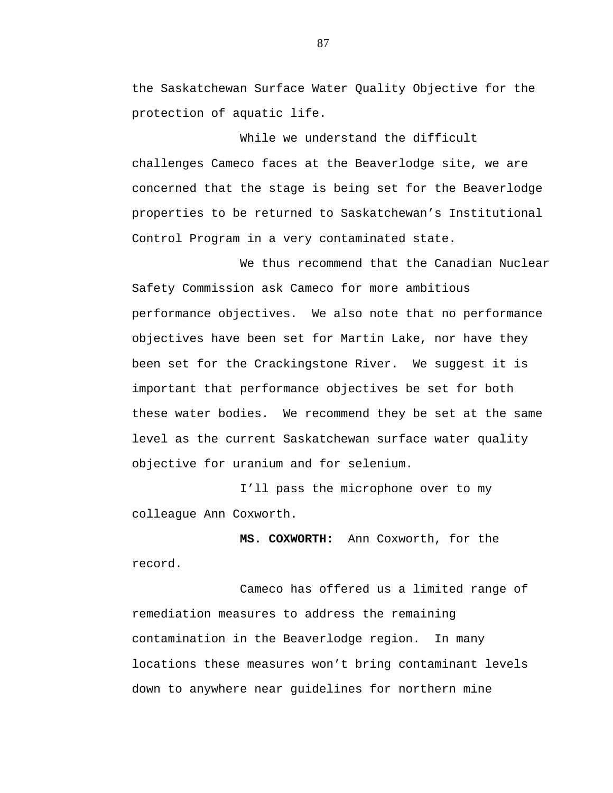the Saskatchewan Surface Water Quality Objective for the protection of aquatic life.

While we understand the difficult challenges Cameco faces at the Beaverlodge site, we are concerned that the stage is being set for the Beaverlodge properties to be returned to Saskatchewan's Institutional Control Program in a very contaminated state.

We thus recommend that the Canadian Nuclear Safety Commission ask Cameco for more ambitious performance objectives. We also note that no performance objectives have been set for Martin Lake, nor have they been set for the Crackingstone River. We suggest it is important that performance objectives be set for both these water bodies. We recommend they be set at the same level as the current Saskatchewan surface water quality objective for uranium and for selenium.

I'll pass the microphone over to my colleague Ann Coxworth.

**MS. COXWORTH:** Ann Coxworth, for the record.

Cameco has offered us a limited range of remediation measures to address the remaining contamination in the Beaverlodge region. In many locations these measures won't bring contaminant levels down to anywhere near guidelines for northern mine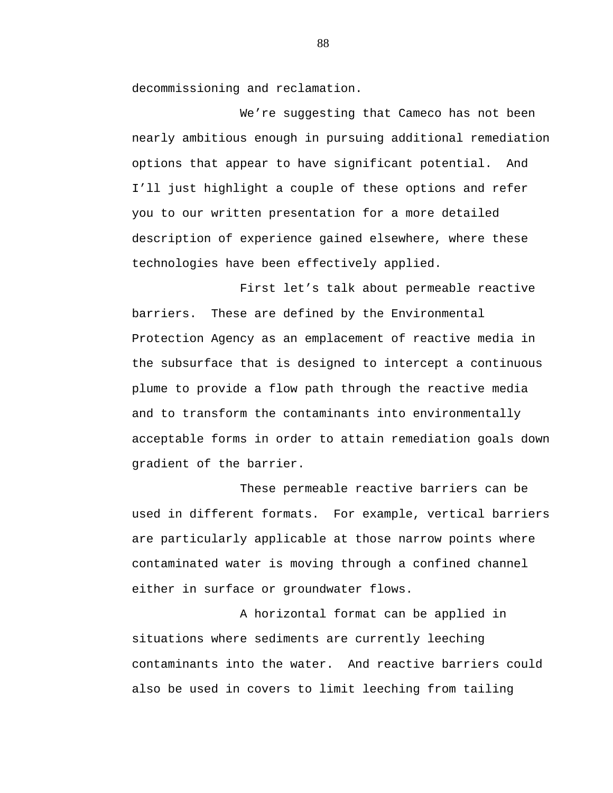decommissioning and reclamation.

We're suggesting that Cameco has not been nearly ambitious enough in pursuing additional remediation options that appear to have significant potential. And I'll just highlight a couple of these options and refer you to our written presentation for a more detailed description of experience gained elsewhere, where these technologies have been effectively applied.

First let's talk about permeable reactive barriers. These are defined by the Environmental Protection Agency as an emplacement of reactive media in the subsurface that is designed to intercept a continuous plume to provide a flow path through the reactive media and to transform the contaminants into environmentally acceptable forms in order to attain remediation goals down gradient of the barrier.

These permeable reactive barriers can be used in different formats. For example, vertical barriers are particularly applicable at those narrow points where contaminated water is moving through a confined channel either in surface or groundwater flows.

A horizontal format can be applied in situations where sediments are currently leeching contaminants into the water. And reactive barriers could also be used in covers to limit leeching from tailing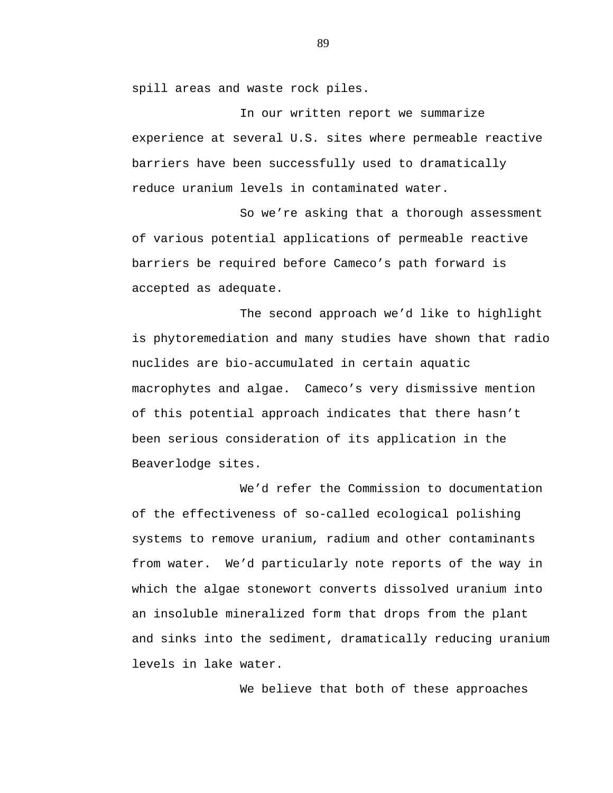spill areas and waste rock piles.

In our written report we summarize experience at several U.S. sites where permeable reactive barriers have been successfully used to dramatically reduce uranium levels in contaminated water.

So we're asking that a thorough assessment of various potential applications of permeable reactive barriers be required before Cameco's path forward is accepted as adequate.

The second approach we'd like to highlight is phytoremediation and many studies have shown that radio nuclides are bio-accumulated in certain aquatic macrophytes and algae. Cameco's very dismissive mention of this potential approach indicates that there hasn't been serious consideration of its application in the Beaverlodge sites.

We'd refer the Commission to documentation of the effectiveness of so-called ecological polishing systems to remove uranium, radium and other contaminants from water. We'd particularly note reports of the way in which the algae stonewort converts dissolved uranium into an insoluble mineralized form that drops from the plant and sinks into the sediment, dramatically reducing uranium levels in lake water.

We believe that both of these approaches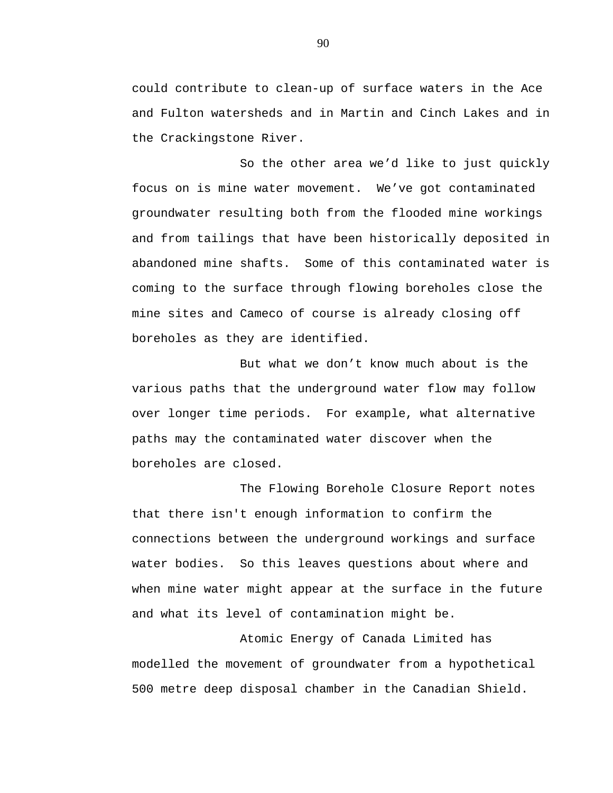could contribute to clean-up of surface waters in the Ace and Fulton watersheds and in Martin and Cinch Lakes and in the Crackingstone River.

So the other area we'd like to just quickly focus on is mine water movement. We've got contaminated groundwater resulting both from the flooded mine workings and from tailings that have been historically deposited in abandoned mine shafts. Some of this contaminated water is coming to the surface through flowing boreholes close the mine sites and Cameco of course is already closing off boreholes as they are identified.

But what we don't know much about is the various paths that the underground water flow may follow over longer time periods. For example, what alternative paths may the contaminated water discover when the boreholes are closed.

The Flowing Borehole Closure Report notes that there isn't enough information to confirm the connections between the underground workings and surface water bodies. So this leaves questions about where and when mine water might appear at the surface in the future and what its level of contamination might be.

Atomic Energy of Canada Limited has modelled the movement of groundwater from a hypothetical 500 metre deep disposal chamber in the Canadian Shield.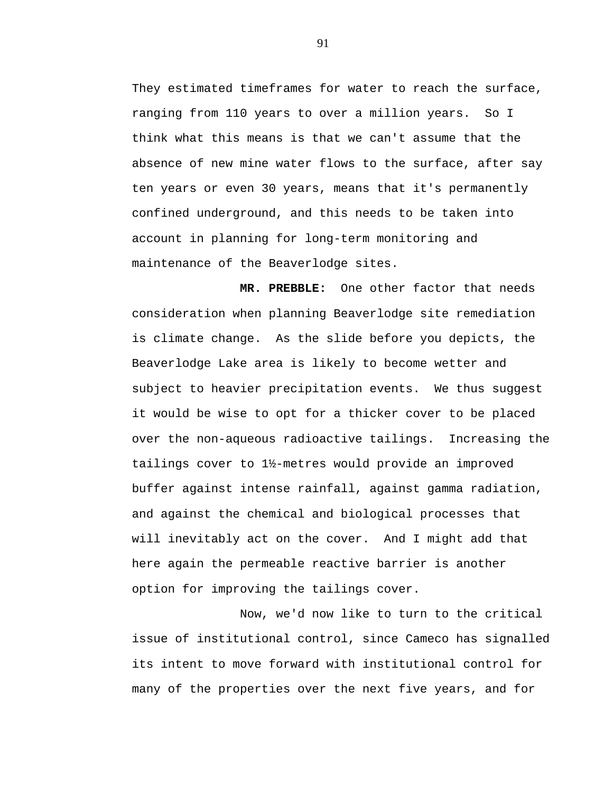They estimated timeframes for water to reach the surface, ranging from 110 years to over a million years. So I think what this means is that we can't assume that the absence of new mine water flows to the surface, after say ten years or even 30 years, means that it's permanently confined underground, and this needs to be taken into account in planning for long-term monitoring and maintenance of the Beaverlodge sites.

**MR. PREBBLE:** One other factor that needs consideration when planning Beaverlodge site remediation is climate change. As the slide before you depicts, the Beaverlodge Lake area is likely to become wetter and subject to heavier precipitation events. We thus suggest it would be wise to opt for a thicker cover to be placed over the non-aqueous radioactive tailings. Increasing the tailings cover to 1½-metres would provide an improved buffer against intense rainfall, against gamma radiation, and against the chemical and biological processes that will inevitably act on the cover. And I might add that here again the permeable reactive barrier is another option for improving the tailings cover.

Now, we'd now like to turn to the critical issue of institutional control, since Cameco has signalled its intent to move forward with institutional control for many of the properties over the next five years, and for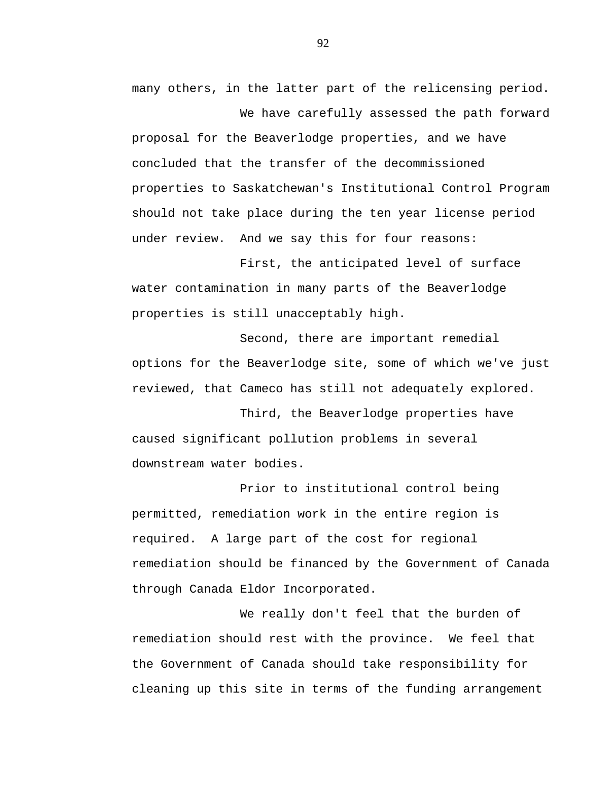many others, in the latter part of the relicensing period.

We have carefully assessed the path forward proposal for the Beaverlodge properties, and we have concluded that the transfer of the decommissioned properties to Saskatchewan's Institutional Control Program should not take place during the ten year license period under review. And we say this for four reasons:

First, the anticipated level of surface water contamination in many parts of the Beaverlodge properties is still unacceptably high.

Second, there are important remedial options for the Beaverlodge site, some of which we've just reviewed, that Cameco has still not adequately explored.

Third, the Beaverlodge properties have caused significant pollution problems in several downstream water bodies.

Prior to institutional control being permitted, remediation work in the entire region is required. A large part of the cost for regional remediation should be financed by the Government of Canada through Canada Eldor Incorporated.

We really don't feel that the burden of remediation should rest with the province. We feel that the Government of Canada should take responsibility for cleaning up this site in terms of the funding arrangement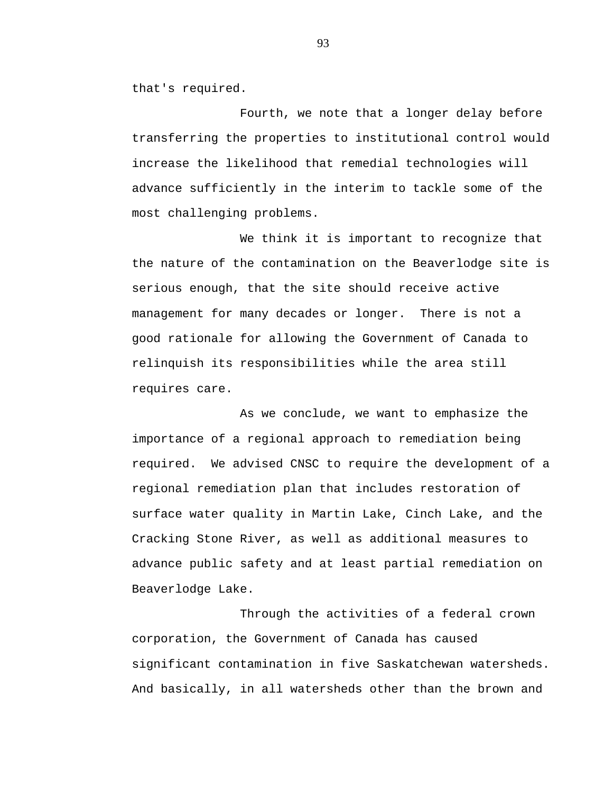that's required.

Fourth, we note that a longer delay before transferring the properties to institutional control would increase the likelihood that remedial technologies will advance sufficiently in the interim to tackle some of the most challenging problems.

We think it is important to recognize that the nature of the contamination on the Beaverlodge site is serious enough, that the site should receive active management for many decades or longer. There is not a good rationale for allowing the Government of Canada to relinquish its responsibilities while the area still requires care.

As we conclude, we want to emphasize the importance of a regional approach to remediation being required. We advised CNSC to require the development of a regional remediation plan that includes restoration of surface water quality in Martin Lake, Cinch Lake, and the Cracking Stone River, as well as additional measures to advance public safety and at least partial remediation on Beaverlodge Lake.

Through the activities of a federal crown corporation, the Government of Canada has caused significant contamination in five Saskatchewan watersheds. And basically, in all watersheds other than the brown and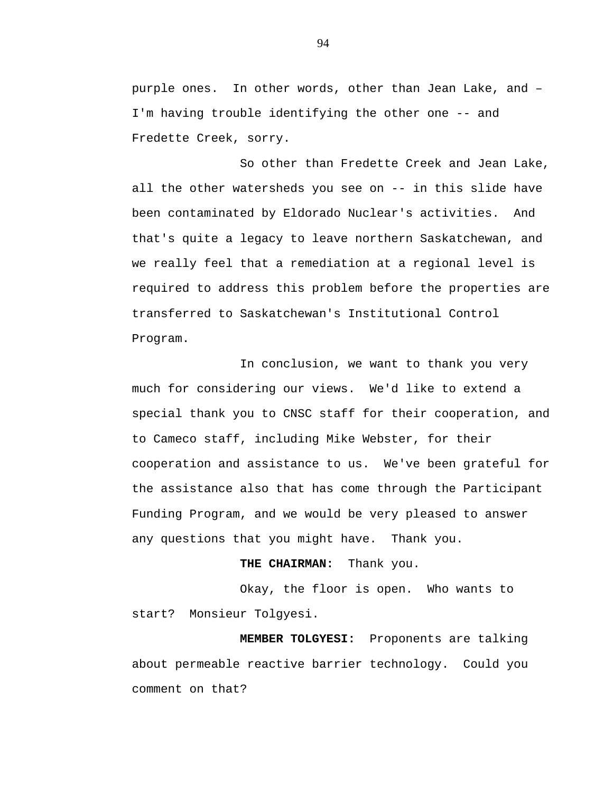purple ones. In other words, other than Jean Lake, and – I'm having trouble identifying the other one -- and Fredette Creek, sorry.

So other than Fredette Creek and Jean Lake, all the other watersheds you see on -- in this slide have been contaminated by Eldorado Nuclear's activities. And that's quite a legacy to leave northern Saskatchewan, and we really feel that a remediation at a regional level is required to address this problem before the properties are transferred to Saskatchewan's Institutional Control Program.

In conclusion, we want to thank you very much for considering our views. We'd like to extend a special thank you to CNSC staff for their cooperation, and to Cameco staff, including Mike Webster, for their cooperation and assistance to us. We've been grateful for the assistance also that has come through the Participant Funding Program, and we would be very pleased to answer any questions that you might have. Thank you.

## **THE CHAIRMAN:** Thank you.

Okay, the floor is open. Who wants to start? Monsieur Tolgyesi.

**MEMBER TOLGYESI:** Proponents are talking about permeable reactive barrier technology. Could you comment on that?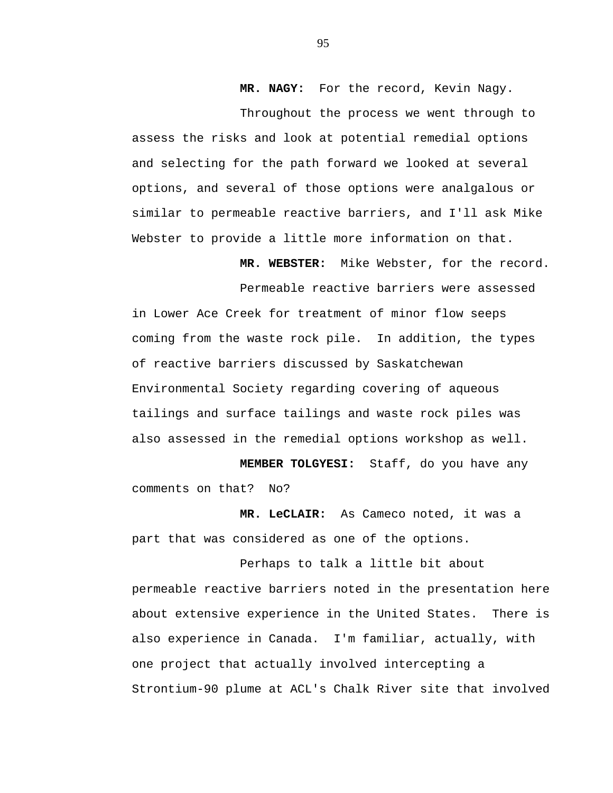**MR. NAGY:** For the record, Kevin Nagy.

Throughout the process we went through to assess the risks and look at potential remedial options and selecting for the path forward we looked at several options, and several of those options were analgalous or similar to permeable reactive barriers, and I'll ask Mike Webster to provide a little more information on that.

> **MR. WEBSTER:** Mike Webster, for the record. Permeable reactive barriers were assessed

in Lower Ace Creek for treatment of minor flow seeps coming from the waste rock pile. In addition, the types of reactive barriers discussed by Saskatchewan Environmental Society regarding covering of aqueous tailings and surface tailings and waste rock piles was also assessed in the remedial options workshop as well.

**MEMBER TOLGYESI:** Staff, do you have any comments on that? No?

**MR. LeCLAIR:** As Cameco noted, it was a part that was considered as one of the options.

Perhaps to talk a little bit about permeable reactive barriers noted in the presentation here about extensive experience in the United States. There is also experience in Canada. I'm familiar, actually, with one project that actually involved intercepting a Strontium-90 plume at ACL's Chalk River site that involved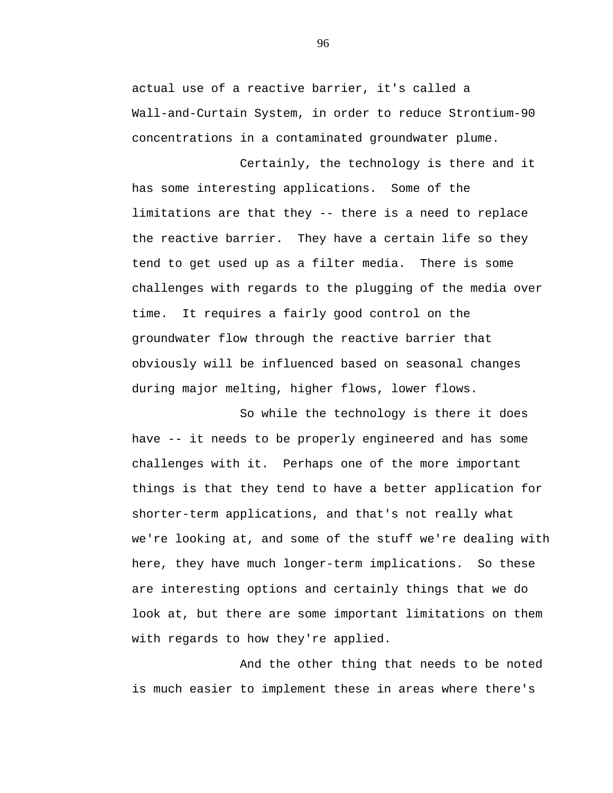actual use of a reactive barrier, it's called a Wall-and-Curtain System, in order to reduce Strontium-90 concentrations in a contaminated groundwater plume.

Certainly, the technology is there and it has some interesting applications. Some of the limitations are that they -- there is a need to replace the reactive barrier. They have a certain life so they tend to get used up as a filter media. There is some challenges with regards to the plugging of the media over time. It requires a fairly good control on the groundwater flow through the reactive barrier that obviously will be influenced based on seasonal changes during major melting, higher flows, lower flows.

So while the technology is there it does have -- it needs to be properly engineered and has some challenges with it. Perhaps one of the more important things is that they tend to have a better application for shorter-term applications, and that's not really what we're looking at, and some of the stuff we're dealing with here, they have much longer-term implications. So these are interesting options and certainly things that we do look at, but there are some important limitations on them with regards to how they're applied.

And the other thing that needs to be noted is much easier to implement these in areas where there's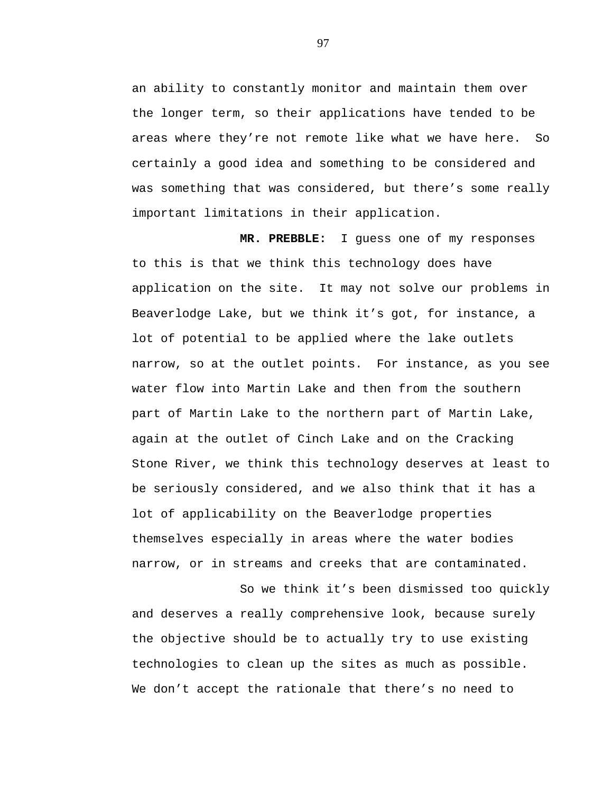an ability to constantly monitor and maintain them over the longer term, so their applications have tended to be areas where they're not remote like what we have here. So certainly a good idea and something to be considered and was something that was considered, but there's some really important limitations in their application.

**MR. PREBBLE:** I guess one of my responses to this is that we think this technology does have application on the site. It may not solve our problems in Beaverlodge Lake, but we think it's got, for instance, a lot of potential to be applied where the lake outlets narrow, so at the outlet points. For instance, as you see water flow into Martin Lake and then from the southern part of Martin Lake to the northern part of Martin Lake, again at the outlet of Cinch Lake and on the Cracking Stone River, we think this technology deserves at least to be seriously considered, and we also think that it has a lot of applicability on the Beaverlodge properties themselves especially in areas where the water bodies narrow, or in streams and creeks that are contaminated.

So we think it's been dismissed too quickly and deserves a really comprehensive look, because surely the objective should be to actually try to use existing technologies to clean up the sites as much as possible. We don't accept the rationale that there's no need to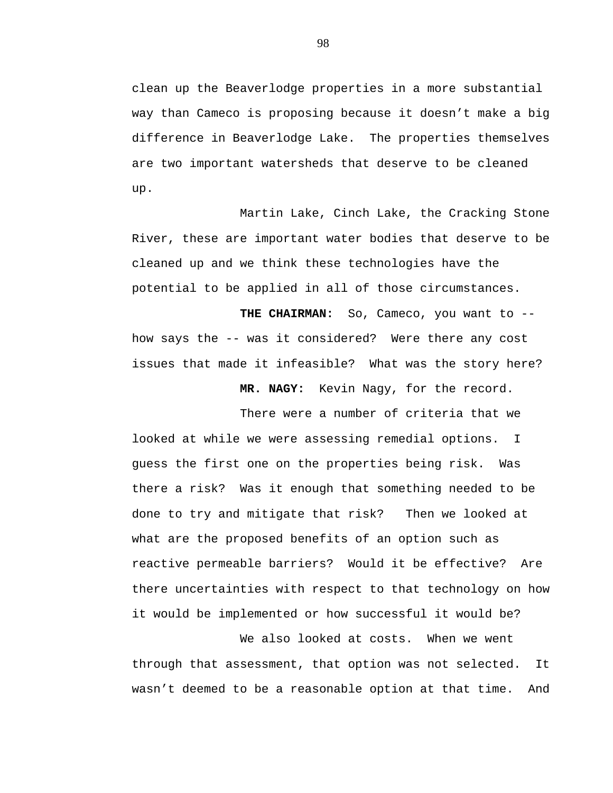clean up the Beaverlodge properties in a more substantial way than Cameco is proposing because it doesn't make a big difference in Beaverlodge Lake. The properties themselves are two important watersheds that deserve to be cleaned up.

Martin Lake, Cinch Lake, the Cracking Stone River, these are important water bodies that deserve to be cleaned up and we think these technologies have the potential to be applied in all of those circumstances.

THE CHAIRMAN: So, Cameco, you want to -how says the -- was it considered? Were there any cost issues that made it infeasible? What was the story here?

 **MR. NAGY:** Kevin Nagy, for the record.

There were a number of criteria that we looked at while we were assessing remedial options. I guess the first one on the properties being risk. Was there a risk? Was it enough that something needed to be done to try and mitigate that risk? Then we looked at what are the proposed benefits of an option such as reactive permeable barriers? Would it be effective? Are there uncertainties with respect to that technology on how it would be implemented or how successful it would be?

We also looked at costs. When we went through that assessment, that option was not selected. It wasn't deemed to be a reasonable option at that time. And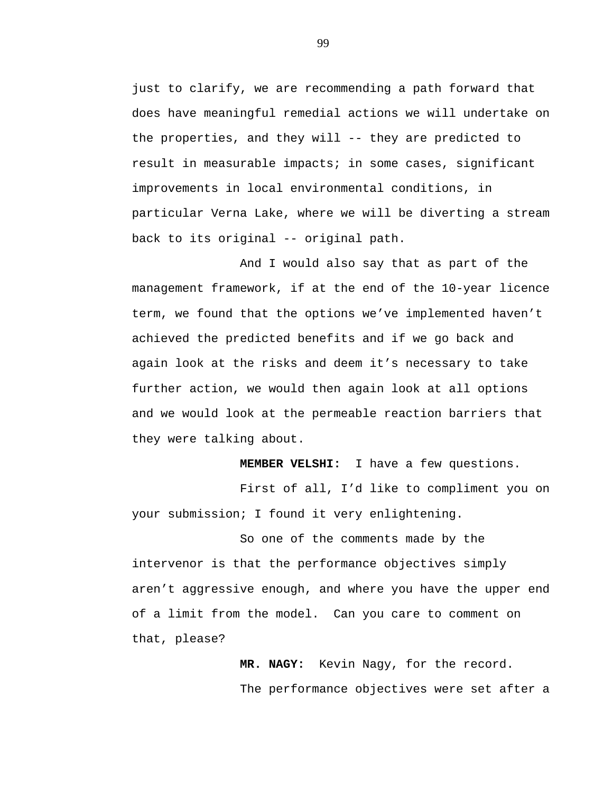just to clarify, we are recommending a path forward that does have meaningful remedial actions we will undertake on the properties, and they will -- they are predicted to result in measurable impacts; in some cases, significant improvements in local environmental conditions, in particular Verna Lake, where we will be diverting a stream back to its original -- original path.

And I would also say that as part of the management framework, if at the end of the 10-year licence term, we found that the options we've implemented haven't achieved the predicted benefits and if we go back and again look at the risks and deem it's necessary to take further action, we would then again look at all options and we would look at the permeable reaction barriers that they were talking about.

**MEMBER VELSHI:** I have a few questions.

First of all, I'd like to compliment you on your submission; I found it very enlightening.

So one of the comments made by the intervenor is that the performance objectives simply aren't aggressive enough, and where you have the upper end of a limit from the model. Can you care to comment on that, please?

> **MR. NAGY:** Kevin Nagy, for the record. The performance objectives were set after a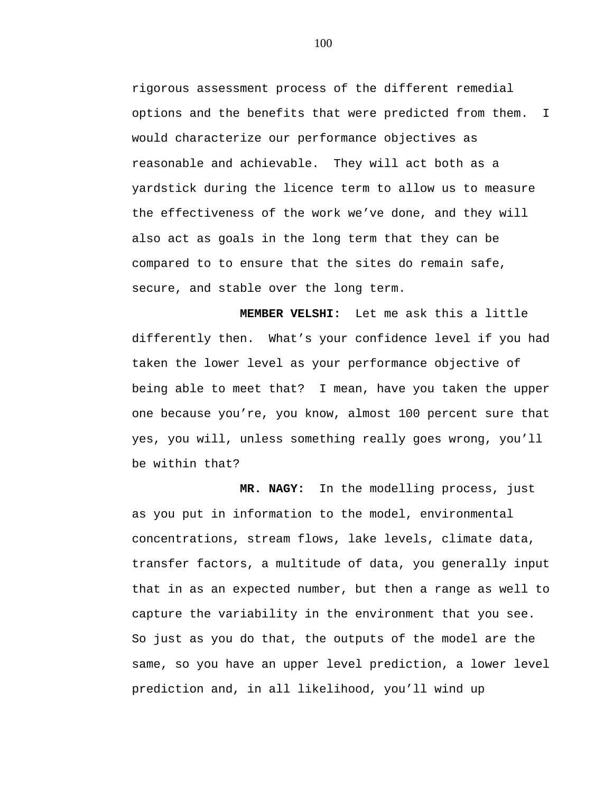rigorous assessment process of the different remedial options and the benefits that were predicted from them. I would characterize our performance objectives as reasonable and achievable. They will act both as a yardstick during the licence term to allow us to measure the effectiveness of the work we've done, and they will also act as goals in the long term that they can be compared to to ensure that the sites do remain safe, secure, and stable over the long term.

**MEMBER VELSHI:** Let me ask this a little differently then. What's your confidence level if you had taken the lower level as your performance objective of being able to meet that? I mean, have you taken the upper one because you're, you know, almost 100 percent sure that yes, you will, unless something really goes wrong, you'll be within that?

 **MR. NAGY:** In the modelling process, just as you put in information to the model, environmental concentrations, stream flows, lake levels, climate data, transfer factors, a multitude of data, you generally input that in as an expected number, but then a range as well to capture the variability in the environment that you see. So just as you do that, the outputs of the model are the same, so you have an upper level prediction, a lower level prediction and, in all likelihood, you'll wind up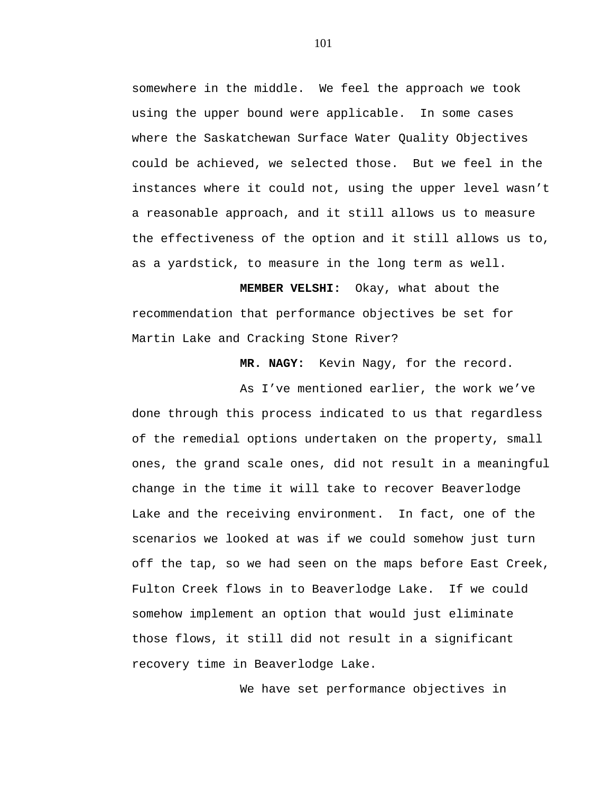somewhere in the middle. We feel the approach we took using the upper bound were applicable. In some cases where the Saskatchewan Surface Water Quality Objectives could be achieved, we selected those. But we feel in the instances where it could not, using the upper level wasn't a reasonable approach, and it still allows us to measure the effectiveness of the option and it still allows us to, as a yardstick, to measure in the long term as well.

**MEMBER VELSHI:** Okay, what about the recommendation that performance objectives be set for Martin Lake and Cracking Stone River?

 **MR. NAGY:** Kevin Nagy, for the record.

As I've mentioned earlier, the work we've done through this process indicated to us that regardless of the remedial options undertaken on the property, small ones, the grand scale ones, did not result in a meaningful change in the time it will take to recover Beaverlodge Lake and the receiving environment. In fact, one of the scenarios we looked at was if we could somehow just turn off the tap, so we had seen on the maps before East Creek, Fulton Creek flows in to Beaverlodge Lake. If we could somehow implement an option that would just eliminate those flows, it still did not result in a significant recovery time in Beaverlodge Lake.

We have set performance objectives in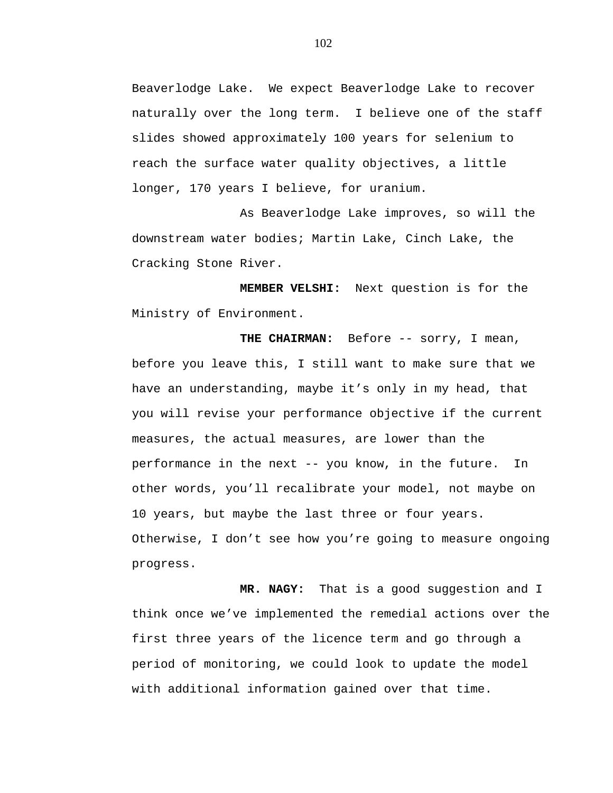Beaverlodge Lake. We expect Beaverlodge Lake to recover naturally over the long term. I believe one of the staff slides showed approximately 100 years for selenium to reach the surface water quality objectives, a little longer, 170 years I believe, for uranium.

As Beaverlodge Lake improves, so will the downstream water bodies; Martin Lake, Cinch Lake, the Cracking Stone River.

**MEMBER VELSHI:** Next question is for the Ministry of Environment.

THE CHAIRMAN: Before -- sorry, I mean, before you leave this, I still want to make sure that we have an understanding, maybe it's only in my head, that you will revise your performance objective if the current measures, the actual measures, are lower than the performance in the next -- you know, in the future. In other words, you'll recalibrate your model, not maybe on 10 years, but maybe the last three or four years. Otherwise, I don't see how you're going to measure ongoing progress.

 **MR. NAGY:** That is a good suggestion and I think once we've implemented the remedial actions over the first three years of the licence term and go through a period of monitoring, we could look to update the model with additional information gained over that time.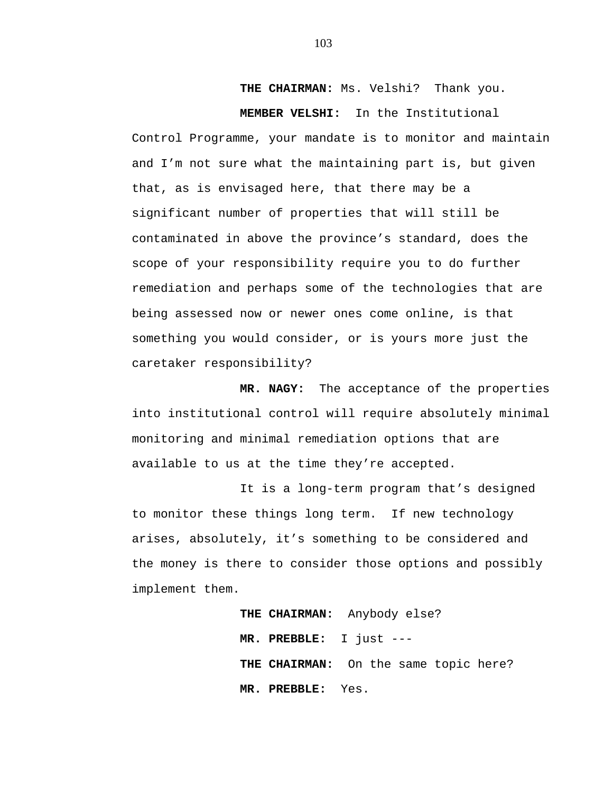**THE CHAIRMAN:** Ms. Velshi? Thank you.

**MEMBER VELSHI:** In the Institutional Control Programme, your mandate is to monitor and maintain and I'm not sure what the maintaining part is, but given that, as is envisaged here, that there may be a significant number of properties that will still be contaminated in above the province's standard, does the scope of your responsibility require you to do further remediation and perhaps some of the technologies that are being assessed now or newer ones come online, is that something you would consider, or is yours more just the caretaker responsibility?

**MR. NAGY:** The acceptance of the properties into institutional control will require absolutely minimal monitoring and minimal remediation options that are available to us at the time they're accepted.

It is a long-term program that's designed to monitor these things long term. If new technology arises, absolutely, it's something to be considered and the money is there to consider those options and possibly implement them.

> **THE CHAIRMAN:** Anybody else? **MR. PREBBLE:** I just --- **THE CHAIRMAN:** On the same topic here? **MR. PREBBLE:** Yes.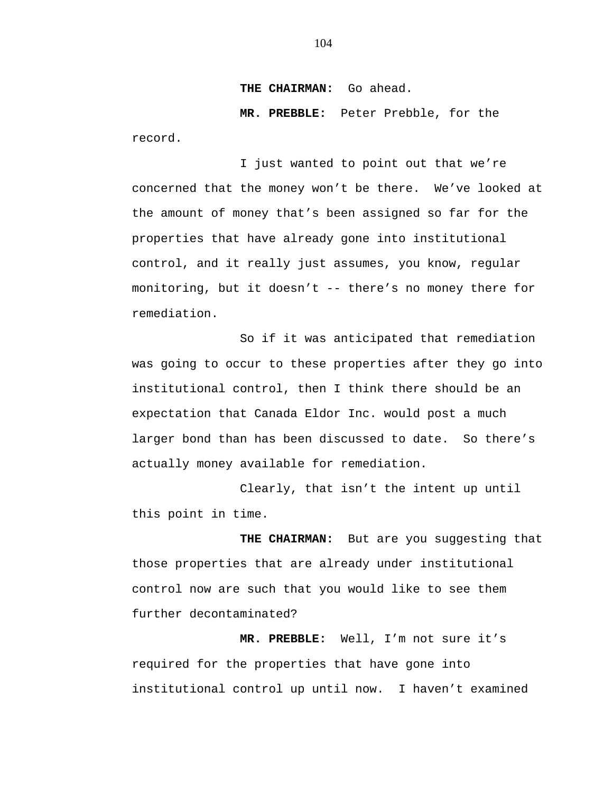**THE CHAIRMAN:** Go ahead.

**MR. PREBBLE:** Peter Prebble, for the record.

I just wanted to point out that we're concerned that the money won't be there. We've looked at the amount of money that's been assigned so far for the properties that have already gone into institutional control, and it really just assumes, you know, regular monitoring, but it doesn't -- there's no money there for remediation.

So if it was anticipated that remediation was going to occur to these properties after they go into institutional control, then I think there should be an expectation that Canada Eldor Inc. would post a much larger bond than has been discussed to date. So there's actually money available for remediation.

Clearly, that isn't the intent up until this point in time.

**THE CHAIRMAN:** But are you suggesting that those properties that are already under institutional control now are such that you would like to see them further decontaminated?

**MR. PREBBLE:** Well, I'm not sure it's required for the properties that have gone into institutional control up until now. I haven't examined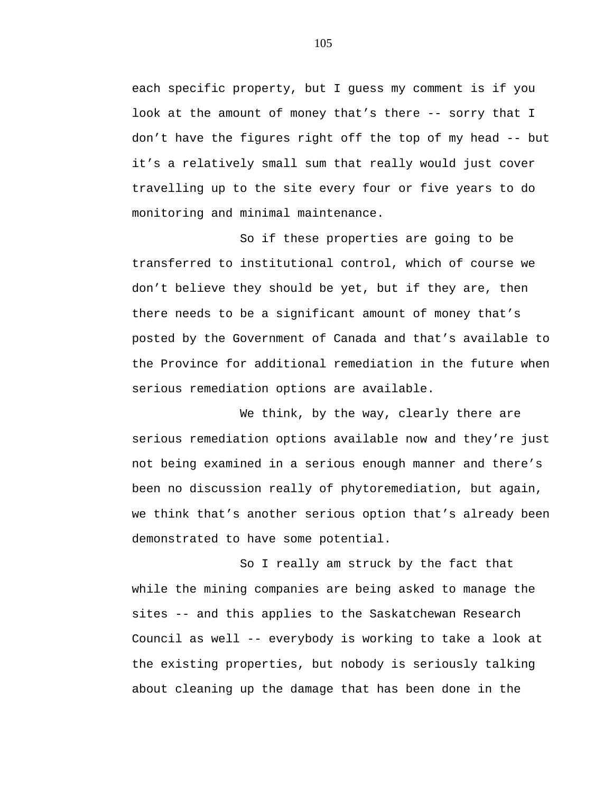each specific property, but I guess my comment is if you look at the amount of money that's there -- sorry that I don't have the figures right off the top of my head -- but it's a relatively small sum that really would just cover travelling up to the site every four or five years to do monitoring and minimal maintenance.

So if these properties are going to be transferred to institutional control, which of course we don't believe they should be yet, but if they are, then there needs to be a significant amount of money that's posted by the Government of Canada and that's available to the Province for additional remediation in the future when serious remediation options are available.

We think, by the way, clearly there are serious remediation options available now and they're just not being examined in a serious enough manner and there's been no discussion really of phytoremediation, but again, we think that's another serious option that's already been demonstrated to have some potential.

So I really am struck by the fact that while the mining companies are being asked to manage the sites -- and this applies to the Saskatchewan Research Council as well -- everybody is working to take a look at the existing properties, but nobody is seriously talking about cleaning up the damage that has been done in the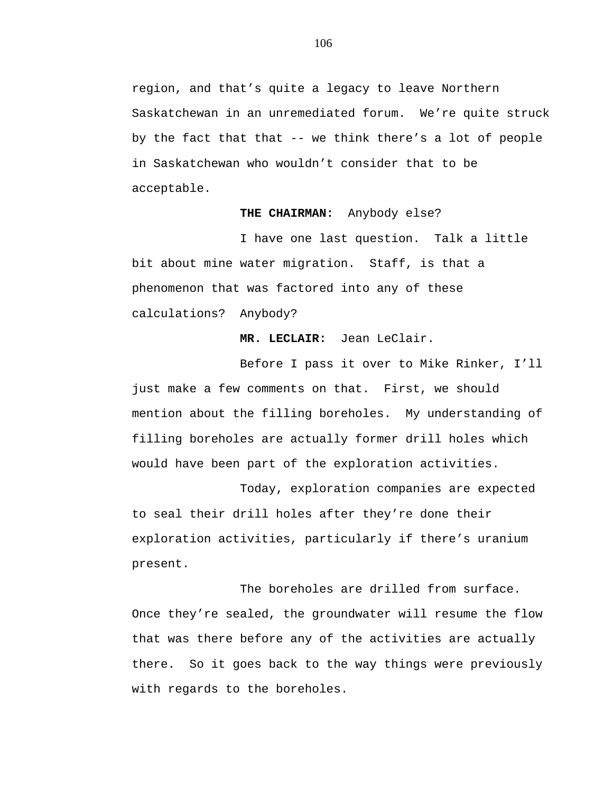region, and that's quite a legacy to leave Northern Saskatchewan in an unremediated forum. We're quite struck by the fact that that -- we think there's a lot of people in Saskatchewan who wouldn't consider that to be acceptable.

### **THE CHAIRMAN:** Anybody else?

I have one last question. Talk a little bit about mine water migration. Staff, is that a phenomenon that was factored into any of these calculations? Anybody?

# **MR. LECLAIR:** Jean LeClair.

Before I pass it over to Mike Rinker, I'll just make a few comments on that. First, we should mention about the filling boreholes. My understanding of filling boreholes are actually former drill holes which would have been part of the exploration activities.

Today, exploration companies are expected to seal their drill holes after they're done their exploration activities, particularly if there's uranium present.

The boreholes are drilled from surface. Once they're sealed, the groundwater will resume the flow that was there before any of the activities are actually there. So it goes back to the way things were previously with regards to the boreholes.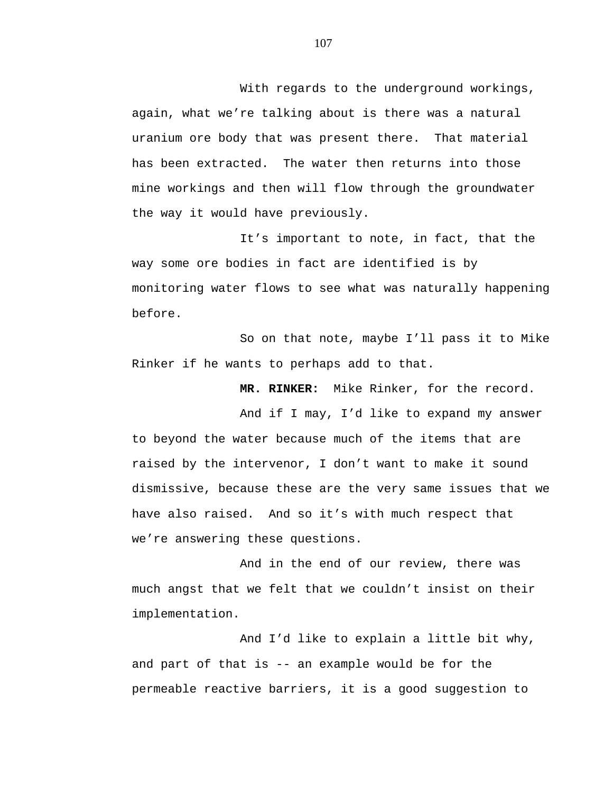With regards to the underground workings, again, what we're talking about is there was a natural uranium ore body that was present there. That material has been extracted. The water then returns into those mine workings and then will flow through the groundwater the way it would have previously.

It's important to note, in fact, that the way some ore bodies in fact are identified is by monitoring water flows to see what was naturally happening before.

So on that note, maybe I'll pass it to Mike Rinker if he wants to perhaps add to that.

**MR. RINKER:** Mike Rinker, for the record.

And if I may, I'd like to expand my answer to beyond the water because much of the items that are raised by the intervenor, I don't want to make it sound dismissive, because these are the very same issues that we have also raised. And so it's with much respect that we're answering these questions.

And in the end of our review, there was much angst that we felt that we couldn't insist on their implementation.

And I'd like to explain a little bit why, and part of that is -- an example would be for the permeable reactive barriers, it is a good suggestion to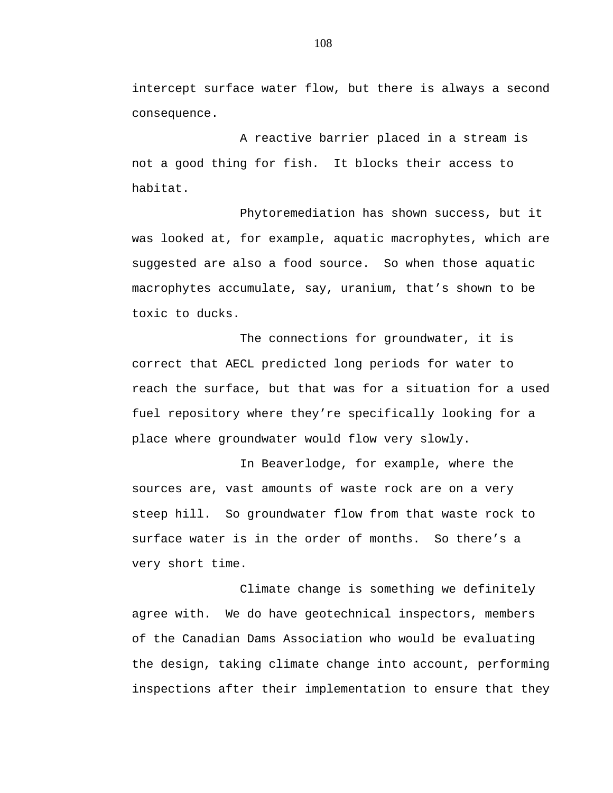intercept surface water flow, but there is always a second consequence.

A reactive barrier placed in a stream is not a good thing for fish. It blocks their access to habitat.

Phytoremediation has shown success, but it was looked at, for example, aquatic macrophytes, which are suggested are also a food source. So when those aquatic macrophytes accumulate, say, uranium, that's shown to be toxic to ducks.

The connections for groundwater, it is correct that AECL predicted long periods for water to reach the surface, but that was for a situation for a used fuel repository where they're specifically looking for a place where groundwater would flow very slowly.

In Beaverlodge, for example, where the sources are, vast amounts of waste rock are on a very steep hill. So groundwater flow from that waste rock to surface water is in the order of months. So there's a very short time.

Climate change is something we definitely agree with. We do have geotechnical inspectors, members of the Canadian Dams Association who would be evaluating the design, taking climate change into account, performing inspections after their implementation to ensure that they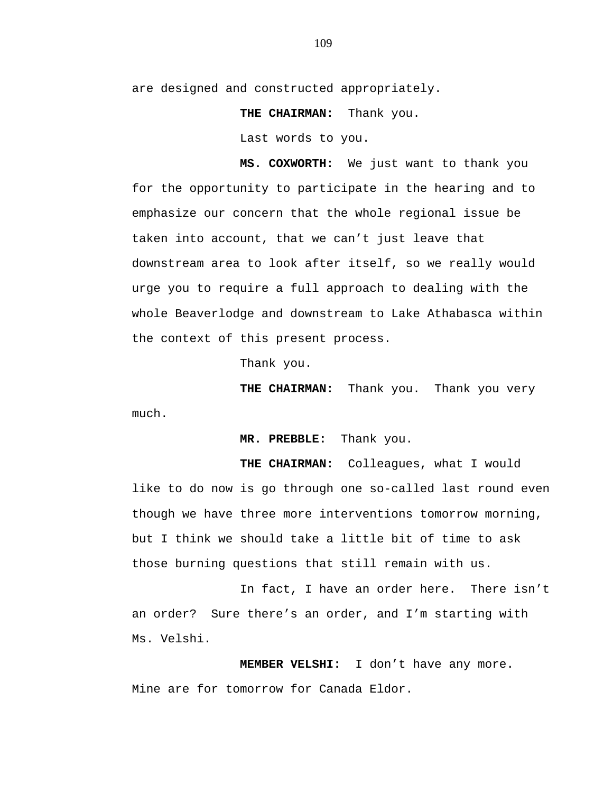are designed and constructed appropriately.

**THE CHAIRMAN:** Thank you.

Last words to you.

**MS. COXWORTH:** We just want to thank you for the opportunity to participate in the hearing and to emphasize our concern that the whole regional issue be taken into account, that we can't just leave that downstream area to look after itself, so we really would urge you to require a full approach to dealing with the whole Beaverlodge and downstream to Lake Athabasca within the context of this present process.

Thank you.

**THE CHAIRMAN:** Thank you. Thank you very much.

**MR. PREBBLE:** Thank you.

**THE CHAIRMAN:** Colleagues, what I would like to do now is go through one so-called last round even though we have three more interventions tomorrow morning, but I think we should take a little bit of time to ask those burning questions that still remain with us.

In fact, I have an order here. There isn't an order? Sure there's an order, and I'm starting with Ms. Velshi.

**MEMBER VELSHI:** I don't have any more. Mine are for tomorrow for Canada Eldor.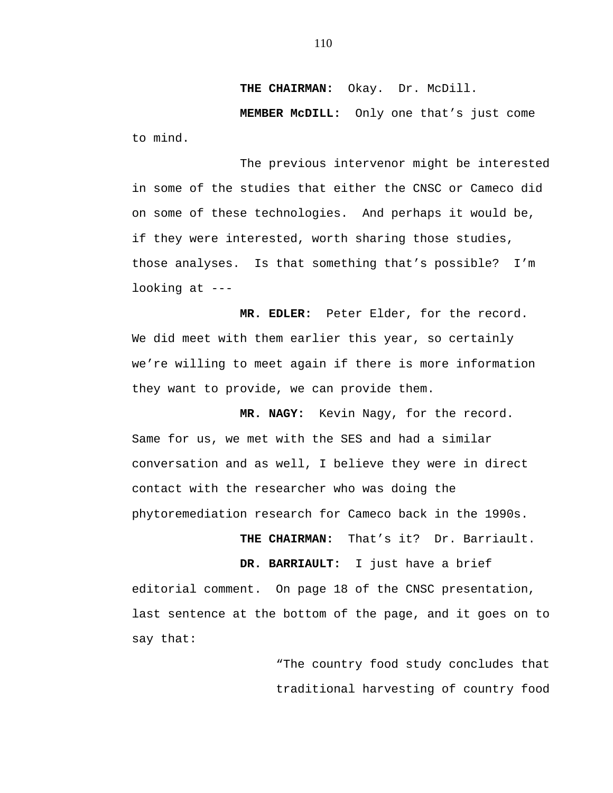**THE CHAIRMAN:** Okay. Dr. McDill.

**MEMBER McDILL:** Only one that's just come to mind.

The previous intervenor might be interested in some of the studies that either the CNSC or Cameco did on some of these technologies. And perhaps it would be, if they were interested, worth sharing those studies, those analyses. Is that something that's possible? I'm looking at ---

**MR. EDLER:** Peter Elder, for the record. We did meet with them earlier this year, so certainly we're willing to meet again if there is more information they want to provide, we can provide them.

**MR. NAGY:** Kevin Nagy, for the record. Same for us, we met with the SES and had a similar conversation and as well, I believe they were in direct contact with the researcher who was doing the phytoremediation research for Cameco back in the 1990s.

**THE CHAIRMAN:** That's it? Dr. Barriault.

**DR. BARRIAULT:** I just have a brief editorial comment. On page 18 of the CNSC presentation, last sentence at the bottom of the page, and it goes on to say that:

> "The country food study concludes that traditional harvesting of country food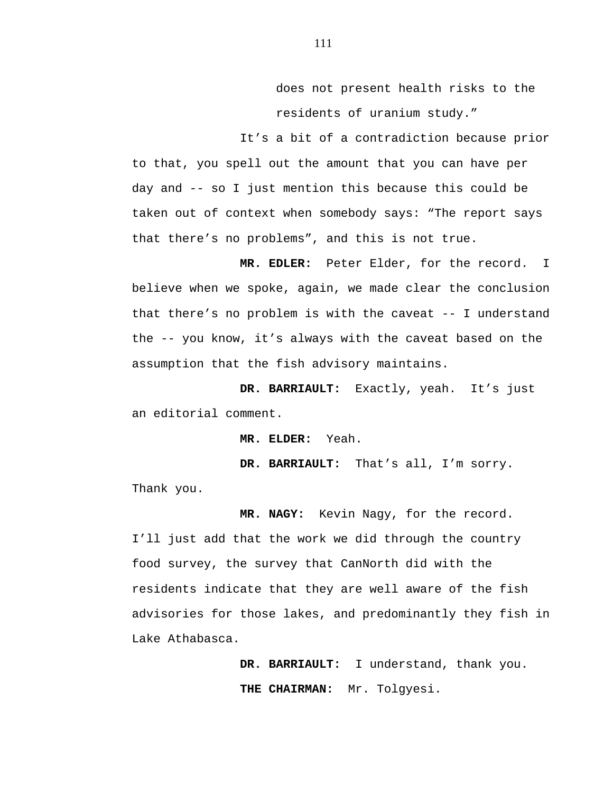does not present health risks to the residents of uranium study."

It's a bit of a contradiction because prior to that, you spell out the amount that you can have per day and -- so I just mention this because this could be taken out of context when somebody says: "The report says that there's no problems", and this is not true.

**MR. EDLER:** Peter Elder, for the record. I believe when we spoke, again, we made clear the conclusion that there's no problem is with the caveat -- I understand the -- you know, it's always with the caveat based on the assumption that the fish advisory maintains.

**DR. BARRIAULT:** Exactly, yeah. It's just an editorial comment.

**MR. ELDER:** Yeah.

**DR. BARRIAULT:** That's all, I'm sorry.

Thank you.

**MR. NAGY:** Kevin Nagy, for the record. I'll just add that the work we did through the country food survey, the survey that CanNorth did with the residents indicate that they are well aware of the fish advisories for those lakes, and predominantly they fish in Lake Athabasca.

> **DR. BARRIAULT:** I understand, thank you. **THE CHAIRMAN:** Mr. Tolgyesi.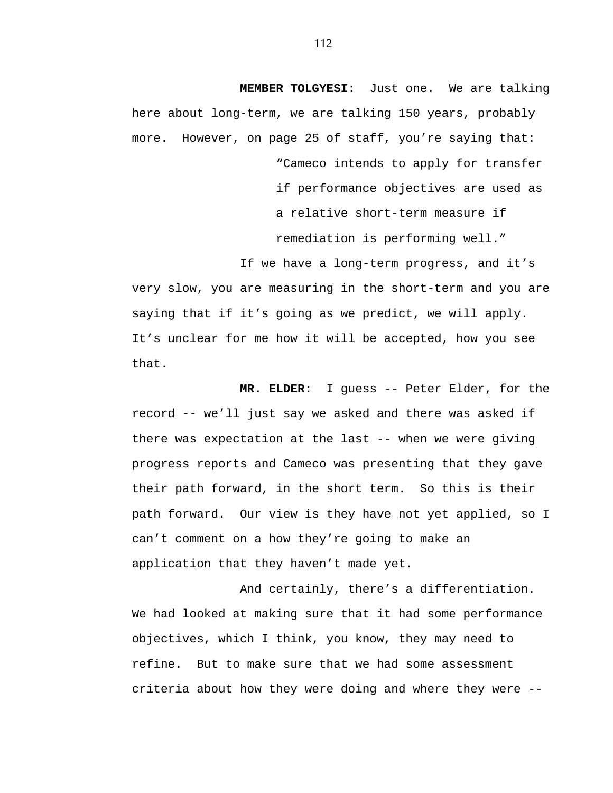**MEMBER TOLGYESI:** Just one. We are talking here about long-term, we are talking 150 years, probably more. However, on page 25 of staff, you're saying that:

> "Cameco intends to apply for transfer if performance objectives are used as a relative short-term measure if remediation is performing well."

If we have a long-term progress, and it's very slow, you are measuring in the short-term and you are saying that if it's going as we predict, we will apply. It's unclear for me how it will be accepted, how you see that.

**MR. ELDER:** I guess -- Peter Elder, for the record -- we'll just say we asked and there was asked if there was expectation at the last -- when we were giving progress reports and Cameco was presenting that they gave their path forward, in the short term. So this is their path forward. Our view is they have not yet applied, so I can't comment on a how they're going to make an application that they haven't made yet.

And certainly, there's a differentiation. We had looked at making sure that it had some performance objectives, which I think, you know, they may need to refine. But to make sure that we had some assessment criteria about how they were doing and where they were --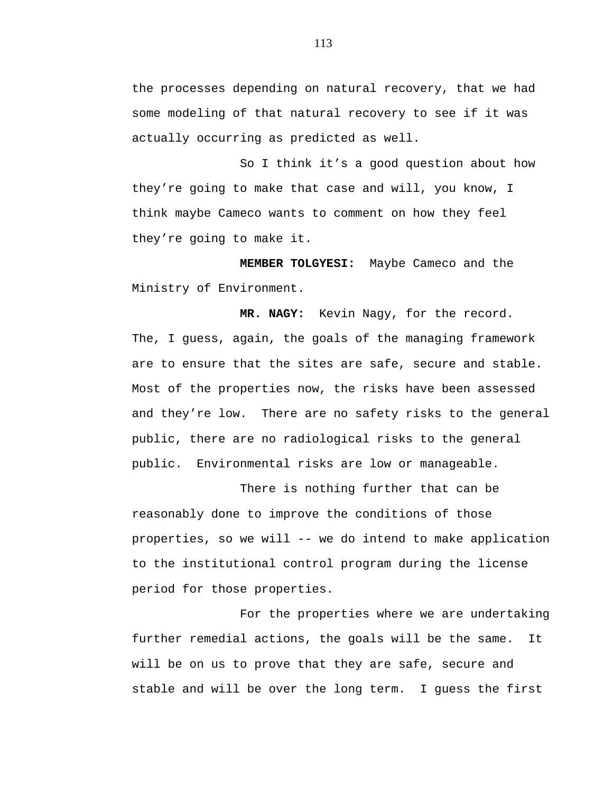the processes depending on natural recovery, that we had some modeling of that natural recovery to see if it was actually occurring as predicted as well.

So I think it's a good question about how they're going to make that case and will, you know, I think maybe Cameco wants to comment on how they feel they're going to make it.

**MEMBER TOLGYESI:** Maybe Cameco and the Ministry of Environment.

**MR. NAGY:** Kevin Nagy, for the record. The, I guess, again, the goals of the managing framework are to ensure that the sites are safe, secure and stable. Most of the properties now, the risks have been assessed and they're low. There are no safety risks to the general public, there are no radiological risks to the general public. Environmental risks are low or manageable.

There is nothing further that can be reasonably done to improve the conditions of those properties, so we will -- we do intend to make application to the institutional control program during the license period for those properties.

For the properties where we are undertaking further remedial actions, the goals will be the same. It will be on us to prove that they are safe, secure and stable and will be over the long term. I guess the first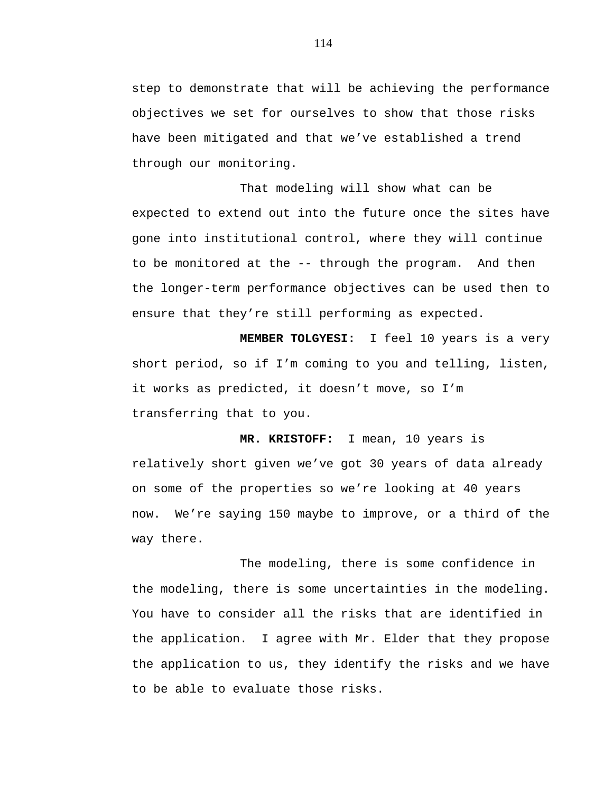step to demonstrate that will be achieving the performance objectives we set for ourselves to show that those risks have been mitigated and that we've established a trend through our monitoring.

That modeling will show what can be expected to extend out into the future once the sites have gone into institutional control, where they will continue to be monitored at the -- through the program. And then the longer-term performance objectives can be used then to ensure that they're still performing as expected.

**MEMBER TOLGYESI:** I feel 10 years is a very short period, so if I'm coming to you and telling, listen, it works as predicted, it doesn't move, so I'm transferring that to you.

**MR. KRISTOFF:** I mean, 10 years is relatively short given we've got 30 years of data already on some of the properties so we're looking at 40 years now. We're saying 150 maybe to improve, or a third of the way there.

The modeling, there is some confidence in the modeling, there is some uncertainties in the modeling. You have to consider all the risks that are identified in the application. I agree with Mr. Elder that they propose the application to us, they identify the risks and we have to be able to evaluate those risks.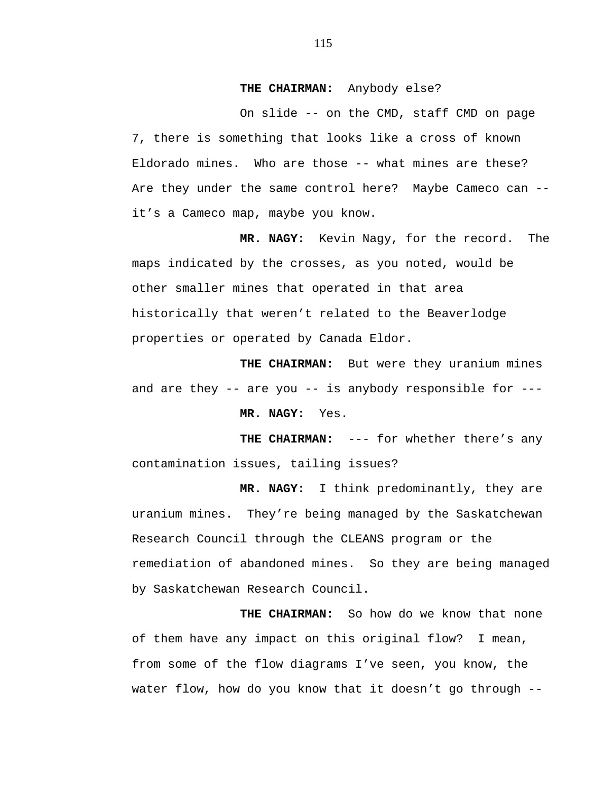## **THE CHAIRMAN:** Anybody else?

On slide -- on the CMD, staff CMD on page 7, there is something that looks like a cross of known Eldorado mines. Who are those -- what mines are these? Are they under the same control here? Maybe Cameco can - it's a Cameco map, maybe you know.

**MR. NAGY:** Kevin Nagy, for the record. The maps indicated by the crosses, as you noted, would be other smaller mines that operated in that area historically that weren't related to the Beaverlodge properties or operated by Canada Eldor.

**THE CHAIRMAN:** But were they uranium mines and are they -- are you -- is anybody responsible for --- **MR. NAGY:** Yes.

THE CHAIRMAN: --- for whether there's any contamination issues, tailing issues?

**MR. NAGY:** I think predominantly, they are uranium mines. They're being managed by the Saskatchewan Research Council through the CLEANS program or the remediation of abandoned mines. So they are being managed by Saskatchewan Research Council.

**THE CHAIRMAN:** So how do we know that none of them have any impact on this original flow? I mean, from some of the flow diagrams I've seen, you know, the water flow, how do you know that it doesn't go through --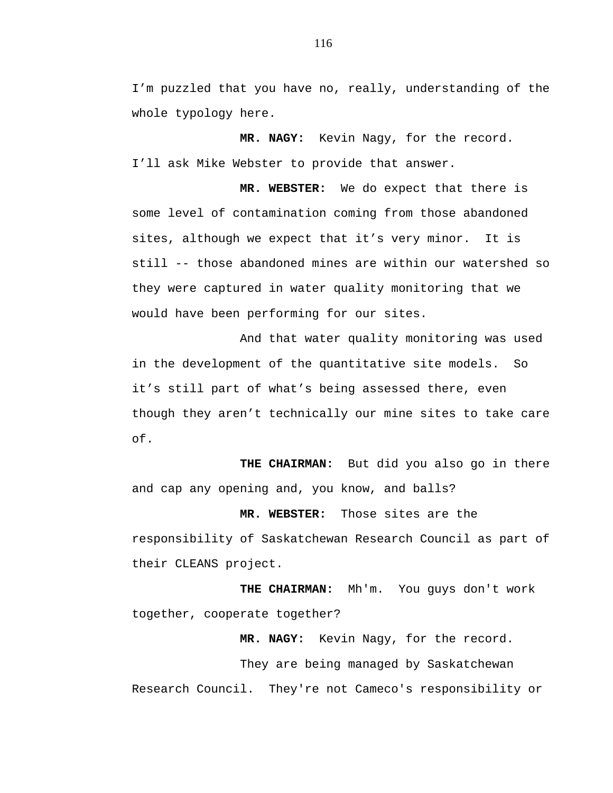I'm puzzled that you have no, really, understanding of the whole typology here.

**MR. NAGY:** Kevin Nagy, for the record. I'll ask Mike Webster to provide that answer.

**MR. WEBSTER:** We do expect that there is some level of contamination coming from those abandoned sites, although we expect that it's very minor. It is still -- those abandoned mines are within our watershed so they were captured in water quality monitoring that we would have been performing for our sites.

And that water quality monitoring was used in the development of the quantitative site models. So it's still part of what's being assessed there, even though they aren't technically our mine sites to take care of.

**THE CHAIRMAN:** But did you also go in there and cap any opening and, you know, and balls?

**MR. WEBSTER:** Those sites are the responsibility of Saskatchewan Research Council as part of their CLEANS project.

 **THE CHAIRMAN:** Mh'm. You guys don't work together, cooperate together?

**MR. NAGY:** Kevin Nagy, for the record.

They are being managed by Saskatchewan Research Council. They're not Cameco's responsibility or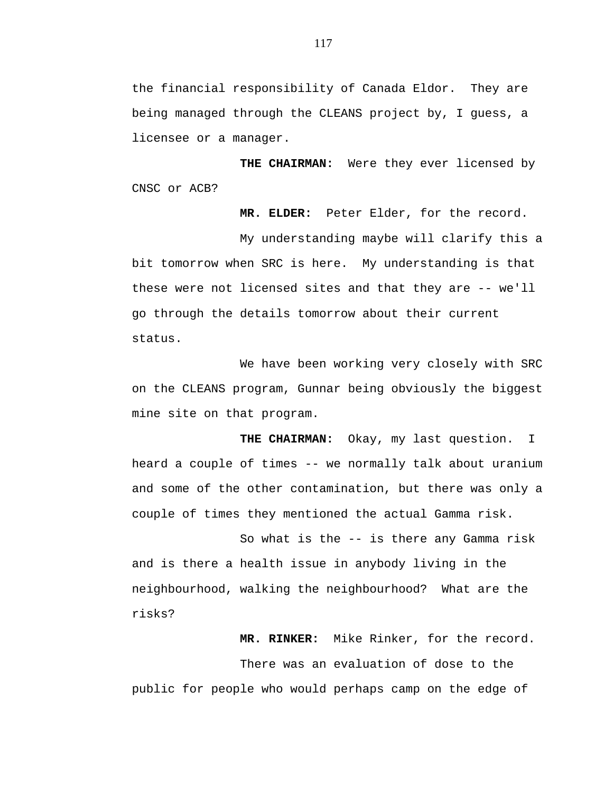the financial responsibility of Canada Eldor. They are being managed through the CLEANS project by, I guess, a licensee or a manager.

**THE CHAIRMAN:** Were they ever licensed by CNSC or ACB?

**MR. ELDER:** Peter Elder, for the record.

My understanding maybe will clarify this a bit tomorrow when SRC is here. My understanding is that these were not licensed sites and that they are -- we'll go through the details tomorrow about their current status.

We have been working very closely with SRC on the CLEANS program, Gunnar being obviously the biggest mine site on that program.

**THE CHAIRMAN:** Okay, my last question. I heard a couple of times -- we normally talk about uranium and some of the other contamination, but there was only a couple of times they mentioned the actual Gamma risk.

So what is the -- is there any Gamma risk and is there a health issue in anybody living in the neighbourhood, walking the neighbourhood? What are the risks?

**MR. RINKER:** Mike Rinker, for the record.

There was an evaluation of dose to the public for people who would perhaps camp on the edge of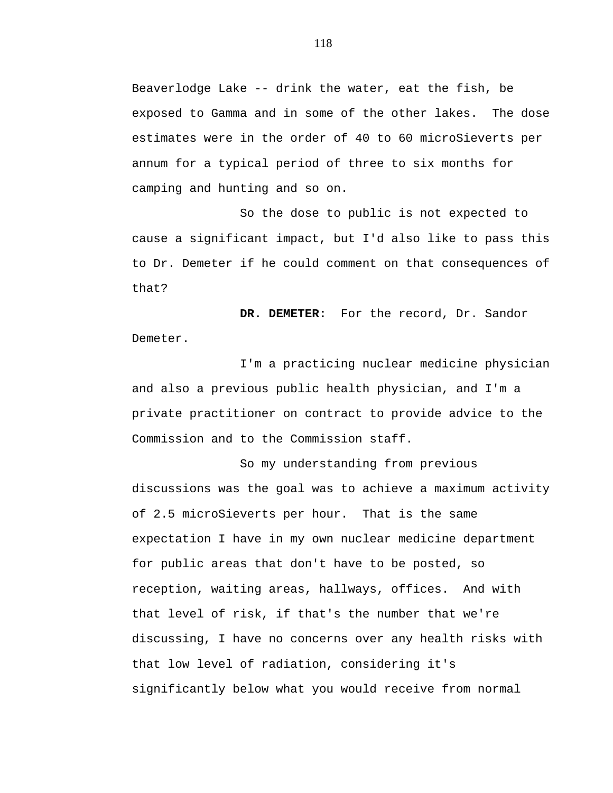Beaverlodge Lake -- drink the water, eat the fish, be exposed to Gamma and in some of the other lakes. The dose estimates were in the order of 40 to 60 microSieverts per annum for a typical period of three to six months for camping and hunting and so on.

So the dose to public is not expected to cause a significant impact, but I'd also like to pass this to Dr. Demeter if he could comment on that consequences of that?

**DR. DEMETER:** For the record, Dr. Sandor Demeter.

I'm a practicing nuclear medicine physician and also a previous public health physician, and I'm a private practitioner on contract to provide advice to the Commission and to the Commission staff.

So my understanding from previous discussions was the goal was to achieve a maximum activity of 2.5 microSieverts per hour. That is the same expectation I have in my own nuclear medicine department for public areas that don't have to be posted, so reception, waiting areas, hallways, offices. And with that level of risk, if that's the number that we're discussing, I have no concerns over any health risks with that low level of radiation, considering it's significantly below what you would receive from normal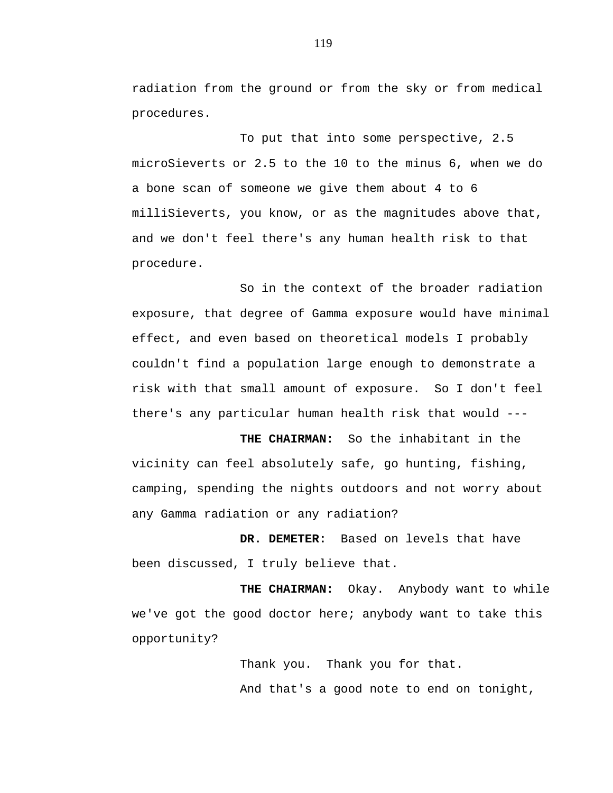radiation from the ground or from the sky or from medical procedures.

To put that into some perspective, 2.5 microSieverts or 2.5 to the 10 to the minus 6, when we do a bone scan of someone we give them about 4 to 6 milliSieverts, you know, or as the magnitudes above that, and we don't feel there's any human health risk to that procedure.

So in the context of the broader radiation exposure, that degree of Gamma exposure would have minimal effect, and even based on theoretical models I probably couldn't find a population large enough to demonstrate a risk with that small amount of exposure. So I don't feel there's any particular human health risk that would ---

**THE CHAIRMAN:** So the inhabitant in the vicinity can feel absolutely safe, go hunting, fishing, camping, spending the nights outdoors and not worry about any Gamma radiation or any radiation?

**DR. DEMETER:** Based on levels that have been discussed, I truly believe that.

**THE CHAIRMAN:** Okay. Anybody want to while we've got the good doctor here; anybody want to take this opportunity?

> Thank you. Thank you for that. And that's a good note to end on tonight,